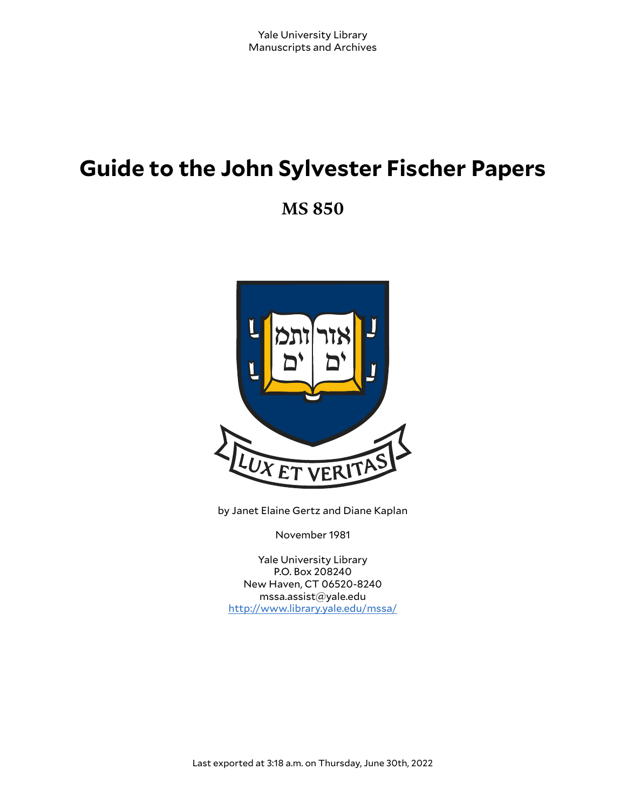# **Guide to the John Sylvester Fischer Papers**

**MS 850**



by Janet Elaine Gertz and Diane Kaplan

November 1981

Yale University Library P.O. Box 208240 New Haven, CT 06520-8240 mssa.assist@yale.edu <http://www.library.yale.edu/mssa/>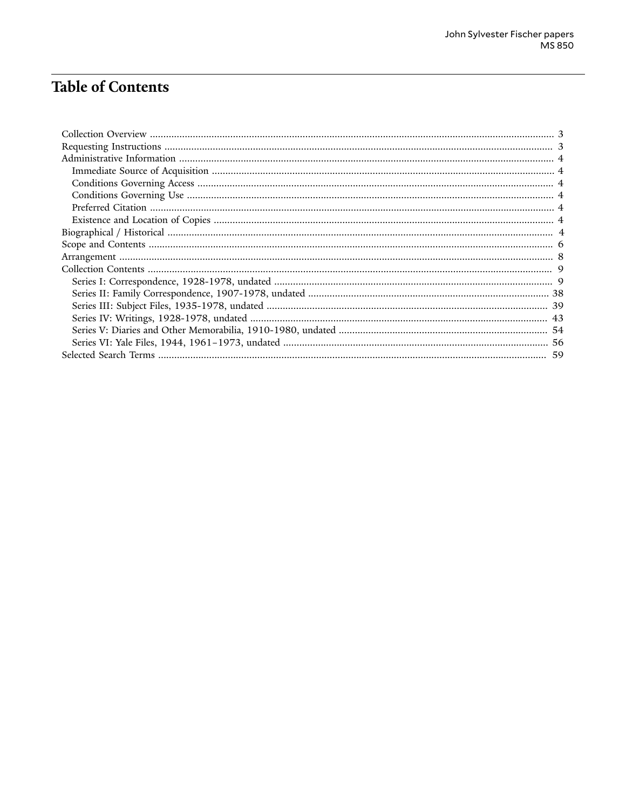# Table of Contents

| 59 |
|----|
|    |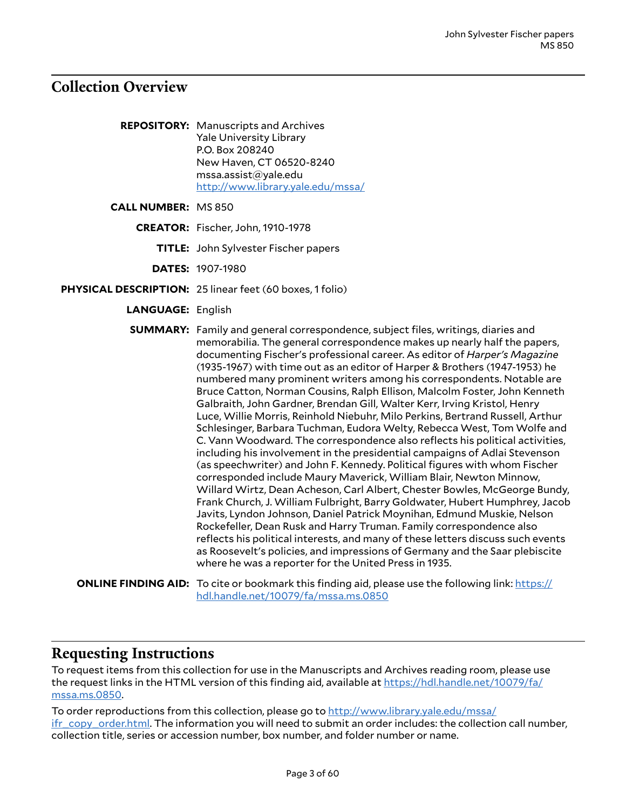## <span id="page-2-0"></span>**Collection Overview**

- **REPOSITORY:** Manuscripts and Archives Yale University Library P.O. Box 208240 New Haven, CT 06520-8240 mssa.assist@yale.edu <http://www.library.yale.edu/mssa/>
- **CALL NUMBER:** MS 850
	- **CREATOR:** Fischer, John, 1910-1978
		- **TITLE:** John Sylvester Fischer papers
		- **DATES:** 1907-1980
- **PHYSICAL DESCRIPTION:** 25 linear feet (60 boxes, 1 folio)
	- **LANGUAGE:** English

**SUMMARY:** Family and general correspondence, subject files, writings, diaries and memorabilia. The general correspondence makes up nearly half the papers, documenting Fischer's professional career. As editor of *Harper's Magazine* (1935-1967) with time out as an editor of Harper & Brothers (1947-1953) he numbered many prominent writers among his correspondents. Notable are Bruce Catton, Norman Cousins, Ralph Ellison, Malcolm Foster, John Kenneth Galbraith, John Gardner, Brendan Gill, Walter Kerr, Irving Kristol, Henry Luce, Willie Morris, Reinhold Niebuhr, Milo Perkins, Bertrand Russell, Arthur Schlesinger, Barbara Tuchman, Eudora Welty, Rebecca West, Tom Wolfe and C. Vann Woodward. The correspondence also reflects his political activities, including his involvement in the presidential campaigns of Adlai Stevenson (as speechwriter) and John F. Kennedy. Political figures with whom Fischer corresponded include Maury Maverick, William Blair, Newton Minnow, Willard Wirtz, Dean Acheson, Carl Albert, Chester Bowles, McGeorge Bundy, Frank Church, J. William Fulbright, Barry Goldwater, Hubert Humphrey, Jacob Javits, Lyndon Johnson, Daniel Patrick Moynihan, Edmund Muskie, Nelson Rockefeller, Dean Rusk and Harry Truman. Family correspondence also reflects his political interests, and many of these letters discuss such events as Roosevelt's policies, and impressions of Germany and the Saar plebiscite where he was a reporter for the United Press in 1935.

```
ONLINE FINDING AID:https://
hdl.handle.net/10079/fa/mssa.ms.0850
```
### <span id="page-2-1"></span>**Requesting Instructions**

To request items from this collection for use in the Manuscripts and Archives reading room, please use the request links in the HTML version of this finding aid, available at [https://hdl.handle.net/10079/fa/](https://hdl.handle.net/10079/fa/mssa.ms.0850) [mssa.ms.0850.](https://hdl.handle.net/10079/fa/mssa.ms.0850)

To order reproductions from this collection, please go to [http://www.library.yale.edu/mssa/](http://www.library.yale.edu/mssa/ifr_copy_order.html) [ifr\\_copy\\_order.html.](http://www.library.yale.edu/mssa/ifr_copy_order.html) The information you will need to submit an order includes: the collection call number, collection title, series or accession number, box number, and folder number or name.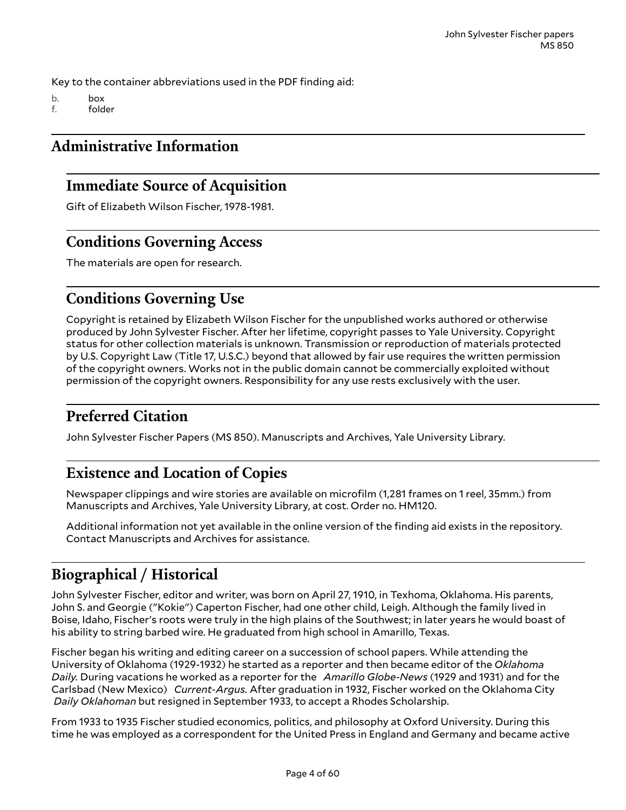Key to the container abbreviations used in the PDF finding aid:

b. box

f. folder

# <span id="page-3-0"></span>**Administrative Information**

# <span id="page-3-1"></span>**Immediate Source of Acquisition**

Gift of Elizabeth Wilson Fischer, 1978-1981.

# <span id="page-3-2"></span>**Conditions Governing Access**

The materials are open for research.

# <span id="page-3-3"></span>**Conditions Governing Use**

Copyright is retained by Elizabeth Wilson Fischer for the unpublished works authored or otherwise produced by John Sylvester Fischer. After her lifetime, copyright passes to Yale University. Copyright status for other collection materials is unknown. Transmission or reproduction of materials protected by U.S. Copyright Law (Title 17, U.S.C.) beyond that allowed by fair use requires the written permission of the copyright owners. Works not in the public domain cannot be commercially exploited without permission of the copyright owners. Responsibility for any use rests exclusively with the user.

# <span id="page-3-4"></span>**Preferred Citation**

John Sylvester Fischer Papers (MS 850). Manuscripts and Archives, Yale University Library.

# <span id="page-3-5"></span>**Existence and Location of Copies**

Newspaper clippings and wire stories are available on microfilm (1,281 frames on 1 reel, 35mm.) from Manuscripts and Archives, Yale University Library, at cost. Order no. HM120.

Additional information not yet available in the online version of the finding aid exists in the repository. Contact Manuscripts and Archives for assistance.

# <span id="page-3-6"></span>**Biographical / Historical**

John Sylvester Fischer, editor and writer, was born on April 27, 1910, in Texhoma, Oklahoma. His parents, John S. and Georgie ("Kokie") Caperton Fischer, had one other child, Leigh. Although the family lived in Boise, Idaho, Fischer's roots were truly in the high plains of the Southwest; in later years he would boast of his ability to string barbed wire. He graduated from high school in Amarillo, Texas.

Fischer began his writing and editing career on a succession of school papers. While attending the University of Oklahoma (1929-1932) he started as a reporter and then became editor of the *Oklahoma Daily.* During vacations he worked as a reporter for the *Amarillo Globe-News* (1929 and 1931) and for the Carlsbad (New Mexico) *Current-Argus.* After graduation in 1932, Fischer worked on the Oklahoma City *Daily Oklahoman* but resigned in September 1933, to accept a Rhodes Scholarship.

From 1933 to 1935 Fischer studied economics, politics, and philosophy at Oxford University. During this time he was employed as a correspondent for the United Press in England and Germany and became active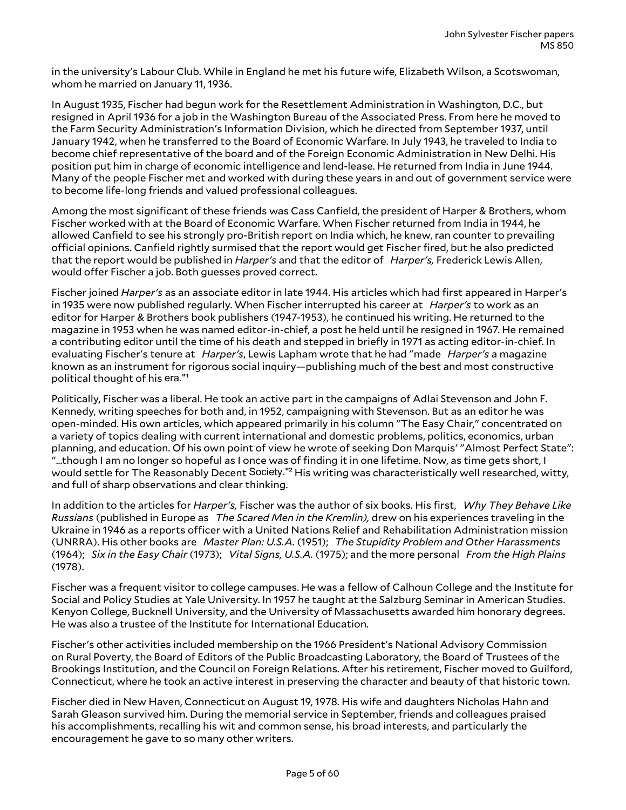in the university's Labour Club. While in England he met his future wife, Elizabeth Wilson, a Scotswoman, whom he married on January 11, 1936.

In August 1935, Fischer had begun work for the Resettlement Administration in Washington, D.C., but resigned in April 1936 for a job in the Washington Bureau of the Associated Press. From here he moved to the Farm Security Administration's Information Division, which he directed from September 1937, until January 1942, when he transferred to the Board of Economic Warfare. In July 1943, he traveled to India to become chief representative of the board and of the Foreign Economic Administration in New Delhi. His position put him in charge of economic intelligence and lend-lease. He returned from India in June 1944. Many of the people Fischer met and worked with during these years in and out of government service were to become life-long friends and valued professional colleagues.

Among the most significant of these friends was Cass Canfield, the president of Harper & Brothers, whom Fischer worked with at the Board of Economic Warfare. When Fischer returned from India in 1944, he allowed Canfield to see his strongly pro-British report on India which, he knew, ran counter to prevailing official opinions. Canfield rightly surmised that the report would get Fischer fired, but he also predicted that the report would be published in *Harper's* and that the editor of *Harper's,* Frederick Lewis Allen, would offer Fischer a job. Both guesses proved correct.

Fischer joined *Harper's* as an associate editor in late 1944. His articles which had first appeared in Harper's in 1935 were now published regularly. When Fischer interrupted his career at *Harper's* to work as an editor for Harper & Brothers book publishers (1947-1953), he continued his writing. He returned to the magazine in 1953 when he was named editor-in-chief, a post he held until he resigned in 1967. He remained a contributing editor until the time of his death and stepped in briefly in 1971 as acting editor-in-chief. In evaluating Fischer's tenure at *Harper's*, Lewis Lapham wrote that he had "made *Harper's* a magazine known as an instrument for rigorous social inquiry—publishing much of the best and most constructive political thought of his era."<sup>1</sup>

Politically, Fischer was a liberal. He took an active part in the campaigns of Adlai Stevenson and John F. Kennedy, writing speeches for both and, in 1952, campaigning with Stevenson. But as an editor he was open-minded. His own articles, which appeared primarily in his column "The Easy Chair," concentrated on a variety of topics dealing with current international and domestic problems, politics, economics, urban planning, and education. Of his own point of view he wrote of seeking Don Marquis' "Almost Perfect State": "...though I am no longer so hopeful as I once was of finding it in one lifetime. Now, as time gets short, I would settle for The Reasonably Decent Society."<sup>2</sup> His writing was characteristically well researched, witty, and full of sharp observations and clear thinking.

In addition to the articles for *Harper's,* Fischer was the author of six books. His first, *Why They Behave Like Russians* (published in Europe as *The Scared Men in the Kremlin),* drew on his experiences traveling in the Ukraine in 1946 as a reports officer with a United Nations Relief and Rehabilitation Administration mission (UNRRA). His other books are *Master Plan: U.S.A.* (1951); *The Stupidity Problem and Other Harassments* (1964); *Six in the Easy Chair* (1973); *Vital Signs, U.S.A.* (1975); and the more personal *From the High Plains* (1978).

Fischer was a frequent visitor to college campuses. He was a fellow of Calhoun College and the Institute for Social and Policy Studies at Yale University. In 1957 he taught at the Salzburg Seminar in American Studies. Kenyon College, Bucknell University, and the University of Massachusetts awarded him honorary degrees. He was also a trustee of the Institute for International Education.

Fischer's other activities included membership on the 1966 President's National Advisory Commission on Rural Poverty, the Board of Editors of the Public Broadcasting Laboratory, the Board of Trustees of the Brookings Institution, and the Council on Foreign Relations. After his retirement, Fischer moved to Guilford, Connecticut, where he took an active interest in preserving the character and beauty of that historic town.

Fischer died in New Haven, Connecticut on August 19, 1978. His wife and daughters Nicholas Hahn and Sarah Gleason survived him. During the memorial service in September, friends and colleagues praised his accomplishments, recalling his wit and common sense, his broad interests, and particularly the encouragement he gave to so many other writers.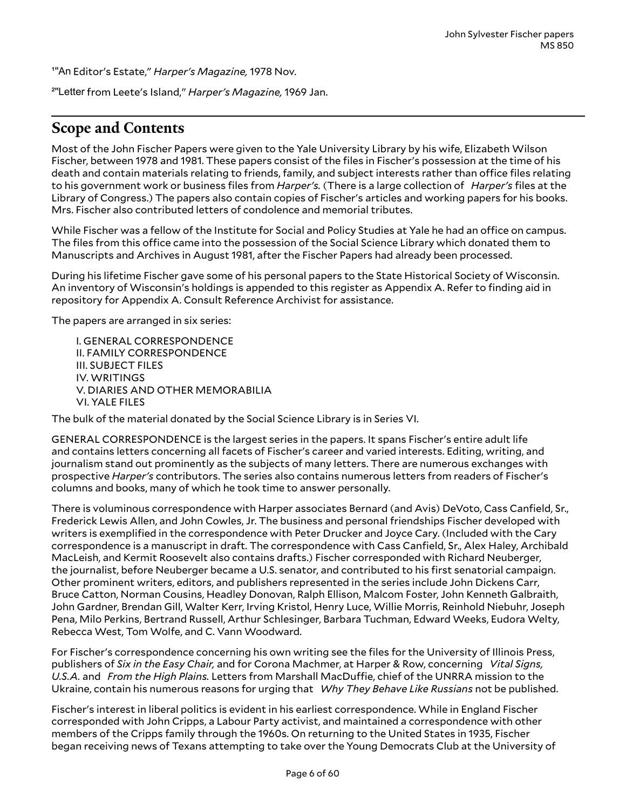¹"An Editor's Estate," *Harper's Magazine,* 1978 Nov.

²"Letter from Leete's Island," *Harper's Magazine,* 1969 Jan.

# <span id="page-5-0"></span>**Scope and Contents**

Most of the John Fischer Papers were given to the Yale University Library by his wife, Elizabeth Wilson Fischer, between 1978 and 1981. These papers consist of the files in Fischer's possession at the time of his death and contain materials relating to friends, family, and subject interests rather than office files relating to his government work or business files from *Harper's.* (There is a large collection of *Harper's* files at the Library of Congress.) The papers also contain copies of Fischer's articles and working papers for his books. Mrs. Fischer also contributed letters of condolence and memorial tributes.

While Fischer was a fellow of the Institute for Social and Policy Studies at Yale he had an office on campus. The files from this office came into the possession of the Social Science Library which donated them to Manuscripts and Archives in August 1981, after the Fischer Papers had already been processed.

During his lifetime Fischer gave some of his personal papers to the State Historical Society of Wisconsin. An inventory of Wisconsin's holdings is appended to this register as Appendix A. Refer to finding aid in repository for Appendix A. Consult Reference Archivist for assistance.

The papers are arranged in six series:

I. GENERAL CORRESPONDENCE II. FAMILY CORRESPONDENCE III. SUBJECT FILES IV. WRITINGS V. DIARIES AND OTHER MEMORABILIA VI. YALE FILES

The bulk of the material donated by the Social Science Library is in Series VI.

GENERAL CORRESPONDENCE is the largest series in the papers. It spans Fischer's entire adult life and contains letters concerning all facets of Fischer's career and varied interests. Editing, writing, and journalism stand out prominently as the subjects of many letters. There are numerous exchanges with prospective *Harper's* contributors. The series also contains numerous letters from readers of Fischer's columns and books, many of which he took time to answer personally.

There is voluminous correspondence with Harper associates Bernard (and Avis) DeVoto, Cass Canfield, Sr., Frederick Lewis Allen, and John Cowles, Jr. The business and personal friendships Fischer developed with writers is exemplified in the correspondence with Peter Drucker and Joyce Cary. (Included with the Cary correspondence is a manuscript in draft. The correspondence with Cass Canfield, Sr., Alex Haley, Archibald MacLeish, and Kermit Roosevelt also contains drafts.) Fischer corresponded with Richard Neuberger, the journalist, before Neuberger became a U.S. senator, and contributed to his first senatorial campaign. Other prominent writers, editors, and publishers represented in the series include John Dickens Carr, Bruce Catton, Norman Cousins, Headley Donovan, Ralph Ellison, Malcom Foster, John Kenneth Galbraith, John Gardner, Brendan Gill, Walter Kerr, Irving Kristol, Henry Luce, Willie Morris, Reinhold Niebuhr, Joseph Pena, Milo Perkins, Bertrand Russell, Arthur Schlesinger, Barbara Tuchman, Edward Weeks, Eudora Welty, Rebecca West, Tom Wolfe, and C. Vann Woodward.

For Fischer's correspondence concerning his own writing see the files for the University of Illinois Press, publishers of *Six in the Easy Chair,* and for Corona Machmer, at Harper & Row, concerning *Vital Signs, U.S.A.* and *From the High Plains.* Letters from Marshall MacDuLe, chief of the UNRRA mission to the Ukraine, contain his numerous reasons for urging that *Why They Behave Like Russians* not be published.

Fischer's interest in liberal politics is evident in his earliest correspondence. While in England Fischer corresponded with John Cripps, a Labour Party activist, and maintained a correspondence with other members of the Cripps family through the 1960s. On returning to the United States in 1935, Fischer began receiving news of Texans attempting to take over the Young Democrats Club at the University of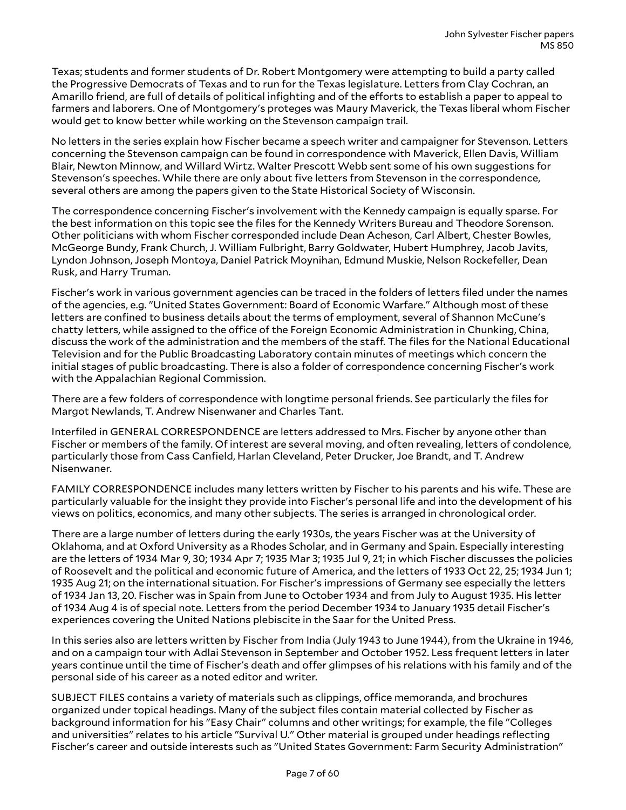Texas; students and former students of Dr. Robert Montgomery were attempting to build a party called the Progressive Democrats of Texas and to run for the Texas legislature. Letters from Clay Cochran, an Amarillo friend, are full of details of political infighting and of the efforts to establish a paper to appeal to farmers and laborers. One of Montgomery's proteges was Maury Maverick, the Texas liberal whom Fischer would get to know better while working on the Stevenson campaign trail.

No letters in the series explain how Fischer became a speech writer and campaigner for Stevenson. Letters concerning the Stevenson campaign can be found in correspondence with Maverick, Ellen Davis, William Blair, Newton Minnow, and Willard Wirtz. Walter Prescott Webb sent some of his own suggestions for Stevenson's speeches. While there are only about five letters from Stevenson in the correspondence, several others are among the papers given to the State Historical Society of Wisconsin.

The correspondence concerning Fischer's involvement with the Kennedy campaign is equally sparse. For the best information on this topic see the files for the Kennedy Writers Bureau and Theodore Sorenson. Other politicians with whom Fischer corresponded include Dean Acheson, Carl Albert, Chester Bowles, McGeorge Bundy, Frank Church, J. William Fulbright, Barry Goldwater, Hubert Humphrey, Jacob Javits, Lyndon Johnson, Joseph Montoya, Daniel Patrick Moynihan, Edmund Muskie, Nelson Rockefeller, Dean Rusk, and Harry Truman.

Fischer's work in various government agencies can be traced in the folders of letters filed under the names of the agencies, e.g. "United States Government: Board of Economic Warfare." Although most of these letters are confined to business details about the terms of employment, several of Shannon McCune's chatty letters, while assigned to the office of the Foreign Economic Administration in Chunking, China, discuss the work of the administration and the members of the staff. The files for the National Educational Television and for the Public Broadcasting Laboratory contain minutes of meetings which concern the initial stages of public broadcasting. There is also a folder of correspondence concerning Fischer's work with the Appalachian Regional Commission.

There are a few folders of correspondence with longtime personal friends. See particularly the files for Margot Newlands, T. Andrew Nisenwaner and Charles Tant.

Interfiled in GENERAL CORRESPONDENCE are letters addressed to Mrs. Fischer by anyone other than Fischer or members of the family. Of interest are several moving, and often revealing, letters of condolence, particularly those from Cass Canfield, Harlan Cleveland, Peter Drucker, Joe Brandt, and T. Andrew Nisenwaner.

FAMILY CORRESPONDENCE includes many letters written by Fischer to his parents and his wife. These are particularly valuable for the insight they provide into Fischer's personal life and into the development of his views on politics, economics, and many other subjects. The series is arranged in chronological order.

There are a large number of letters during the early 1930s, the years Fischer was at the University of Oklahoma, and at Oxford University as a Rhodes Scholar, and in Germany and Spain. Especially interesting are the letters of 1934 Mar 9, 30; 1934 Apr 7; 1935 Mar 3; 1935 Jul 9, 21; in which Fischer discusses the policies of Roosevelt and the political and economic future of America, and the letters of 1933 Oct 22, 25; 1934 Jun 1; 1935 Aug 21; on the international situation. For Fischer's impressions of Germany see especially the letters of 1934 Jan 13, 20. Fischer was in Spain from June to October 1934 and from July to August 1935. His letter of 1934 Aug 4 is of special note. Letters from the period December 1934 to January 1935 detail Fischer's experiences covering the United Nations plebiscite in the Saar for the United Press.

In this series also are letters written by Fischer from India (July 1943 to June 1944), from the Ukraine in 1946, and on a campaign tour with Adlai Stevenson in September and October 1952. Less frequent letters in later years continue until the time of Fischer's death and offer glimpses of his relations with his family and of the personal side of his career as a noted editor and writer.

SUBJECT FILES contains a variety of materials such as clippings, office memoranda, and brochures organized under topical headings. Many of the subject files contain material collected by Fischer as background information for his "Easy Chair" columns and other writings; for example, the file "Colleges and universities" relates to his article "Survival U." Other material is grouped under headings reflecting Fischer's career and outside interests such as "United States Government: Farm Security Administration"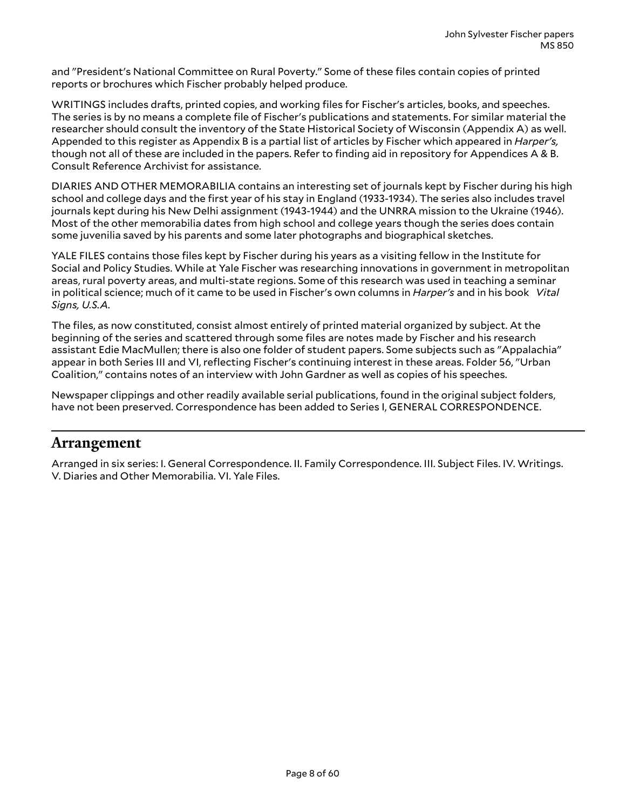and "President's National Committee on Rural Poverty." Some of these files contain copies of printed reports or brochures which Fischer probably helped produce.

WRITINGS includes drafts, printed copies, and working files for Fischer's articles, books, and speeches. The series is by no means a complete file of Fischer's publications and statements. For similar material the researcher should consult the inventory of the State Historical Society of Wisconsin (Appendix A) as well. Appended to this register as Appendix B is a partial list of articles by Fischer which appeared in *Harper's,* though not all of these are included in the papers. Refer to finding aid in repository for Appendices A & B. Consult Reference Archivist for assistance.

DIARIES AND OTHER MEMORABILIA contains an interesting set of journals kept by Fischer during his high school and college days and the first year of his stay in England (1933-1934). The series also includes travel journals kept during his New Delhi assignment (1943-1944) and the UNRRA mission to the Ukraine (1946). Most of the other memorabilia dates from high school and college years though the series does contain some juvenilia saved by his parents and some later photographs and biographical sketches.

YALE FILES contains those files kept by Fischer during his years as a visiting fellow in the Institute for Social and Policy Studies. While at Yale Fischer was researching innovations in government in metropolitan areas, rural poverty areas, and multi-state regions. Some of this research was used in teaching a seminar in political science; much of it came to be used in Fischer's own columns in *Harper's* and in his book *Vital Signs, U.S.A.*

The files, as now constituted, consist almost entirely of printed material organized by subject. At the beginning of the series and scattered through some files are notes made by Fischer and his research assistant Edie MacMullen; there is also one folder of student papers. Some subjects such as "Appalachia" appear in both Series III and VI, reflecting Fischer's continuing interest in these areas. Folder 56, "Urban Coalition," contains notes of an interview with John Gardner as well as copies of his speeches.

Newspaper clippings and other readily available serial publications, found in the original subject folders, have not been preserved. Correspondence has been added to Series I, GENERAL CORRESPONDENCE.

### <span id="page-7-0"></span>**Arrangement**

Arranged in six series: I. General Correspondence. II. Family Correspondence. III. Subject Files. IV. Writings. V. Diaries and Other Memorabilia. VI. Yale Files.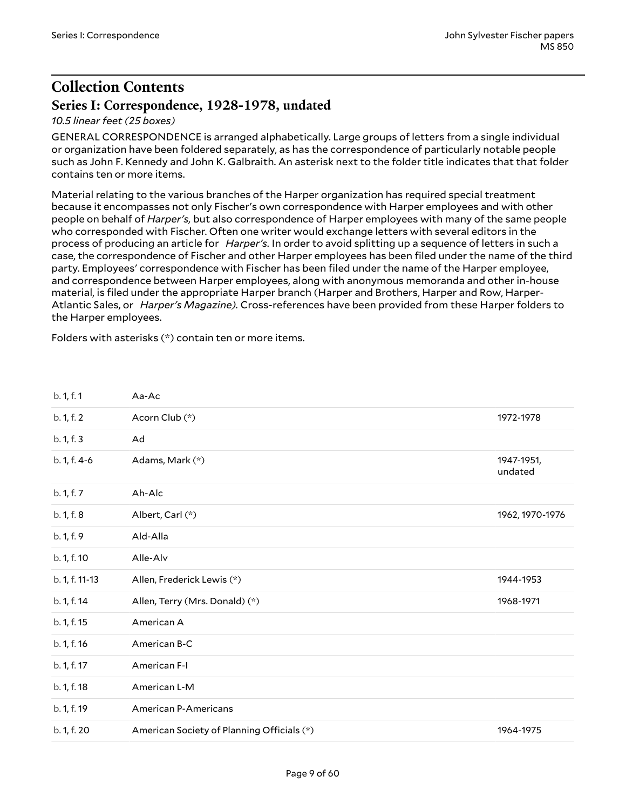# <span id="page-8-0"></span>**Collection Contents**

### <span id="page-8-1"></span>**Series I: Correspondence, 1928-1978, undated**

#### *10.5 linear feet (25 boxes)*

GENERAL CORRESPONDENCE is arranged alphabetically. Large groups of letters from a single individual or organization have been foldered separately, as has the correspondence of particularly notable people such as John F. Kennedy and John K. Galbraith. An asterisk next to the folder title indicates that that folder contains ten or more items.

Material relating to the various branches of the Harper organization has required special treatment because it encompasses not only Fischer's own correspondence with Harper employees and with other people on behalf of *Harper's,* but also correspondence of Harper employees with many of the same people who corresponded with Fischer. Often one writer would exchange letters with several editors in the process of producing an article for *Harper's.* In order to avoid splitting up a sequence of letters in such a case, the correspondence of Fischer and other Harper employees has been filed under the name of the third party. Employees' correspondence with Fischer has been filed under the name of the Harper employee, and correspondence between Harper employees, along with anonymous memoranda and other in-house material, is filed under the appropriate Harper branch (Harper and Brothers, Harper and Row, Harper-Atlantic Sales, or *Harper's Magazine).* Cross-references have been provided from these Harper folders to the Harper employees.

Folders with asterisks (\*) contain ten or more items.

<span id="page-8-5"></span><span id="page-8-4"></span><span id="page-8-3"></span><span id="page-8-2"></span>

| b. 1, f. 1     | Aa-Ac                                      |                       |
|----------------|--------------------------------------------|-----------------------|
| b. 1, f. 2     | Acorn Club (*)                             | 1972-1978             |
| b. 1, f. 3     | Ad                                         |                       |
| b. 1, f. 4-6   | Adams, Mark (*)                            | 1947-1951,<br>undated |
| b. 1, f. 7     | Ah-Alc                                     |                       |
| b. 1, f. 8     | Albert, Carl (*)                           | 1962, 1970-1976       |
| b. 1, f. 9     | Ald-Alla                                   |                       |
| b. 1, f. 10    | Alle-Alv                                   |                       |
| b. 1, f. 11-13 | Allen, Frederick Lewis (*)                 | 1944-1953             |
| b. 1, f. 14    | Allen, Terry (Mrs. Donald) (*)             | 1968-1971             |
| b. 1, f. 15    | American A                                 |                       |
| b. 1, f. 16    | American B-C                               |                       |
| b. 1, f. 17    | American F-I                               |                       |
| b. 1, f. 18    | American L-M                               |                       |
| b. 1, f. 19    | <b>American P-Americans</b>                |                       |
| b. 1, f. 20    | American Society of Planning Officials (*) | 1964-1975             |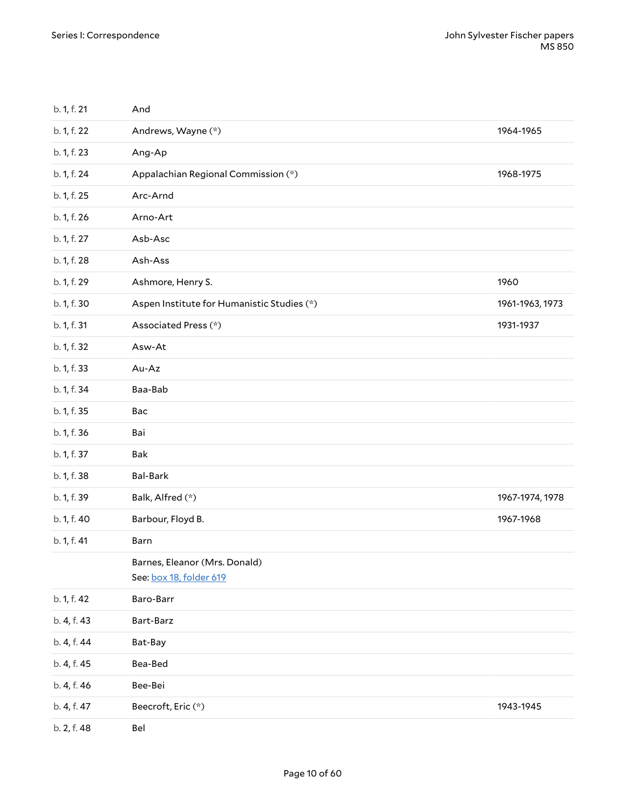<span id="page-9-6"></span><span id="page-9-5"></span><span id="page-9-4"></span><span id="page-9-3"></span><span id="page-9-2"></span><span id="page-9-1"></span><span id="page-9-0"></span>

| b. 1, f. 21 | And                                                      |                 |
|-------------|----------------------------------------------------------|-----------------|
| b. 1, f. 22 | Andrews, Wayne (*)                                       | 1964-1965       |
| b. 1, f. 23 | Ang-Ap                                                   |                 |
| b. 1, f. 24 | Appalachian Regional Commission (*)                      | 1968-1975       |
| b. 1, f. 25 | Arc-Arnd                                                 |                 |
| b. 1, f. 26 | Arno-Art                                                 |                 |
| b. 1, f. 27 | Asb-Asc                                                  |                 |
| b. 1, f. 28 | Ash-Ass                                                  |                 |
| b. 1, f. 29 | Ashmore, Henry S.                                        | 1960            |
| b. 1, f. 30 | Aspen Institute for Humanistic Studies (*)               | 1961-1963, 1973 |
| b. 1, f. 31 | Associated Press (*)                                     | 1931-1937       |
| b. 1, f. 32 | Asw-At                                                   |                 |
| b. 1, f. 33 | Au-Az                                                    |                 |
| b. 1, f. 34 | Baa-Bab                                                  |                 |
| b. 1, f. 35 | Bac                                                      |                 |
| b. 1, f. 36 | Bai                                                      |                 |
| b. 1, f. 37 | Bak                                                      |                 |
| b. 1, f. 38 | <b>Bal-Bark</b>                                          |                 |
| b. 1, f. 39 | Balk, Alfred (*)                                         | 1967-1974, 1978 |
| b. 1, f. 40 | Barbour, Floyd B.                                        | 1967-1968       |
| b. 1, f. 41 | Barn                                                     |                 |
|             | Barnes, Eleanor (Mrs. Donald)<br>See: box 18, folder 619 |                 |
| b. 1, f. 42 | Baro-Barr                                                |                 |
| b. 4, f. 43 | Bart-Barz                                                |                 |
| b. 4, f. 44 | Bat-Bay                                                  |                 |
| b. 4, f. 45 | Bea-Bed                                                  |                 |
| b. 4, f. 46 | Bee-Bei                                                  |                 |
| b. 4, f. 47 | Beecroft, Eric (*)                                       | 1943-1945       |
| b. 2, f. 48 | Bel                                                      |                 |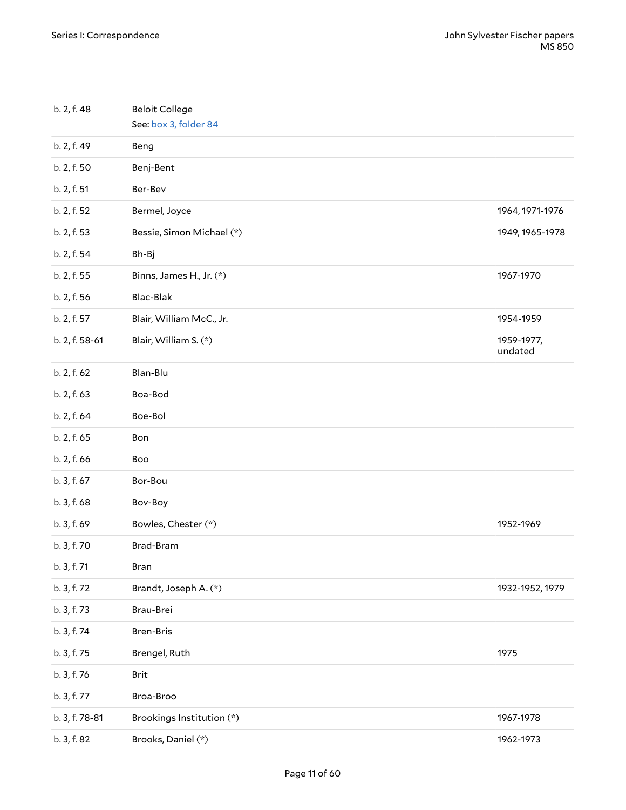<span id="page-10-9"></span><span id="page-10-8"></span><span id="page-10-7"></span><span id="page-10-6"></span><span id="page-10-5"></span><span id="page-10-4"></span><span id="page-10-3"></span><span id="page-10-2"></span><span id="page-10-1"></span><span id="page-10-0"></span>

| b. 2, f. 48    | <b>Beloit College</b><br>See: box 3, folder 84 |                       |
|----------------|------------------------------------------------|-----------------------|
| b. 2, f. 49    | Beng                                           |                       |
| b. 2, f. 50    | Benj-Bent                                      |                       |
| b. 2, f. 51    | Ber-Bev                                        |                       |
| b. 2, f. 52    | Bermel, Joyce                                  | 1964, 1971-1976       |
| b. 2, f. 53    | Bessie, Simon Michael (*)                      | 1949, 1965-1978       |
| b. 2, f. 54    | Bh-Bj                                          |                       |
| b. 2, f. 55    | Binns, James H., Jr. (*)                       | 1967-1970             |
| b. 2, f. 56    | Blac-Blak                                      |                       |
| b. 2, f. 57    | Blair, William McC., Jr.                       | 1954-1959             |
| b. 2, f. 58-61 | Blair, William S. (*)                          | 1959-1977,<br>undated |
| b. 2, f. 62    | Blan-Blu                                       |                       |
| b. 2, f. 63    | Boa-Bod                                        |                       |
| b. 2, f. 64    | Boe-Bol                                        |                       |
| b. 2, f. 65    | Bon                                            |                       |
| b. 2, f. 66    | Boo                                            |                       |
| b. 3, f. 67    | Bor-Bou                                        |                       |
| b. 3, f. 68    | Bov-Boy                                        |                       |
| b. 3, f. 69    | Bowles, Chester (*)                            | 1952-1969             |
| b. 3, f. 70    | Brad-Bram                                      |                       |
| b. 3, f. 71    | Bran                                           |                       |
| b. 3, f. 72    | Brandt, Joseph A. (*)                          | 1932-1952, 1979       |
| b. 3, f. 73    | Brau-Brei                                      |                       |
| b. 3, f. 74    | <b>Bren-Bris</b>                               |                       |
| b. 3, f. 75    | Brengel, Ruth                                  | 1975                  |
| b. 3, f. 76    | Brit                                           |                       |
| b. 3, f. 77    | Broa-Broo                                      |                       |
| b. 3, f. 78-81 | Brookings Institution (*)                      | 1967-1978             |
| b. 3, f. 82    | Brooks, Daniel (*)                             | 1962-1973             |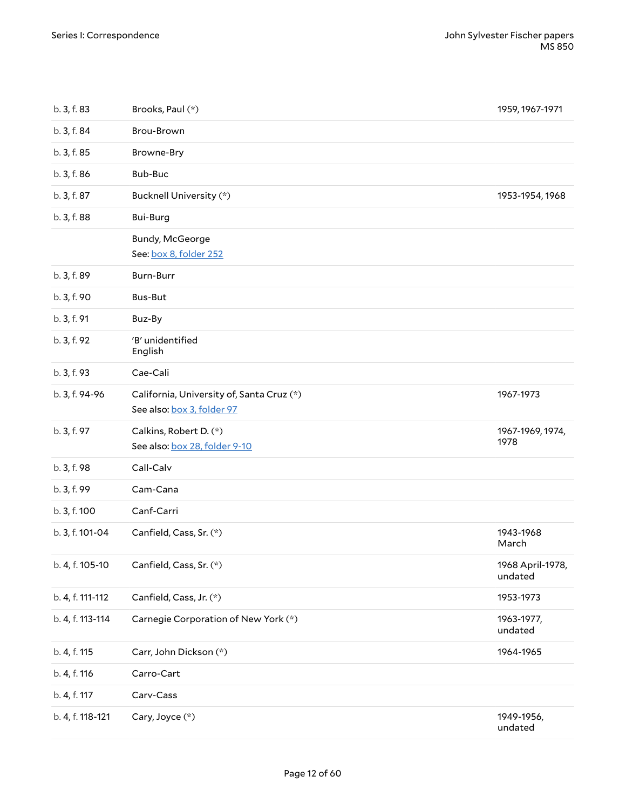<span id="page-11-7"></span><span id="page-11-6"></span><span id="page-11-5"></span><span id="page-11-4"></span><span id="page-11-3"></span><span id="page-11-2"></span><span id="page-11-1"></span><span id="page-11-0"></span>

| b. 3, f. 83      | Brooks, Paul (*)                                                        | 1959, 1967-1971             |
|------------------|-------------------------------------------------------------------------|-----------------------------|
| b. 3, f. 84      | Brou-Brown                                                              |                             |
| b. 3, f. 85      | Browne-Bry                                                              |                             |
| b. 3, f. 86      | Bub-Buc                                                                 |                             |
| b. 3, f. 87      | Bucknell University (*)                                                 | 1953-1954, 1968             |
| b. 3, f. 88      | Bui-Burg                                                                |                             |
|                  | Bundy, McGeorge<br>See: box 8, folder 252                               |                             |
| b. 3, f. 89      | Burn-Burr                                                               |                             |
| b. 3, f. 90      | <b>Bus-But</b>                                                          |                             |
| b. 3, f. 91      | Buz-By                                                                  |                             |
| b. 3, f. 92      | 'B' unidentified<br>English                                             |                             |
| b. 3, f. 93      | Cae-Cali                                                                |                             |
| b. 3, f. 94-96   | California, University of, Santa Cruz (*)<br>See also: box 3, folder 97 | 1967-1973                   |
|                  |                                                                         |                             |
| b. 3, f. 97      | Calkins, Robert D. (*)<br>See also: box 28, folder 9-10                 | 1967-1969, 1974,<br>1978    |
| b. 3, f. 98      | Call-Calv                                                               |                             |
| b. 3, f. 99      | Cam-Cana                                                                |                             |
| b. 3, f. 100     | Canf-Carri                                                              |                             |
| b. 3, f. 101-04  | Canfield, Cass, Sr. (*)                                                 | 1943-1968<br>March          |
| b. 4, f. 105-10  | Canfield, Cass, Sr. (*)                                                 | 1968 April-1978,<br>undated |
| b. 4, f. 111-112 | Canfield, Cass, Jr. (*)                                                 | 1953-1973                   |
| b. 4, f. 113-114 | Carnegie Corporation of New York (*)                                    | 1963-1977,<br>undated       |
| b. 4, f. 115     | Carr, John Dickson (*)                                                  | 1964-1965                   |
| b. 4, f. 116     | Carro-Cart                                                              |                             |
| b. 4, f. 117     | Carv-Cass                                                               |                             |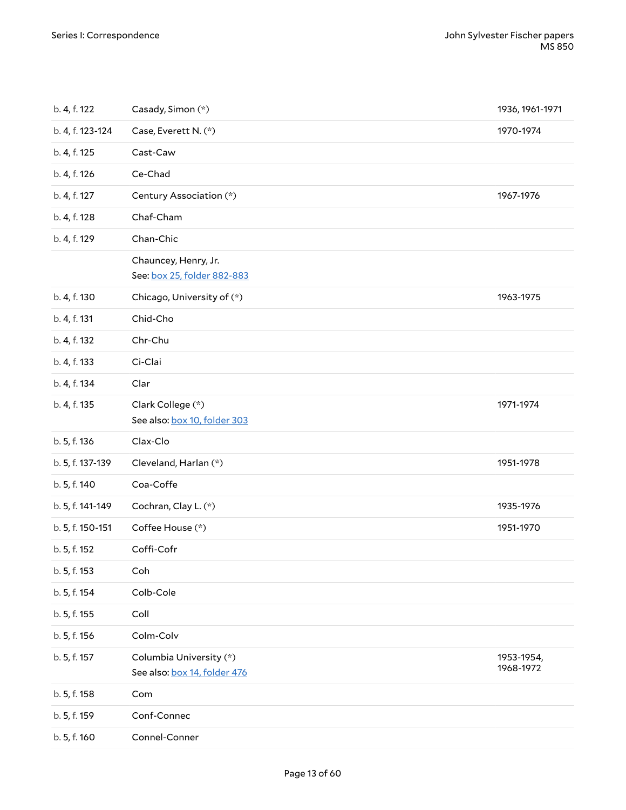<span id="page-12-1"></span><span id="page-12-0"></span>

| b. 4, f. 122     | Casady, Simon (*)                                       | 1936, 1961-1971         |
|------------------|---------------------------------------------------------|-------------------------|
| b. 4, f. 123-124 | Case, Everett N. (*)                                    | 1970-1974               |
| b. 4, f. 125     | Cast-Caw                                                |                         |
| b. 4, f. 126     | Ce-Chad                                                 |                         |
| b. 4, f. 127     | Century Association (*)                                 | 1967-1976               |
| b. 4, f. 128     | Chaf-Cham                                               |                         |
| b. 4, f. 129     | Chan-Chic                                               |                         |
|                  | Chauncey, Henry, Jr.<br>See: box 25, folder 882-883     |                         |
| b. 4, f. 130     | Chicago, University of (*)                              | 1963-1975               |
| b. 4, f. 131     | Chid-Cho                                                |                         |
| b. 4, f. 132     | Chr-Chu                                                 |                         |
| b. 4, f. 133     | Ci-Clai                                                 |                         |
| b. 4, f. 134     | Clar                                                    |                         |
| b. 4, f. 135     | Clark College (*)<br>See also: box 10, folder 303       | 1971-1974               |
| b. 5, f. 136     | Clax-Clo                                                |                         |
| b. 5, f. 137-139 | Cleveland, Harlan (*)                                   | 1951-1978               |
| b. 5, f. 140     | Coa-Coffe                                               |                         |
| b. 5, f. 141-149 | Cochran, Clay L. (*)                                    | 1935-1976               |
| b. 5, f. 150-151 | Coffee House (*)                                        | 1951-1970               |
| b. 5, f. 152     | Coffi-Cofr                                              |                         |
| b. 5, f. 153     | Coh                                                     |                         |
| b. 5, f. 154     | Colb-Cole                                               |                         |
| b. 5, f. 155     | Coll                                                    |                         |
| b. 5, f. 156     | Colm-Colv                                               |                         |
| b. 5, f. 157     | Columbia University (*)<br>See also: box 14, folder 476 | 1953-1954,<br>1968-1972 |
| b. 5, f. 158     | Com                                                     |                         |
| b. 5, f. 159     | Conf-Connec                                             |                         |
| b. 5, f. 160     | Connel-Conner                                           |                         |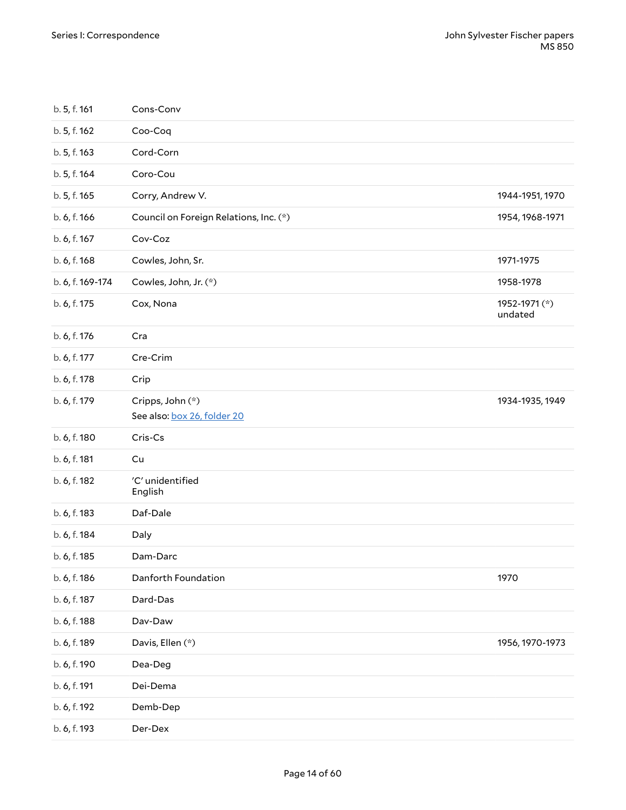<span id="page-13-6"></span><span id="page-13-5"></span><span id="page-13-4"></span><span id="page-13-3"></span><span id="page-13-2"></span><span id="page-13-1"></span><span id="page-13-0"></span>

| b. 5, f. 161     | Cons-Conv                                       |                          |
|------------------|-------------------------------------------------|--------------------------|
| b. 5, f. 162     | Coo-Coq                                         |                          |
| b. 5, f. 163     | Cord-Corn                                       |                          |
| b. 5, f. 164     | Coro-Cou                                        |                          |
| b. 5, f. 165     | Corry, Andrew V.                                | 1944-1951, 1970          |
| b. 6, f. 166     | Council on Foreign Relations, Inc. (*)          | 1954, 1968-1971          |
| b. 6, f. 167     | Cov-Coz                                         |                          |
| b. 6, f. 168     | Cowles, John, Sr.                               | 1971-1975                |
| b. 6, f. 169-174 | Cowles, John, Jr. (*)                           | 1958-1978                |
| b. 6, f. 175     | Cox, Nona                                       | 1952-1971 (*)<br>undated |
| b. 6, f. 176     | Cra                                             |                          |
| b. 6, f. 177     | Cre-Crim                                        |                          |
| b. 6, f. 178     | Crip                                            |                          |
| b. 6, f. 179     | Cripps, John (*)<br>See also: box 26, folder 20 | 1934-1935, 1949          |
| b. 6, f. 180     | Cris-Cs                                         |                          |
| b. 6, f. 181     | Cu                                              |                          |
| b. 6, f. 182     | 'C' unidentified<br>English                     |                          |
| b. 6, f. 183     | Daf-Dale                                        |                          |
| b. 6, f. 184     | Daly                                            |                          |
| b. 6, f. 185     | Dam-Darc                                        |                          |
| b. 6, f. 186     | Danforth Foundation                             | 1970                     |
| b. 6, f. 187     | Dard-Das                                        |                          |
| b. 6, f. 188     | Dav-Daw                                         |                          |
| b. 6, f. 189     | Davis, Ellen (*)                                | 1956, 1970-1973          |
| b. 6, f. 190     | Dea-Deg                                         |                          |
| b. 6, f. 191     | Dei-Dema                                        |                          |
| b. 6, f. 192     | Demb-Dep                                        |                          |
| b. 6, f. 193     | Der-Dex                                         |                          |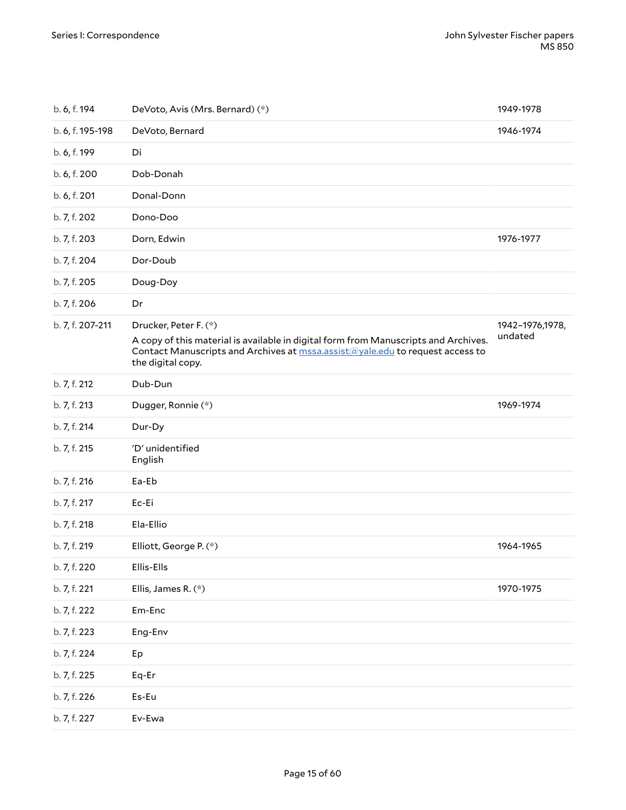<span id="page-14-3"></span><span id="page-14-2"></span><span id="page-14-1"></span><span id="page-14-0"></span>

| b. 6, f. 194     | DeVoto, Avis (Mrs. Bernard) (*)                                                                                                                                                                                    | 1949-1978                  |
|------------------|--------------------------------------------------------------------------------------------------------------------------------------------------------------------------------------------------------------------|----------------------------|
| b. 6, f. 195-198 | DeVoto, Bernard                                                                                                                                                                                                    | 1946-1974                  |
| b. 6, f. 199     | Di                                                                                                                                                                                                                 |                            |
| b. 6, f. 200     | Dob-Donah                                                                                                                                                                                                          |                            |
| b. 6, f. 201     | Donal-Donn                                                                                                                                                                                                         |                            |
| b. 7, f. 202     | Dono-Doo                                                                                                                                                                                                           |                            |
| b. 7, f. 203     | Dorn, Edwin                                                                                                                                                                                                        | 1976-1977                  |
| b. 7, f. 204     | Dor-Doub                                                                                                                                                                                                           |                            |
| b. 7, f. 205     | Doug-Doy                                                                                                                                                                                                           |                            |
| b. 7, f. 206     | Dr                                                                                                                                                                                                                 |                            |
| b. 7, f. 207-211 | Drucker, Peter F. (*)<br>A copy of this material is available in digital form from Manuscripts and Archives.<br>Contact Manuscripts and Archives at mssa.assist@yale.edu to request access to<br>the digital copy. | 1942-1976,1978,<br>undated |
| b. 7, f. 212     | Dub-Dun                                                                                                                                                                                                            |                            |
| b. 7, f. 213     | Dugger, Ronnie (*)                                                                                                                                                                                                 | 1969-1974                  |
| b. 7, f. 214     | Dur-Dy                                                                                                                                                                                                             |                            |
| b. 7, f. 215     | 'D' unidentified<br>English                                                                                                                                                                                        |                            |
| b. 7, f. 216     | Ea-Eb                                                                                                                                                                                                              |                            |
| b. 7, f. 217     | Ec-Ei                                                                                                                                                                                                              |                            |
| b. 7, f. 218     | Ela-Ellio                                                                                                                                                                                                          |                            |
| b. 7, f. 219     | Elliott, George P. (*)                                                                                                                                                                                             | 1964-1965                  |
| b. 7, f. 220     | Ellis-Ells                                                                                                                                                                                                         |                            |
| b. 7, f. 221     | Ellis, James R. (*)                                                                                                                                                                                                | 1970-1975                  |
| b. 7, f. 222     | Em-Enc                                                                                                                                                                                                             |                            |
| b. 7, f. 223     | Eng-Env                                                                                                                                                                                                            |                            |
| b. 7, f. 224     | Ep                                                                                                                                                                                                                 |                            |
| b. 7, f. 225     | Eq-Er                                                                                                                                                                                                              |                            |
| b. 7, f. 226     | Es-Eu                                                                                                                                                                                                              |                            |
| b. 7, f. 227     | Ev-Ewa                                                                                                                                                                                                             |                            |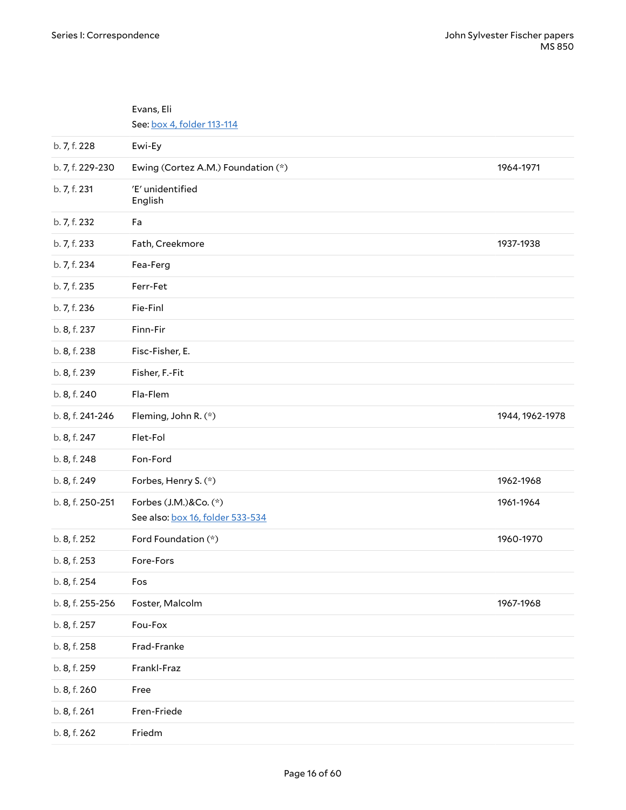<span id="page-15-4"></span><span id="page-15-3"></span><span id="page-15-2"></span><span id="page-15-1"></span><span id="page-15-0"></span>

|                  | Evans, Eli<br>See: box 4, folder 113-114                  |                 |
|------------------|-----------------------------------------------------------|-----------------|
| b. 7, f. 228     | Ewi-Ey                                                    |                 |
| b. 7, f. 229-230 | Ewing (Cortez A.M.) Foundation (*)                        | 1964-1971       |
| b. 7, f. 231     | 'E' unidentified<br>English                               |                 |
| b. 7, f. 232     | Fa                                                        |                 |
| b. 7, f. 233     | Fath, Creekmore                                           | 1937-1938       |
| b. 7, f. 234     | Fea-Ferg                                                  |                 |
| b. 7, f. 235     | Ferr-Fet                                                  |                 |
| b. 7, f. 236     | Fie-Finl                                                  |                 |
| b. 8, f. 237     | Finn-Fir                                                  |                 |
| b. 8, f. 238     | Fisc-Fisher, E.                                           |                 |
| b. 8, f. 239     | Fisher, F.-Fit                                            |                 |
| b. 8, f. 240     | Fla-Flem                                                  |                 |
| b. 8, f. 241-246 | Fleming, John R. (*)                                      | 1944, 1962-1978 |
| b. 8, f. 247     | Flet-Fol                                                  |                 |
| b. 8, f. 248     | Fon-Ford                                                  |                 |
| b. 8, f. 249     | Forbes, Henry S. (*)                                      | 1962-1968       |
| b. 8, f. 250-251 | Forbes (J.M.)&Co. (*)<br>See also: box 16, folder 533-534 | 1961-1964       |
| b. 8, f. 252     | Ford Foundation (*)                                       | 1960-1970       |
| b. 8, f. 253     | Fore-Fors                                                 |                 |
| b. 8, f. 254     | Fos                                                       |                 |
| b. 8, f. 255-256 | Foster, Malcolm                                           | 1967-1968       |
| b. 8, f. 257     | Fou-Fox                                                   |                 |
| b. 8, f. 258     | Frad-Franke                                               |                 |
| b. 8, f. 259     | Frankl-Fraz                                               |                 |
| b. 8, f. 260     | Free                                                      |                 |
| b. 8, f. 261     | Fren-Friede                                               |                 |
| b. 8, f. 262     | Friedm                                                    |                 |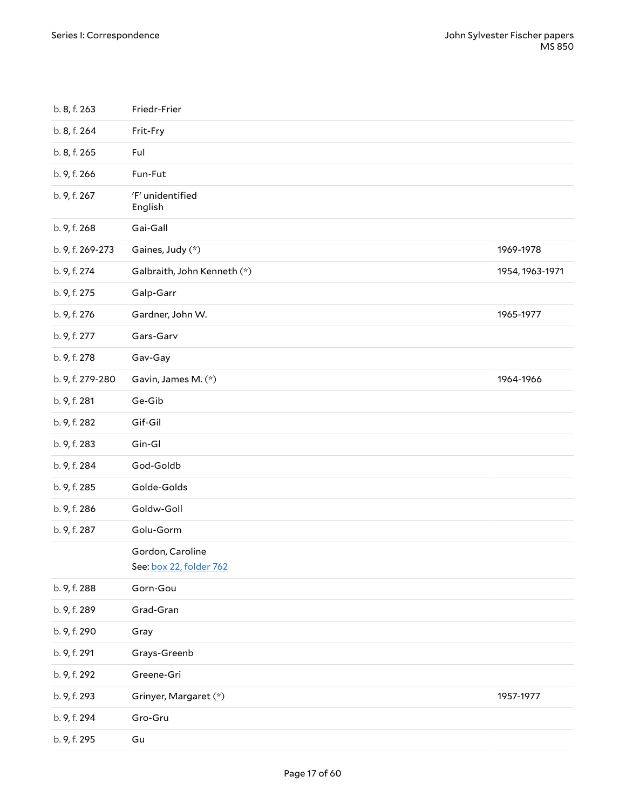<span id="page-16-2"></span><span id="page-16-1"></span><span id="page-16-0"></span>

| b. 8, f. 263     | Friedr-Frier                                |                 |
|------------------|---------------------------------------------|-----------------|
| b. 8, f. 264     | Frit-Fry                                    |                 |
| b. 8, f. 265     | Ful                                         |                 |
| b. 9, f. 266     | Fun-Fut                                     |                 |
| b. 9, f. 267     | 'F' unidentified<br>English                 |                 |
| b. 9, f. 268     | Gai-Gall                                    |                 |
| b. 9, f. 269-273 | Gaines, Judy (*)                            | 1969-1978       |
| b. 9, f. 274     | Galbraith, John Kenneth (*)                 | 1954, 1963-1971 |
| b. 9, f. 275     | Galp-Garr                                   |                 |
| b. 9, f. 276     | Gardner, John W.                            | 1965-1977       |
| b. 9, f. 277     | Gars-Garv                                   |                 |
| b. 9, f. 278     | Gav-Gay                                     |                 |
| b. 9, f. 279-280 | Gavin, James M. (*)                         | 1964-1966       |
| b. 9, f. 281     | Ge-Gib                                      |                 |
| b. 9, f. 282     | Gif-Gil                                     |                 |
| b. 9, f. 283     | Gin-Gl                                      |                 |
| b. 9, f. 284     | God-Goldb                                   |                 |
| b. 9, f. 285     | Golde-Golds                                 |                 |
| b. 9, f. 286     | Goldw-Goll                                  |                 |
| b. 9, f. 287     | Golu-Gorm                                   |                 |
|                  | Gordon, Caroline<br>See: box 22, folder 762 |                 |
| b. 9, f. 288     | Gorn-Gou                                    |                 |
| b. 9, f. 289     | Grad-Gran                                   |                 |
| b. 9, f. 290     | Gray                                        |                 |
| b. 9, f. 291     | Grays-Greenb                                |                 |
| b. 9, f. 292     | Greene-Gri                                  |                 |
| b. 9, f. 293     | Grinyer, Margaret (*)                       | 1957-1977       |
| b. 9, f. 294     | Gro-Gru                                     |                 |
| b. 9, f. 295     | Gu                                          |                 |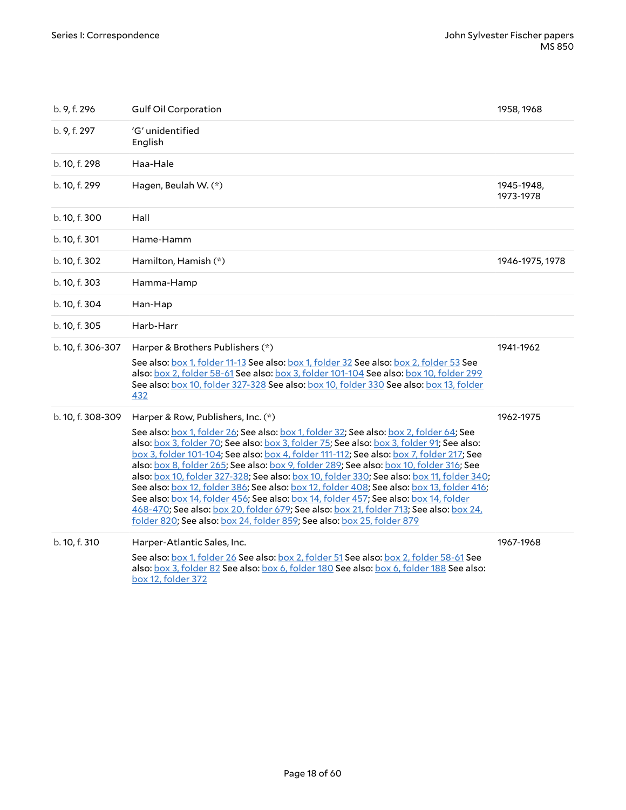<span id="page-17-2"></span><span id="page-17-1"></span><span id="page-17-0"></span>

| b. 9, f. 296      | <b>Gulf Oil Corporation</b>                                                                                                                                                                                                                                                                                                                                                                                                                                                                                                                                                                                                                                                                                                                                                                                                                                             | 1958, 1968              |
|-------------------|-------------------------------------------------------------------------------------------------------------------------------------------------------------------------------------------------------------------------------------------------------------------------------------------------------------------------------------------------------------------------------------------------------------------------------------------------------------------------------------------------------------------------------------------------------------------------------------------------------------------------------------------------------------------------------------------------------------------------------------------------------------------------------------------------------------------------------------------------------------------------|-------------------------|
| b. 9, f. 297      | 'G' unidentified<br>English                                                                                                                                                                                                                                                                                                                                                                                                                                                                                                                                                                                                                                                                                                                                                                                                                                             |                         |
| b. 10, f. 298     | Haa-Hale                                                                                                                                                                                                                                                                                                                                                                                                                                                                                                                                                                                                                                                                                                                                                                                                                                                                |                         |
| b. 10, f. 299     | Hagen, Beulah W. (*)                                                                                                                                                                                                                                                                                                                                                                                                                                                                                                                                                                                                                                                                                                                                                                                                                                                    | 1945-1948,<br>1973-1978 |
| b. 10, f. 300     | Hall                                                                                                                                                                                                                                                                                                                                                                                                                                                                                                                                                                                                                                                                                                                                                                                                                                                                    |                         |
| b. 10, f. 301     | Hame-Hamm                                                                                                                                                                                                                                                                                                                                                                                                                                                                                                                                                                                                                                                                                                                                                                                                                                                               |                         |
| b. 10, f. 302     | Hamilton, Hamish (*)                                                                                                                                                                                                                                                                                                                                                                                                                                                                                                                                                                                                                                                                                                                                                                                                                                                    | 1946-1975, 1978         |
| b. 10, f. 303     | Hamma-Hamp                                                                                                                                                                                                                                                                                                                                                                                                                                                                                                                                                                                                                                                                                                                                                                                                                                                              |                         |
| b. 10, f. 304     | Han-Hap                                                                                                                                                                                                                                                                                                                                                                                                                                                                                                                                                                                                                                                                                                                                                                                                                                                                 |                         |
| b. 10, f. 305     | Harb-Harr                                                                                                                                                                                                                                                                                                                                                                                                                                                                                                                                                                                                                                                                                                                                                                                                                                                               |                         |
| b. 10, f. 306-307 | Harper & Brothers Publishers (*)<br>See also: box 1, folder 11-13 See also: box 1, folder 32 See also: box 2, folder 53 See<br>also: box 2, folder 58-61 See also: box 3, folder 101-104 See also: box 10, folder 299<br>See also: box 10, folder 327-328 See also: box 10, folder 330 See also: box 13, folder<br>432                                                                                                                                                                                                                                                                                                                                                                                                                                                                                                                                                  | 1941-1962               |
| b. 10, f. 308-309 | Harper & Row, Publishers, Inc. (*)<br>See also: box 1, folder 26; See also: box 1, folder 32; See also: box 2, folder 64; See<br>also: box 3, folder 70; See also: box 3, folder 75; See also: box 3, folder 91; See also:<br>box 3, folder 101-104; See also: box 4, folder 111-112; See also: box 7, folder 217; See<br>also: box 8, folder 265; See also: box 9, folder 289; See also: box 10, folder 316; See<br>also: box 10, folder 327-328; See also: box 10, folder 330; See also: box 11, folder 340;<br>See also: box 12, folder 386; See also: box 12, folder 408; See also: box 13, folder 416;<br>See also: box 14, folder 456; See also: box 14, folder 457; See also: box 14, folder<br>468-470; See also: box 20, folder 679; See also: box 21, folder 713; See also: box 24,<br>folder 820; See also: box 24, folder 859; See also: box 25, folder 879 | 1962-1975               |
| b. 10, f. 310     | Harper-Atlantic Sales, Inc.<br>See also: box 1, folder 26 See also: box 2, folder 51 See also: box 2, folder 58-61 See<br>also: box 3, folder 82 See also: box 6, folder 180 See also: box 6, folder 188 See also:<br>box 12, folder 372                                                                                                                                                                                                                                                                                                                                                                                                                                                                                                                                                                                                                                | 1967-1968               |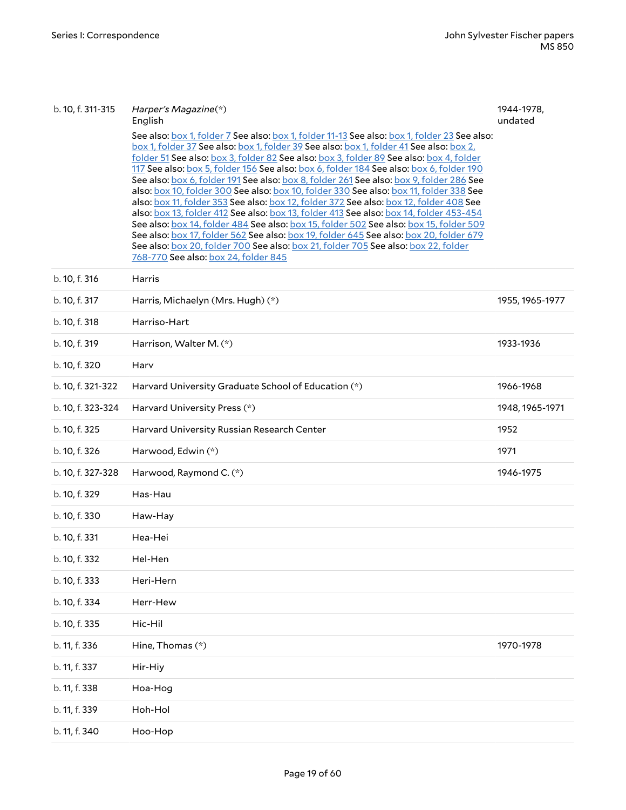<span id="page-18-5"></span><span id="page-18-4"></span><span id="page-18-3"></span><span id="page-18-2"></span><span id="page-18-1"></span><span id="page-18-0"></span>

| b. 10, f. 311-315 | Harper's Magazine(*)<br>English<br>See also: box 1, folder 7 See also: box 1, folder 11-13 See also: box 1, folder 23 See also:<br>box 1, folder 37 See also: box 1, folder 39 See also: box 1, folder 41 See also: box 2,<br>folder 51 See also: box 3, folder 82 See also: box 3, folder 89 See also: box 4, folder<br>117 See also: box 5, folder 156 See also: box 6, folder 184 See also: box 6, folder 190<br>See also: box 6, folder 191 See also: box 8, folder 261 See also: box 9, folder 286 See<br>also: box 10, folder 300 See also: box 10, folder 330 See also: box 11, folder 338 See<br>also: box 11, folder 353 See also: box 12, folder 372 See also: box 12, folder 408 See<br>also: box 13, folder 412 See also: box 13, folder 413 See also: box 14, folder 453-454<br>See also: box 14, folder 484 See also: box 15, folder 502 See also: box 15, folder 509<br>See also: box 17, folder 562 See also: box 19, folder 645 See also: box 20, folder 679<br>See also: box 20, folder 700 See also: box 21, folder 705 See also: box 22, folder<br>768-770 See also: box 24, folder 845 | 1944-1978,<br>undated |
|-------------------|-------------------------------------------------------------------------------------------------------------------------------------------------------------------------------------------------------------------------------------------------------------------------------------------------------------------------------------------------------------------------------------------------------------------------------------------------------------------------------------------------------------------------------------------------------------------------------------------------------------------------------------------------------------------------------------------------------------------------------------------------------------------------------------------------------------------------------------------------------------------------------------------------------------------------------------------------------------------------------------------------------------------------------------------------------------------------------------------------------------|-----------------------|
| b. 10, f. 316     | Harris                                                                                                                                                                                                                                                                                                                                                                                                                                                                                                                                                                                                                                                                                                                                                                                                                                                                                                                                                                                                                                                                                                      |                       |
| b. 10, f. 317     | Harris, Michaelyn (Mrs. Hugh) (*)                                                                                                                                                                                                                                                                                                                                                                                                                                                                                                                                                                                                                                                                                                                                                                                                                                                                                                                                                                                                                                                                           | 1955, 1965-1977       |
| b. 10, f. 318     | Harriso-Hart                                                                                                                                                                                                                                                                                                                                                                                                                                                                                                                                                                                                                                                                                                                                                                                                                                                                                                                                                                                                                                                                                                |                       |
| b. 10, f. 319     | Harrison, Walter M. (*)                                                                                                                                                                                                                                                                                                                                                                                                                                                                                                                                                                                                                                                                                                                                                                                                                                                                                                                                                                                                                                                                                     | 1933-1936             |
| b. 10, f. 320     | Harv                                                                                                                                                                                                                                                                                                                                                                                                                                                                                                                                                                                                                                                                                                                                                                                                                                                                                                                                                                                                                                                                                                        |                       |
| b. 10, f. 321-322 | Harvard University Graduate School of Education (*)                                                                                                                                                                                                                                                                                                                                                                                                                                                                                                                                                                                                                                                                                                                                                                                                                                                                                                                                                                                                                                                         | 1966-1968             |
| b. 10, f. 323-324 | Harvard University Press (*)                                                                                                                                                                                                                                                                                                                                                                                                                                                                                                                                                                                                                                                                                                                                                                                                                                                                                                                                                                                                                                                                                | 1948, 1965-1971       |
| b. 10, f. 325     | Harvard University Russian Research Center                                                                                                                                                                                                                                                                                                                                                                                                                                                                                                                                                                                                                                                                                                                                                                                                                                                                                                                                                                                                                                                                  | 1952                  |
| b. 10, f. 326     | Harwood, Edwin (*)                                                                                                                                                                                                                                                                                                                                                                                                                                                                                                                                                                                                                                                                                                                                                                                                                                                                                                                                                                                                                                                                                          | 1971                  |
| b. 10, f. 327-328 | Harwood, Raymond C. (*)                                                                                                                                                                                                                                                                                                                                                                                                                                                                                                                                                                                                                                                                                                                                                                                                                                                                                                                                                                                                                                                                                     | 1946-1975             |
| b. 10, f. 329     | Has-Hau                                                                                                                                                                                                                                                                                                                                                                                                                                                                                                                                                                                                                                                                                                                                                                                                                                                                                                                                                                                                                                                                                                     |                       |
| b. 10, f. 330     | Haw-Hay                                                                                                                                                                                                                                                                                                                                                                                                                                                                                                                                                                                                                                                                                                                                                                                                                                                                                                                                                                                                                                                                                                     |                       |
| b. 10, f. 331     | Hea-Hei                                                                                                                                                                                                                                                                                                                                                                                                                                                                                                                                                                                                                                                                                                                                                                                                                                                                                                                                                                                                                                                                                                     |                       |
| b. 10, f. 332     | Hel-Hen                                                                                                                                                                                                                                                                                                                                                                                                                                                                                                                                                                                                                                                                                                                                                                                                                                                                                                                                                                                                                                                                                                     |                       |
| b. 10, f. 333     | Heri-Hern                                                                                                                                                                                                                                                                                                                                                                                                                                                                                                                                                                                                                                                                                                                                                                                                                                                                                                                                                                                                                                                                                                   |                       |
| b. 10, f. 334     | Herr-Hew                                                                                                                                                                                                                                                                                                                                                                                                                                                                                                                                                                                                                                                                                                                                                                                                                                                                                                                                                                                                                                                                                                    |                       |
| b. 10, f. 335     | Hic-Hil                                                                                                                                                                                                                                                                                                                                                                                                                                                                                                                                                                                                                                                                                                                                                                                                                                                                                                                                                                                                                                                                                                     |                       |
| b. 11, f. 336     | Hine, Thomas (*)                                                                                                                                                                                                                                                                                                                                                                                                                                                                                                                                                                                                                                                                                                                                                                                                                                                                                                                                                                                                                                                                                            | 1970-1978             |
| b. 11, f. 337     | Hir-Hiy                                                                                                                                                                                                                                                                                                                                                                                                                                                                                                                                                                                                                                                                                                                                                                                                                                                                                                                                                                                                                                                                                                     |                       |
|                   |                                                                                                                                                                                                                                                                                                                                                                                                                                                                                                                                                                                                                                                                                                                                                                                                                                                                                                                                                                                                                                                                                                             |                       |
| b. 11, f. 338     | Hoa-Hog                                                                                                                                                                                                                                                                                                                                                                                                                                                                                                                                                                                                                                                                                                                                                                                                                                                                                                                                                                                                                                                                                                     |                       |
| b. 11, f. 339     | Hoh-Hol                                                                                                                                                                                                                                                                                                                                                                                                                                                                                                                                                                                                                                                                                                                                                                                                                                                                                                                                                                                                                                                                                                     |                       |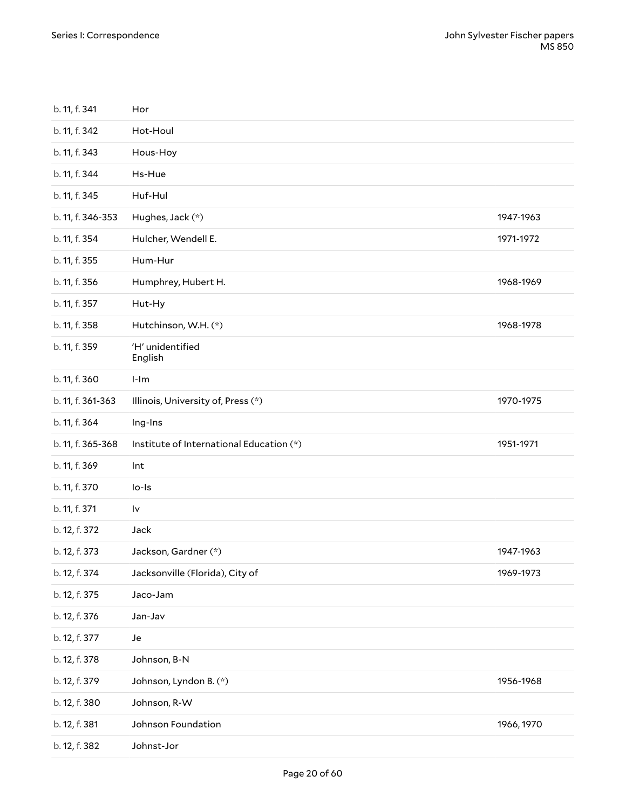<span id="page-19-2"></span><span id="page-19-1"></span><span id="page-19-0"></span>

| b. 11, f. 341     | Hor                                      |            |
|-------------------|------------------------------------------|------------|
| b. 11, f. 342     | Hot-Houl                                 |            |
| b. 11, f. 343     | Hous-Hoy                                 |            |
| b. 11, f. 344     | Hs-Hue                                   |            |
| b. 11, f. 345     | Huf-Hul                                  |            |
| b. 11, f. 346-353 | Hughes, Jack (*)                         | 1947-1963  |
| b. 11, f. 354     | Hulcher, Wendell E.                      | 1971-1972  |
| b. 11, f. 355     | Hum-Hur                                  |            |
| b. 11, f. 356     | Humphrey, Hubert H.                      | 1968-1969  |
| b. 11, f. 357     | Hut-Hy                                   |            |
| b. 11, f. 358     | Hutchinson, W.H. (*)                     | 1968-1978  |
| b. 11, f. 359     | 'H' unidentified<br>English              |            |
| b. 11, f. 360     | $l-lm$                                   |            |
| b. 11, f. 361-363 | Illinois, University of, Press (*)       | 1970-1975  |
| b. 11, f. 364     | Ing-Ins                                  |            |
| b. 11, f. 365-368 | Institute of International Education (*) | 1951-1971  |
| b. 11, f. 369     | Int                                      |            |
| b. 11, f. 370     | $Io-Is$                                  |            |
| b. 11, f. 371     | l٧                                       |            |
| b. 12, f. 372     | Jack                                     |            |
| b. 12, f. 373     | Jackson, Gardner (*)                     | 1947-1963  |
| b. 12, f. 374     | Jacksonville (Florida), City of          | 1969-1973  |
| b. 12, f. 375     | Jaco-Jam                                 |            |
| b. 12, f. 376     | Jan-Jav                                  |            |
| b. 12, f. 377     | Je                                       |            |
| b. 12, f. 378     | Johnson, B-N                             |            |
| b. 12, f. 379     | Johnson, Lyndon B. (*)                   | 1956-1968  |
| b. 12, f. 380     | Johnson, R-W                             |            |
| b. 12, f. 381     | Johnson Foundation                       | 1966, 1970 |
|                   |                                          |            |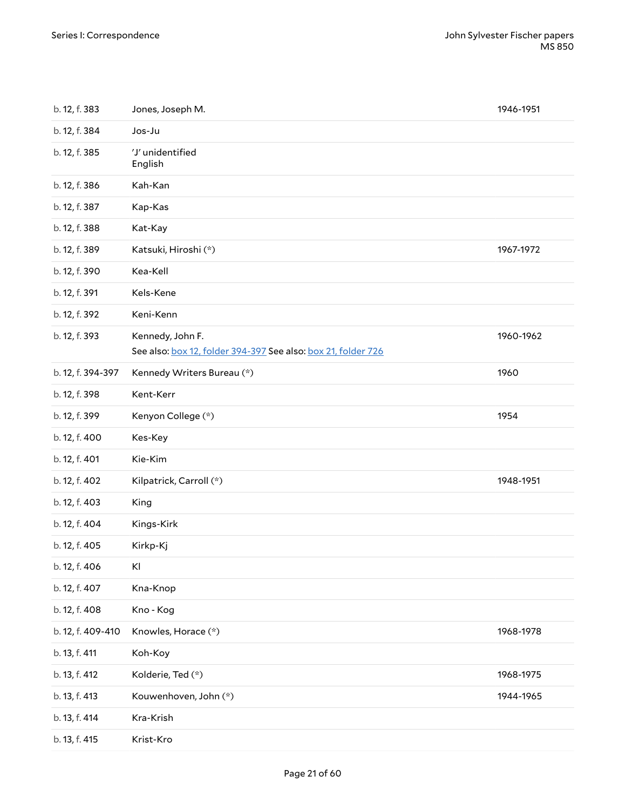<span id="page-20-4"></span><span id="page-20-3"></span><span id="page-20-2"></span><span id="page-20-1"></span><span id="page-20-0"></span>

| b. 12, f. 383     | Jones, Joseph M.                                                                  | 1946-1951 |
|-------------------|-----------------------------------------------------------------------------------|-----------|
| b. 12, f. 384     | Jos-Ju                                                                            |           |
| b. 12, f. 385     | 'J' unidentified<br>English                                                       |           |
| b. 12, f. 386     | Kah-Kan                                                                           |           |
| b. 12, f. 387     | Kap-Kas                                                                           |           |
| b. 12, f. 388     | Kat-Kay                                                                           |           |
| b. 12, f. 389     | Katsuki, Hiroshi (*)                                                              | 1967-1972 |
| b. 12, f. 390     | Kea-Kell                                                                          |           |
| b. 12, f. 391     | Kels-Kene                                                                         |           |
| b. 12, f. 392     | Keni-Kenn                                                                         |           |
| b. 12, f. 393     | Kennedy, John F.<br>See also: box 12, folder 394-397 See also: box 21, folder 726 | 1960-1962 |
| b. 12, f. 394-397 | Kennedy Writers Bureau (*)                                                        | 1960      |
| b. 12, f. 398     | Kent-Kerr                                                                         |           |
| b. 12, f. 399     | Kenyon College (*)                                                                | 1954      |
| b. 12, f. 400     | Kes-Key                                                                           |           |
| b. 12, f. 401     | Kie-Kim                                                                           |           |
| b. 12, f. 402     | Kilpatrick, Carroll (*)                                                           | 1948-1951 |
| b. 12, f. 403     | King                                                                              |           |
| b. 12, f. 404     | Kings-Kirk                                                                        |           |
| b. 12, f. 405     | Kirkp-Kj                                                                          |           |
| b. 12, f. 406     | KI                                                                                |           |
| b. 12, f. 407     | Kna-Knop                                                                          |           |
| b. 12, f. 408     | Kno - Kog                                                                         |           |
| b. 12, f. 409-410 | Knowles, Horace (*)                                                               | 1968-1978 |
| b. 13, f. 411     | Koh-Koy                                                                           |           |
| b. 13, f. 412     | Kolderie, Ted (*)                                                                 | 1968-1975 |
| b. 13, f. 413     | Kouwenhoven, John (*)                                                             | 1944-1965 |
| b. 13, f. 414     | Kra-Krish                                                                         |           |
| b. 13, f. 415     | Krist-Kro                                                                         |           |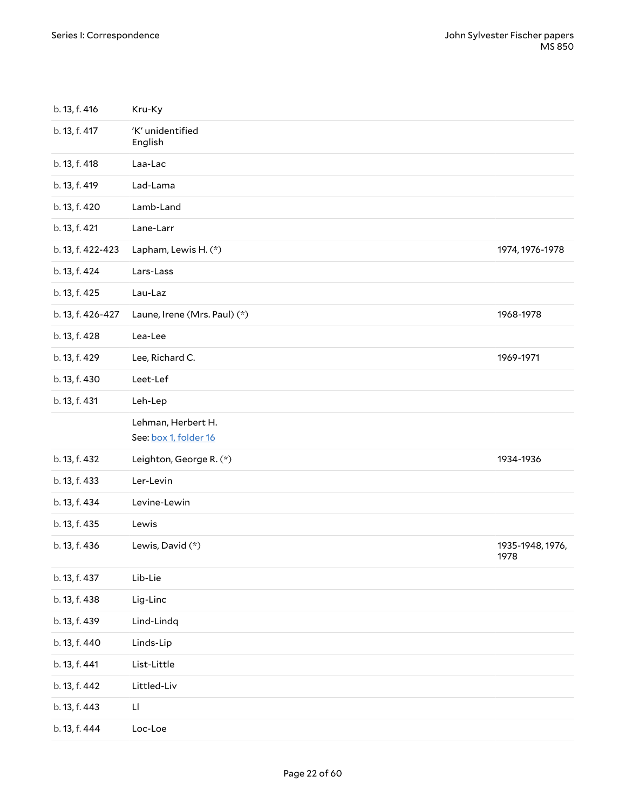<span id="page-21-1"></span><span id="page-21-0"></span>

| b. 13, f. 416     | Kru-Ky                                      |                          |
|-------------------|---------------------------------------------|--------------------------|
| b. 13, f. 417     | 'K' unidentified<br>English                 |                          |
| b. 13, f. 418     | Laa-Lac                                     |                          |
| b. 13, f. 419     | Lad-Lama                                    |                          |
| b. 13, f. 420     | Lamb-Land                                   |                          |
| b. 13, f. 421     | Lane-Larr                                   |                          |
| b. 13, f. 422-423 | Lapham, Lewis H. (*)                        | 1974, 1976-1978          |
| b. 13, f. 424     | Lars-Lass                                   |                          |
| b. 13, f. 425     | Lau-Laz                                     |                          |
| b. 13, f. 426-427 | Laune, Irene (Mrs. Paul) (*)                | 1968-1978                |
| b. 13, f. 428     | Lea-Lee                                     |                          |
| b. 13, f. 429     | Lee, Richard C.                             | 1969-1971                |
| b. 13, f. 430     | Leet-Lef                                    |                          |
| b. 13, f. 431     | Leh-Lep                                     |                          |
|                   | Lehman, Herbert H.<br>See: box 1, folder 16 |                          |
| b. 13, f. 432     | Leighton, George R. (*)                     | 1934-1936                |
| b. 13, f. 433     | Ler-Levin                                   |                          |
| b. 13, f. 434     | Levine-Lewin                                |                          |
| b. 13, f. 435     | Lewis                                       |                          |
| b. 13, f. 436     | Lewis, David (*)                            | 1935-1948, 1976,<br>1978 |
| b. 13, f. 437     | Lib-Lie                                     |                          |
| b. 13, f. 438     | Lig-Linc                                    |                          |
| b. 13, f. 439     | Lind-Lindq                                  |                          |
| b. 13, f. 440     | Linds-Lip                                   |                          |
| b. 13, f. 441     | List-Little                                 |                          |
| b. 13, f. 442     | Littled-Liv                                 |                          |
| b. 13, f. 443     | П                                           |                          |
| b. 13, f. 444     | Loc-Loe                                     |                          |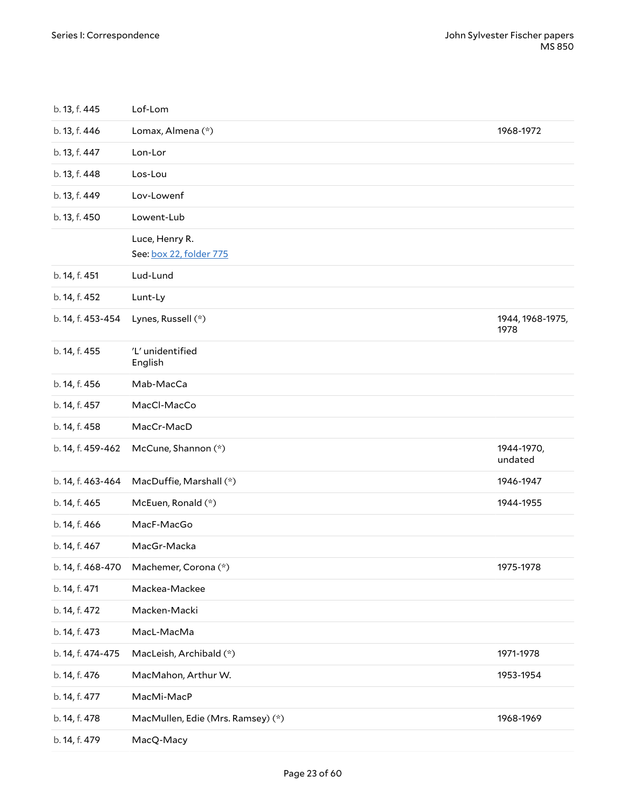<span id="page-22-5"></span><span id="page-22-4"></span><span id="page-22-3"></span><span id="page-22-2"></span><span id="page-22-1"></span><span id="page-22-0"></span>

| b. 13, f. 445     | Lof-Lom                                   |                          |
|-------------------|-------------------------------------------|--------------------------|
| b. 13, f. 446     | Lomax, Almena (*)                         | 1968-1972                |
| b. 13, f. 447     | Lon-Lor                                   |                          |
| b. 13, f. 448     | Los-Lou                                   |                          |
| b. 13, f. 449     | Lov-Lowenf                                |                          |
| b. 13, f. 450     | Lowent-Lub                                |                          |
|                   | Luce, Henry R.<br>See: box 22, folder 775 |                          |
| b. 14, f. 451     | Lud-Lund                                  |                          |
| b. 14, f. 452     | Lunt-Ly                                   |                          |
| b. 14, f. 453-454 | Lynes, Russell (*)                        | 1944, 1968-1975,<br>1978 |
| b. 14, f. 455     | 'L' unidentified<br>English               |                          |
| b. 14, f. 456     | Mab-MacCa                                 |                          |
| b. 14, f. 457     | MacCl-MacCo                               |                          |
| b. 14, f. 458     | MacCr-MacD                                |                          |
| b. 14, f. 459-462 | McCune, Shannon (*)                       | 1944-1970,<br>undated    |
| b. 14, f. 463-464 | MacDuffie, Marshall (*)                   | 1946-1947                |
| b. 14, f. 465     | McEuen, Ronald (*)                        | 1944-1955                |
| b. 14, f. 466     | MacF-MacGo                                |                          |
| b. 14, f. 467     | MacGr-Macka                               |                          |
| b. 14, f. 468-470 | Machemer, Corona (*)                      | 1975-1978                |
| b. 14, f. 471     | Mackea-Mackee                             |                          |
| b. 14, f. 472     | Macken-Macki                              |                          |
| b. 14, f. 473     | MacL-MacMa                                |                          |
| b. 14, f. 474-475 | MacLeish, Archibald (*)                   | 1971-1978                |
| b. 14, f. 476     | MacMahon, Arthur W.                       | 1953-1954                |
| b. 14, f. 477     | MacMi-MacP                                |                          |
| b. 14, f. 478     | MacMullen, Edie (Mrs. Ramsey) (*)         | 1968-1969                |
| b. 14, f. 479     | MacQ-Macy                                 |                          |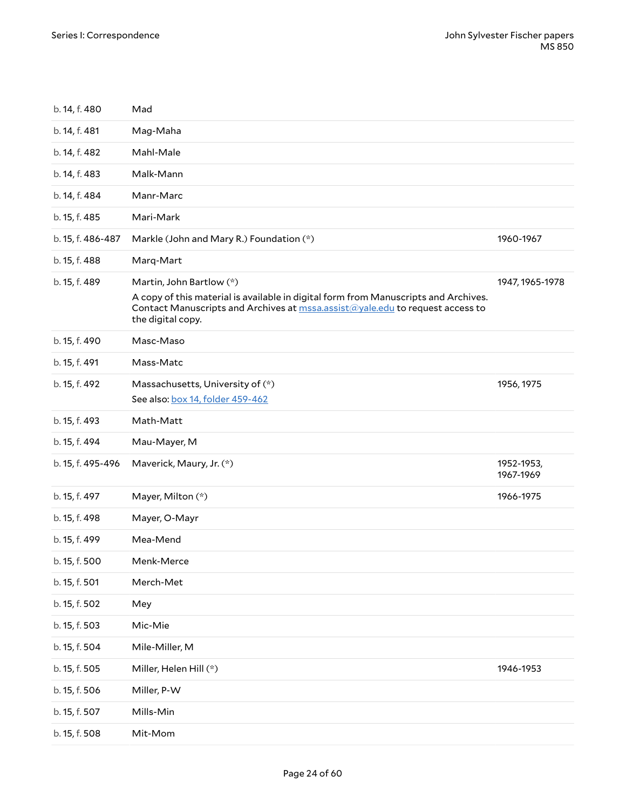<span id="page-23-3"></span><span id="page-23-2"></span><span id="page-23-1"></span><span id="page-23-0"></span>

| b. 14, f. 480     | Mad                                                                                                                                                                                                                   |                         |
|-------------------|-----------------------------------------------------------------------------------------------------------------------------------------------------------------------------------------------------------------------|-------------------------|
| b. 14, f. 481     | Mag-Maha                                                                                                                                                                                                              |                         |
| b. 14, f. 482     | Mahl-Male                                                                                                                                                                                                             |                         |
| b. 14, f. 483     | Malk-Mann                                                                                                                                                                                                             |                         |
| b. 14, f. 484     | Manr-Marc                                                                                                                                                                                                             |                         |
| b. 15, f. 485     | Mari-Mark                                                                                                                                                                                                             |                         |
| b. 15, f. 486-487 | Markle (John and Mary R.) Foundation (*)                                                                                                                                                                              | 1960-1967               |
| b. 15, f. 488     | Marq-Mart                                                                                                                                                                                                             |                         |
| b. 15, f. 489     | Martin, John Bartlow (*)<br>A copy of this material is available in digital form from Manuscripts and Archives.<br>Contact Manuscripts and Archives at mssa.assist@yale.edu to request access to<br>the digital copy. | 1947, 1965-1978         |
| b. 15, f. 490     | Masc-Maso                                                                                                                                                                                                             |                         |
| b. 15, f. 491     | Mass-Matc                                                                                                                                                                                                             |                         |
| b. 15, f. 492     | Massachusetts, University of (*)<br>See also: box 14, folder 459-462                                                                                                                                                  | 1956, 1975              |
| b. 15, f. 493     | Math-Matt                                                                                                                                                                                                             |                         |
| b. 15, f. 494     | Mau-Mayer, M                                                                                                                                                                                                          |                         |
| b. 15, f. 495-496 | Maverick, Maury, Jr. (*)                                                                                                                                                                                              | 1952-1953,<br>1967-1969 |
| b. 15, f. 497     | Mayer, Milton (*)                                                                                                                                                                                                     | 1966-1975               |
| b. 15, f. 498     | Mayer, O-Mayr                                                                                                                                                                                                         |                         |
| b. 15, f. 499     | Mea-Mend                                                                                                                                                                                                              |                         |
| b. 15, f. 500     | Menk-Merce                                                                                                                                                                                                            |                         |
| b. 15, f. 501     | Merch-Met                                                                                                                                                                                                             |                         |
| b. 15, f. 502     | Mey                                                                                                                                                                                                                   |                         |
| b. 15, f. 503     | Mic-Mie                                                                                                                                                                                                               |                         |
| b. 15, f. 504     | Mile-Miller, M                                                                                                                                                                                                        |                         |
| b. 15, f. 505     | Miller, Helen Hill (*)                                                                                                                                                                                                | 1946-1953               |
| b. 15, f. 506     | Miller, P-W                                                                                                                                                                                                           |                         |
| b. 15, f. 507     | Mills-Min                                                                                                                                                                                                             |                         |
| b. 15, f. 508     | Mit-Mom                                                                                                                                                                                                               |                         |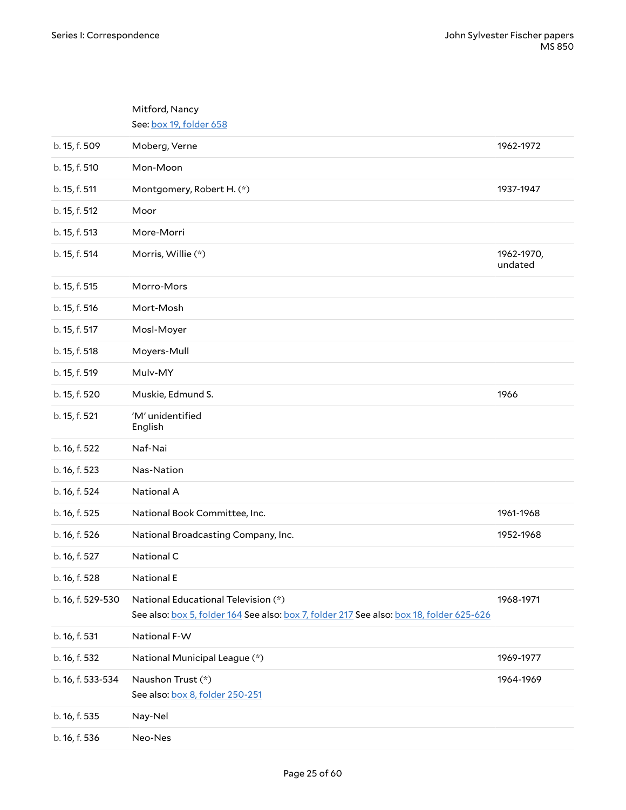<span id="page-24-4"></span><span id="page-24-3"></span><span id="page-24-2"></span><span id="page-24-1"></span><span id="page-24-0"></span>

|                   | Mitford, Nancy                                                                                                                  |                       |
|-------------------|---------------------------------------------------------------------------------------------------------------------------------|-----------------------|
|                   | See: box 19, folder 658                                                                                                         |                       |
| b. 15, f. 509     | Moberg, Verne                                                                                                                   | 1962-1972             |
| b. 15, f. 510     | Mon-Moon                                                                                                                        |                       |
| b. 15, f. 511     | Montgomery, Robert H. (*)                                                                                                       | 1937-1947             |
| b. 15, f. 512     | Moor                                                                                                                            |                       |
| b. 15, f. 513     | More-Morri                                                                                                                      |                       |
| b. 15, f. 514     | Morris, Willie (*)                                                                                                              | 1962-1970,<br>undated |
| b. 15, f. 515     | Morro-Mors                                                                                                                      |                       |
| b. 15, f. 516     | Mort-Mosh                                                                                                                       |                       |
| b. 15, f. 517     | Mosl-Moyer                                                                                                                      |                       |
| b. 15, f. 518     | Moyers-Mull                                                                                                                     |                       |
| b. 15, f. 519     | Mulv-MY                                                                                                                         |                       |
| b. 15, f. 520     | Muskie, Edmund S.                                                                                                               | 1966                  |
| b. 15, f. 521     | 'M' unidentified<br>English                                                                                                     |                       |
| b. 16, f. 522     | Naf-Nai                                                                                                                         |                       |
| b. 16, f. 523     | Nas-Nation                                                                                                                      |                       |
| b. 16, f. 524     | National A                                                                                                                      |                       |
| b. 16, f. 525     | National Book Committee, Inc.                                                                                                   | 1961-1968             |
| b. 16, f. 526     | National Broadcasting Company, Inc.                                                                                             | 1952-1968             |
| b. 16, f. 527     | National C                                                                                                                      |                       |
| b. 16, f. 528     | <b>National E</b>                                                                                                               |                       |
| b. 16, f. 529-530 | National Educational Television (*)<br>See also: box 5, folder 164 See also: box 7, folder 217 See also: box 18, folder 625-626 | 1968-1971             |
| b. 16, f. 531     | National F-W                                                                                                                    |                       |
| b. 16, f. 532     | National Municipal League (*)                                                                                                   | 1969-1977             |
| b. 16, f. 533-534 | Naushon Trust (*)<br>See also: box 8, folder 250-251                                                                            | 1964-1969             |
| b. 16, f. 535     | Nay-Nel                                                                                                                         |                       |
| b. 16, f. 536     | Neo-Nes                                                                                                                         |                       |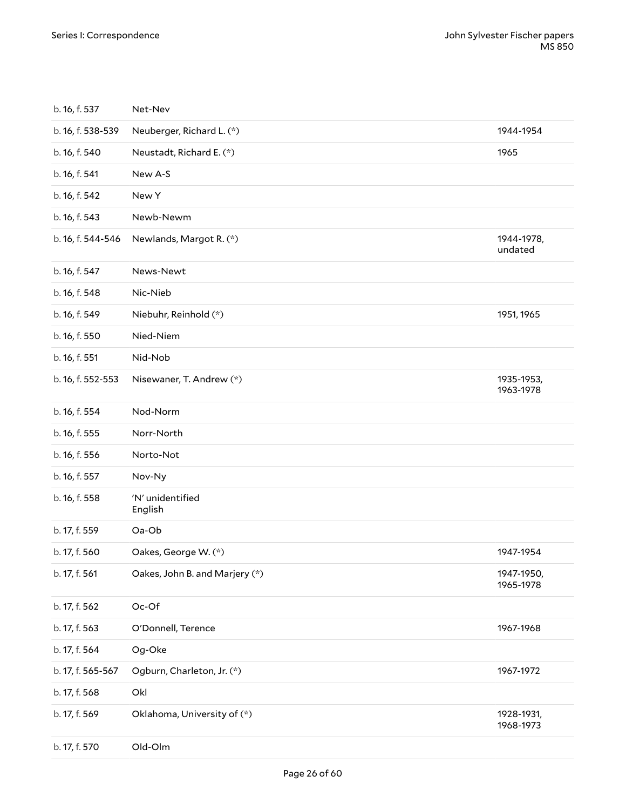<span id="page-25-0"></span>

| b. 16, f. 537     | Net-Nev                        |                         |
|-------------------|--------------------------------|-------------------------|
| b. 16, f. 538-539 | Neuberger, Richard L. (*)      | 1944-1954               |
| b. 16, f. 540     | Neustadt, Richard E. (*)       | 1965                    |
| b. 16, f. 541     | New A-S                        |                         |
| b. 16, f. 542     | New Y                          |                         |
| b. 16, f. 543     | Newb-Newm                      |                         |
| b. 16, f. 544-546 | Newlands, Margot R. (*)        | 1944-1978,<br>undated   |
| b. 16, f. 547     | News-Newt                      |                         |
| b. 16, f. 548     | Nic-Nieb                       |                         |
| b. 16, f. 549     | Niebuhr, Reinhold (*)          | 1951, 1965              |
| b. 16, f. 550     | Nied-Niem                      |                         |
| b. 16, f. 551     | Nid-Nob                        |                         |
| b. 16, f. 552-553 | Nisewaner, T. Andrew (*)       | 1935-1953,<br>1963-1978 |
| b. 16, f. 554     | Nod-Norm                       |                         |
| b. 16, f. 555     | Norr-North                     |                         |
| b. 16, f. 556     | Norto-Not                      |                         |
| b. 16, f. 557     | Nov-Ny                         |                         |
| b. 16, f. 558     | 'N' unidentified<br>English    |                         |
| b. 17, f. 559     | Oa-Ob                          |                         |
| b. 17, f. 560     | Oakes, George W. (*)           | 1947-1954               |
| b. 17, f. 561     | Oakes, John B. and Marjery (*) | 1947-1950,<br>1965-1978 |
| b. 17, f. 562     | Oc-Of                          |                         |
| b. 17, f. 563     | O'Donnell, Terence             | 1967-1968               |
| b. 17, f. 564     | Og-Oke                         |                         |
| b. 17, f. 565-567 | Ogburn, Charleton, Jr. (*)     | 1967-1972               |
| b. 17, f. 568     | Okl                            |                         |
| b. 17, f. 569     | Oklahoma, University of (*)    | 1928-1931,<br>1968-1973 |
| b. 17, f. 570     | Old-Olm                        |                         |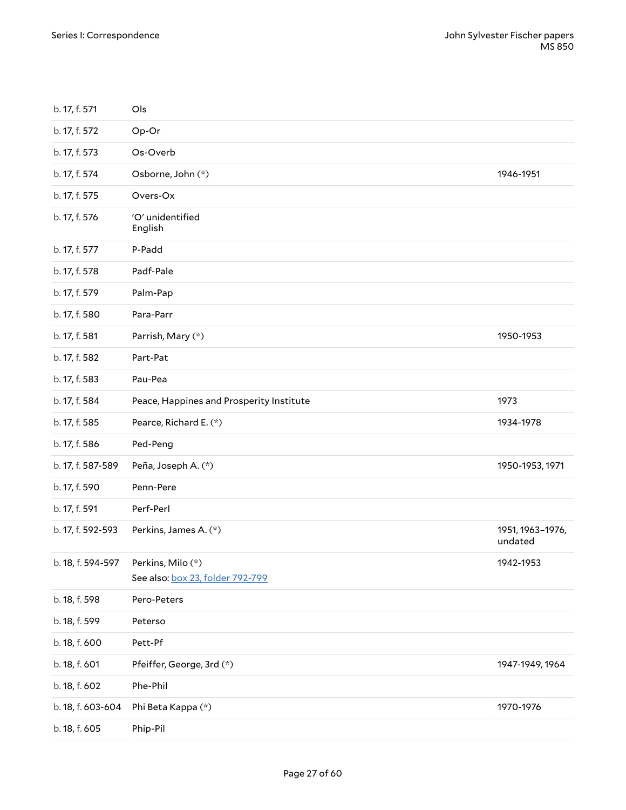<span id="page-26-0"></span>

| b. 17, f. 571     | Ols                                      |                             |
|-------------------|------------------------------------------|-----------------------------|
| b. 17, f. 572     | Op-Or                                    |                             |
| b. 17, f. 573     | Os-Overb                                 |                             |
| b. 17, f. 574     | Osborne, John (*)                        | 1946-1951                   |
| b. 17, f. 575     | Overs-Ox                                 |                             |
| b. 17, f. 576     | 'O' unidentified<br>English              |                             |
| b. 17, f. 577     | P-Padd                                   |                             |
| b. 17, f. 578     | Padf-Pale                                |                             |
| b. 17, f. 579     | Palm-Pap                                 |                             |
| b. 17, f. 580     | Para-Parr                                |                             |
| b. 17, f. 581     | Parrish, Mary (*)                        | 1950-1953                   |
| b. 17, f. 582     | Part-Pat                                 |                             |
| b. 17, f. 583     | Pau-Pea                                  |                             |
| b. 17, f. 584     | Peace, Happines and Prosperity Institute | 1973                        |
| b. 17, f. 585     | Pearce, Richard E. (*)                   | 1934-1978                   |
| b. 17, f. 586     | Ped-Peng                                 |                             |
| b. 17, f. 587-589 | Peña, Joseph A. (*)                      | 1950-1953, 1971             |
| b. 17, f. 590     | Penn-Pere                                |                             |
| b. 17, f. 591     | Perf-Perl                                |                             |
| b. 17, f. 592-593 | Perkins, James A. (*)                    | 1951, 1963-1976,<br>undated |
| b. 18, f. 594-597 | Perkins, Milo (*)                        | 1942-1953                   |
|                   | See also: box 23, folder 792-799         |                             |
| b. 18, f. 598     | Pero-Peters                              |                             |
| b. 18, f. 599     | Peterso                                  |                             |
| b. 18, f. 600     | Pett-Pf                                  |                             |
| b. 18, f. 601     | Pfeiffer, George, 3rd (*)                | 1947-1949, 1964             |
| b. 18, f. 602     | Phe-Phil                                 |                             |
| b. 18, f. 603-604 | Phi Beta Kappa (*)                       | 1970-1976                   |
| b. 18, f. 605     | Phip-Pil                                 |                             |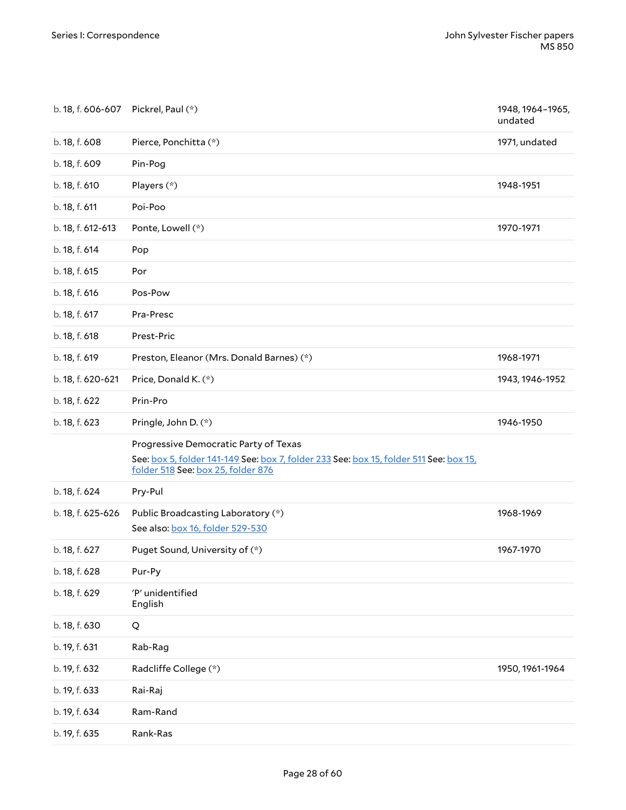<span id="page-27-1"></span><span id="page-27-0"></span>

| b. 18, f. 606-607 Pickrel, Paul (*) |                                                                                                                                                                       | 1948, 1964-1965,<br>undated |
|-------------------------------------|-----------------------------------------------------------------------------------------------------------------------------------------------------------------------|-----------------------------|
| b. 18, f. 608                       | Pierce, Ponchitta (*)                                                                                                                                                 | 1971, undated               |
| b. 18, f. 609                       | Pin-Pog                                                                                                                                                               |                             |
| b. 18, f. 610                       | Players (*)                                                                                                                                                           | 1948-1951                   |
| b. 18, f. 611                       | Poi-Poo                                                                                                                                                               |                             |
| b. 18, f. 612-613                   | Ponte, Lowell (*)                                                                                                                                                     | 1970-1971                   |
| b. 18, f. 614                       | Pop                                                                                                                                                                   |                             |
| b. 18, f. 615                       | Por                                                                                                                                                                   |                             |
| b. 18, f. 616                       | Pos-Pow                                                                                                                                                               |                             |
| b. 18, f. 617                       | Pra-Presc                                                                                                                                                             |                             |
| b. 18, f. 618                       | Prest-Pric                                                                                                                                                            |                             |
| b. 18, f. 619                       | Preston, Eleanor (Mrs. Donald Barnes) (*)                                                                                                                             | 1968-1971                   |
| b. 18, f. 620-621                   | Price, Donald K. (*)                                                                                                                                                  | 1943, 1946-1952             |
| b. 18, f. 622                       | Prin-Pro                                                                                                                                                              |                             |
| b. 18, f. 623                       | Pringle, John D. (*)                                                                                                                                                  | 1946-1950                   |
|                                     | Progressive Democratic Party of Texas<br>See: box 5, folder 141-149 See: box 7, folder 233 See: box 15, folder 511 See: box 15,<br>folder 518 See: box 25, folder 876 |                             |
| b. 18, f. 624                       | Pry-Pul                                                                                                                                                               |                             |
| b. 18, f. 625-626                   | Public Broadcasting Laboratory (*)<br>See also: box 16, folder 529-530                                                                                                | 1968-1969                   |
| b. 18, f. 627                       | Puget Sound, University of (*)                                                                                                                                        | 1967-1970                   |
| b. 18, f. 628                       | Pur-Py                                                                                                                                                                |                             |
| b. 18, f. 629                       | 'P' unidentified<br>English                                                                                                                                           |                             |
| b. 18, f. 630                       | Q                                                                                                                                                                     |                             |
| b. 19, f. 631                       | Rab-Rag                                                                                                                                                               |                             |
| b. 19, f. 632                       | Radcliffe College (*)                                                                                                                                                 | 1950, 1961-1964             |
| b. 19, f. 633                       | Rai-Raj                                                                                                                                                               |                             |
| b. 19, f. 634                       | Ram-Rand                                                                                                                                                              |                             |
| b. 19, f. 635                       | Rank-Ras                                                                                                                                                              |                             |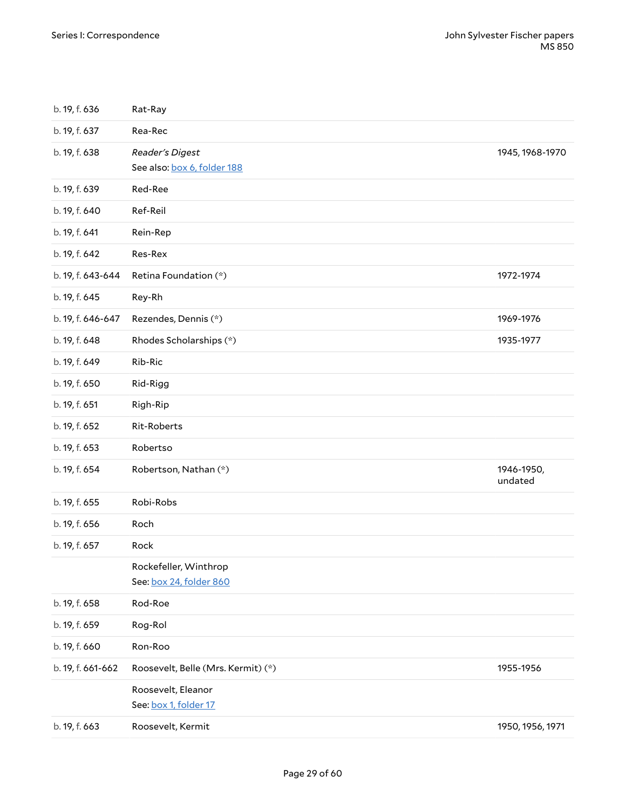<span id="page-28-1"></span><span id="page-28-0"></span>

| b. 19, f. 636     | Rat-Ray                                          |                       |
|-------------------|--------------------------------------------------|-----------------------|
| b. 19, f. 637     | Rea-Rec                                          |                       |
| b. 19, f. 638     | Reader's Digest<br>See also: box 6, folder 188   | 1945, 1968-1970       |
| b. 19, f. 639     | Red-Ree                                          |                       |
| b. 19, f. 640     | Ref-Reil                                         |                       |
| b. 19, f. 641     | Rein-Rep                                         |                       |
| b. 19, f. 642     | Res-Rex                                          |                       |
| b. 19, f. 643-644 | Retina Foundation (*)                            | 1972-1974             |
| b. 19, f. 645     | Rey-Rh                                           |                       |
| b. 19, f. 646-647 | Rezendes, Dennis (*)                             | 1969-1976             |
| b. 19, f. 648     | Rhodes Scholarships (*)                          | 1935-1977             |
| b. 19, f. 649     | Rib-Ric                                          |                       |
| b. 19, f. 650     | Rid-Rigg                                         |                       |
| b. 19, f. 651     | Righ-Rip                                         |                       |
| b. 19, f. 652     | Rit-Roberts                                      |                       |
| b. 19, f. 653     | Robertso                                         |                       |
| b. 19, f. 654     | Robertson, Nathan (*)                            | 1946-1950,<br>undated |
| b. 19, f. 655     | Robi-Robs                                        |                       |
| b. 19, f. 656     | Roch                                             |                       |
| b. 19, f. 657     | Rock                                             |                       |
|                   | Rockefeller, Winthrop<br>See: box 24, folder 860 |                       |
| b. 19, f. 658     | Rod-Roe                                          |                       |
| b. 19, f. 659     | Rog-Rol                                          |                       |
| b. 19, f. 660     | Ron-Roo                                          |                       |
| b. 19, f. 661-662 | Roosevelt, Belle (Mrs. Kermit) (*)               | 1955-1956             |
|                   | Roosevelt, Eleanor<br>See: box 1, folder 17      |                       |
| b. 19, f. 663     | Roosevelt, Kermit                                | 1950, 1956, 1971      |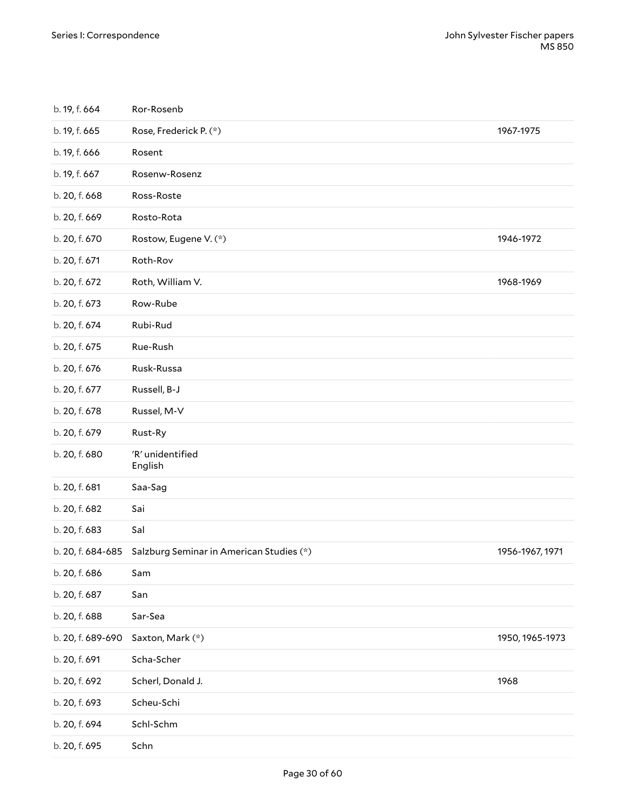<span id="page-29-0"></span>

| b. 19, f. 664     | Ror-Rosenb                               |                 |
|-------------------|------------------------------------------|-----------------|
| b. 19, f. 665     | Rose, Frederick P. (*)                   | 1967-1975       |
| b. 19, f. 666     | Rosent                                   |                 |
| b. 19, f. 667     | Rosenw-Rosenz                            |                 |
| b. 20, f. 668     | Ross-Roste                               |                 |
| b. 20, f. 669     | Rosto-Rota                               |                 |
| b. 20, f. 670     | Rostow, Eugene V. (*)                    | 1946-1972       |
| b. 20, f. 671     | Roth-Rov                                 |                 |
| b. 20, f. 672     | Roth, William V.                         | 1968-1969       |
| b. 20, f. 673     | Row-Rube                                 |                 |
| b. 20, f. 674     | Rubi-Rud                                 |                 |
| b. 20, f. 675     | Rue-Rush                                 |                 |
| b. 20, f. 676     | Rusk-Russa                               |                 |
| b. 20, f. 677     | Russell, B-J                             |                 |
| b. 20, f. 678     | Russel, M-V                              |                 |
| b. 20, f. 679     | Rust-Ry                                  |                 |
| b. 20, f. 680     | 'R' unidentified<br>English              |                 |
| b. 20, f. 681     | Saa-Sag                                  |                 |
| b. 20, f. 682     | Sai                                      |                 |
| b. 20, f. 683     | Sal                                      |                 |
| b. 20, f. 684-685 | Salzburg Seminar in American Studies (*) | 1956-1967, 1971 |
| b. 20, f. 686     | Sam                                      |                 |
| b. 20, f. 687     | San                                      |                 |
| b. 20, f. 688     | Sar-Sea                                  |                 |
| b. 20, f. 689-690 | Saxton, Mark (*)                         | 1950, 1965-1973 |
| b. 20, f. 691     | Scha-Scher                               |                 |
| b. 20, f. 692     | Scherl, Donald J.                        | 1968            |
| b. 20, f. 693     | Scheu-Schi                               |                 |
| b. 20, f. 694     | Schl-Schm                                |                 |
| b. 20, f. 695     | Schn                                     |                 |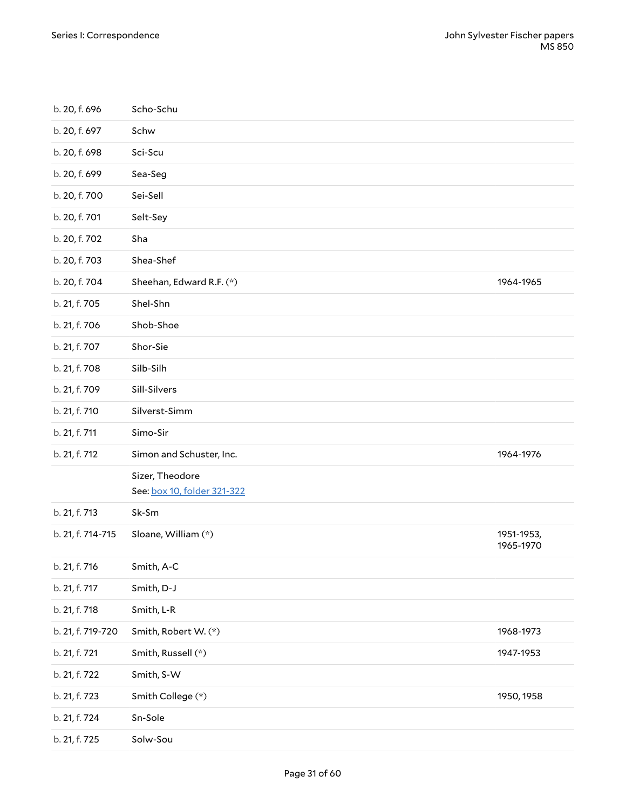<span id="page-30-2"></span><span id="page-30-1"></span><span id="page-30-0"></span>

| b. 20, f. 696     | Scho-Schu                                      |                         |
|-------------------|------------------------------------------------|-------------------------|
| b. 20, f. 697     | Schw                                           |                         |
| b. 20, f. 698     | Sci-Scu                                        |                         |
| b. 20, f. 699     | Sea-Seg                                        |                         |
| b. 20, f. 700     | Sei-Sell                                       |                         |
| b. 20, f. 701     | Selt-Sey                                       |                         |
| b. 20, f. 702     | Sha                                            |                         |
| b. 20, f. 703     | Shea-Shef                                      |                         |
| b. 20, f. 704     | Sheehan, Edward R.F. (*)                       | 1964-1965               |
| b. 21, f. 705     | Shel-Shn                                       |                         |
| b. 21, f. 706     | Shob-Shoe                                      |                         |
| b. 21, f. 707     | Shor-Sie                                       |                         |
| b. 21, f. 708     | Silb-Silh                                      |                         |
| b. 21, f. 709     | Sill-Silvers                                   |                         |
| b. 21, f. 710     | Silverst-Simm                                  |                         |
| b. 21, f. 711     | Simo-Sir                                       |                         |
| b. 21, f. 712     | Simon and Schuster, Inc.                       | 1964-1976               |
|                   | Sizer, Theodore<br>See: box 10, folder 321-322 |                         |
| b. 21, f. 713     | Sk-Sm                                          |                         |
| b. 21, f. 714-715 | Sloane, William (*)                            | 1951-1953,<br>1965-1970 |
| b. 21, f. 716     | Smith, A-C                                     |                         |
| b. 21, f. 717     | Smith, D-J                                     |                         |
| b. 21, f. 718     | Smith, L-R                                     |                         |
| b. 21, f. 719-720 | Smith, Robert W. (*)                           | 1968-1973               |
| b. 21, f. 721     | Smith, Russell (*)                             | 1947-1953               |
| b. 21, f. 722     | Smith, S-W                                     |                         |
| b. 21, f. 723     | Smith College (*)                              | 1950, 1958              |
| b. 21, f. 724     | Sn-Sole                                        |                         |
| b. 21, f. 725     | Solw-Sou                                       |                         |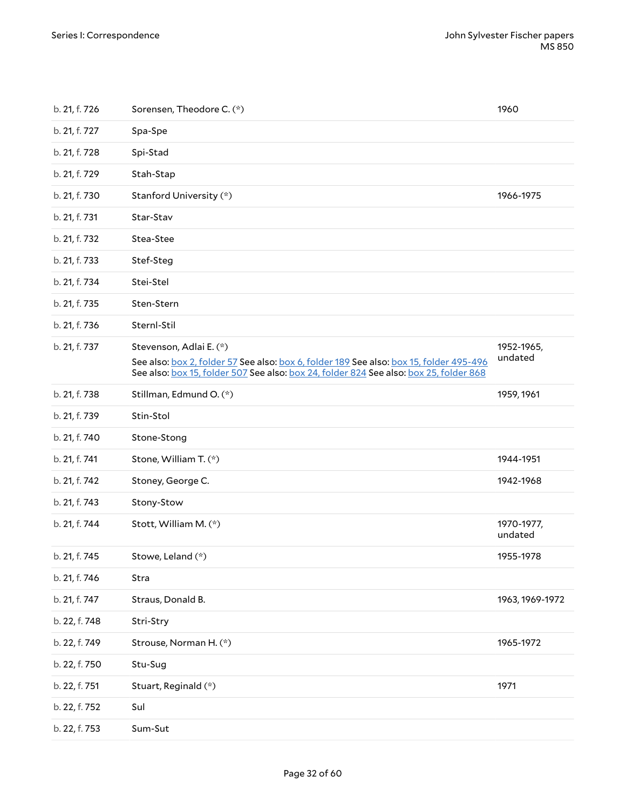<span id="page-31-1"></span><span id="page-31-0"></span>

| b. 21, f. 726 | Sorensen, Theodore C. (*)                                                                                                                                                                                    | 1960                  |
|---------------|--------------------------------------------------------------------------------------------------------------------------------------------------------------------------------------------------------------|-----------------------|
| b. 21, f. 727 | Spa-Spe                                                                                                                                                                                                      |                       |
| b. 21, f. 728 | Spi-Stad                                                                                                                                                                                                     |                       |
| b. 21, f. 729 | Stah-Stap                                                                                                                                                                                                    |                       |
| b. 21, f. 730 | Stanford University (*)                                                                                                                                                                                      | 1966-1975             |
| b. 21, f. 731 | Star-Stav                                                                                                                                                                                                    |                       |
| b. 21, f. 732 | Stea-Stee                                                                                                                                                                                                    |                       |
| b. 21, f. 733 | Stef-Steg                                                                                                                                                                                                    |                       |
| b. 21, f. 734 | Stei-Stel                                                                                                                                                                                                    |                       |
| b. 21, f. 735 | Sten-Stern                                                                                                                                                                                                   |                       |
| b. 21, f. 736 | Sternl-Stil                                                                                                                                                                                                  |                       |
| b. 21, f. 737 | Stevenson, Adlai E. (*)<br>See also: box 2, folder 57 See also: box 6, folder 189 See also: box 15, folder 495-496<br>See also: box 15, folder 507 See also: box 24, folder 824 See also: box 25, folder 868 | 1952-1965,<br>undated |
| b. 21, f. 738 | Stillman, Edmund O. (*)                                                                                                                                                                                      | 1959, 1961            |
| b. 21, f. 739 | Stin-Stol                                                                                                                                                                                                    |                       |
| b. 21, f. 740 | Stone-Stong                                                                                                                                                                                                  |                       |
| b. 21, f. 741 | Stone, William T. (*)                                                                                                                                                                                        | 1944-1951             |
| b. 21, f. 742 | Stoney, George C.                                                                                                                                                                                            | 1942-1968             |
| b. 21, f. 743 | Stony-Stow                                                                                                                                                                                                   |                       |
| b. 21, f. 744 | Stott, William M. (*)                                                                                                                                                                                        | 1970-1977,<br>undated |
| b. 21, f. 745 | Stowe, Leland (*)                                                                                                                                                                                            | 1955-1978             |
| b. 21, f. 746 | Stra                                                                                                                                                                                                         |                       |
| b. 21, f. 747 | Straus, Donald B.                                                                                                                                                                                            | 1963, 1969-1972       |
| b. 22, f. 748 | Stri-Stry                                                                                                                                                                                                    |                       |
| b. 22, f. 749 | Strouse, Norman H. (*)                                                                                                                                                                                       | 1965-1972             |
| b. 22, f. 750 | Stu-Sug                                                                                                                                                                                                      |                       |
| b. 22, f. 751 | Stuart, Reginald (*)                                                                                                                                                                                         | 1971                  |
| b. 22, f. 752 | Sul                                                                                                                                                                                                          |                       |
| b. 22, f. 753 | Sum-Sut                                                                                                                                                                                                      |                       |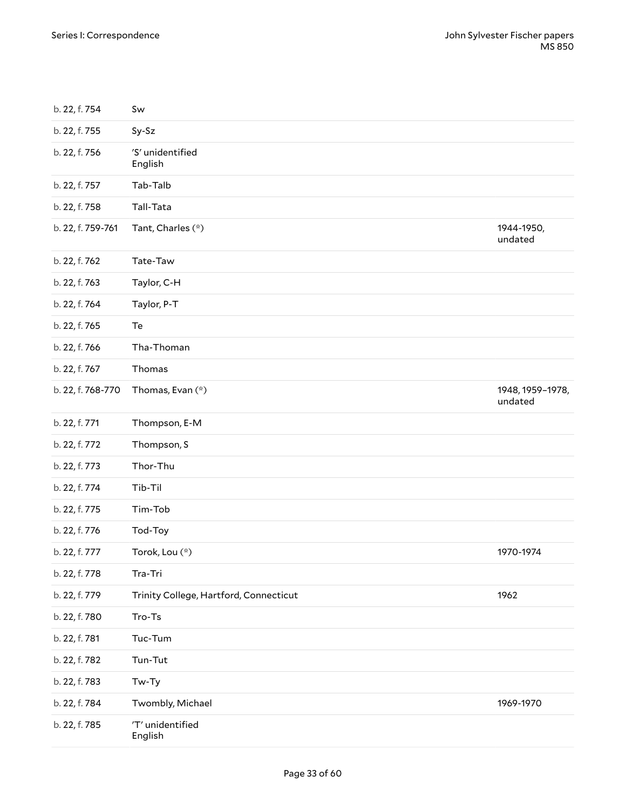<span id="page-32-2"></span><span id="page-32-1"></span><span id="page-32-0"></span>

| b. 22, f. 754     | Sw                                     |                             |
|-------------------|----------------------------------------|-----------------------------|
| b. 22, f. 755     | Sy-Sz                                  |                             |
| b. 22, f. 756     | 'S' unidentified<br>English            |                             |
| b. 22, f. 757     | Tab-Talb                               |                             |
| b. 22, f. 758     | Tall-Tata                              |                             |
| b. 22, f. 759-761 | Tant, Charles (*)                      | 1944-1950,<br>undated       |
| b. 22, f. 762     | Tate-Taw                               |                             |
| b. 22, f. 763     | Taylor, C-H                            |                             |
| b. 22, f. 764     | Taylor, P-T                            |                             |
| b. 22, f. 765     | Te                                     |                             |
| b. 22, f. 766     | Tha-Thoman                             |                             |
| b. 22, f. 767     | Thomas                                 |                             |
| b. 22, f. 768-770 | Thomas, Evan (*)                       | 1948, 1959-1978,<br>undated |
| b. 22, f. 771     | Thompson, E-M                          |                             |
| b. 22, f. 772     | Thompson, S                            |                             |
| b. 22, f. 773     | Thor-Thu                               |                             |
| b. 22, f. 774     | Tib-Til                                |                             |
| b. 22, f. 775     | Tim-Tob                                |                             |
| b. 22, f. 776     | Tod-Toy                                |                             |
| b. 22, f. 777     | Torok, Lou (*)                         | 1970-1974                   |
| b. 22, f. 778     | Tra-Tri                                |                             |
| b. 22, f. 779     | Trinity College, Hartford, Connecticut | 1962                        |
| b. 22, f. 780     | Tro-Ts                                 |                             |
| b. 22, f. 781     | Tuc-Tum                                |                             |
| b. 22, f. 782     | Tun-Tut                                |                             |
| b. 22, f. 783     | Tw-Ty                                  |                             |
| b. 22, f. 784     | Twombly, Michael                       | 1969-1970                   |
| b. 22, f. 785     | 'T' unidentified<br>English            |                             |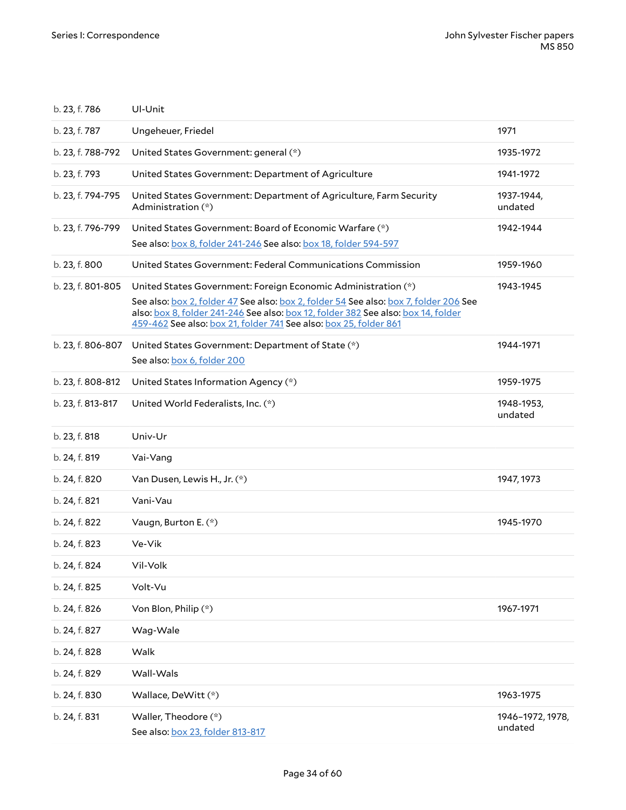<span id="page-33-3"></span><span id="page-33-2"></span><span id="page-33-1"></span><span id="page-33-0"></span>

| b. 23, f. 786     | Ul-Unit                                                                                                                                                                                                                                         |                             |
|-------------------|-------------------------------------------------------------------------------------------------------------------------------------------------------------------------------------------------------------------------------------------------|-----------------------------|
| b. 23, f. 787     | Ungeheuer, Friedel                                                                                                                                                                                                                              | 1971                        |
| b. 23, f. 788-792 | United States Government: general (*)                                                                                                                                                                                                           | 1935-1972                   |
| b. 23, f. 793     | United States Government: Department of Agriculture                                                                                                                                                                                             | 1941-1972                   |
| b. 23, f. 794-795 | United States Government: Department of Agriculture, Farm Security<br>Administration (*)                                                                                                                                                        | 1937-1944,<br>undated       |
| b. 23, f. 796-799 | United States Government: Board of Economic Warfare (*)                                                                                                                                                                                         | 1942-1944                   |
|                   | See also: box 8, folder 241-246 See also: box 18, folder 594-597                                                                                                                                                                                |                             |
| b. 23, f. 800     | United States Government: Federal Communications Commission                                                                                                                                                                                     | 1959-1960                   |
| b. 23, f. 801-805 | United States Government: Foreign Economic Administration (*)                                                                                                                                                                                   | 1943-1945                   |
|                   | See also: box 2, folder 47 See also: box 2, folder 54 See also: box 7, folder 206 See<br>also: box 8, folder 241-246 See also: box 12, folder 382 See also: box 14, folder<br>459-462 See also: box 21, folder 741 See also: box 25, folder 861 |                             |
| b. 23, f. 806-807 | United States Government: Department of State (*)                                                                                                                                                                                               | 1944-1971                   |
|                   | See also: box 6, folder 200                                                                                                                                                                                                                     |                             |
| b. 23, f. 808-812 | United States Information Agency (*)                                                                                                                                                                                                            | 1959-1975                   |
| b. 23, f. 813-817 | United World Federalists, Inc. (*)                                                                                                                                                                                                              | 1948-1953,<br>undated       |
| b. 23, f. 818     | Univ-Ur                                                                                                                                                                                                                                         |                             |
| b. 24, f. 819     | Vai-Vang                                                                                                                                                                                                                                        |                             |
| b. 24, f. 820     | Van Dusen, Lewis H., Jr. (*)                                                                                                                                                                                                                    | 1947, 1973                  |
| b. 24, f. 821     | Vani-Vau                                                                                                                                                                                                                                        |                             |
| b. 24, f. 822     | Vaugn, Burton E. (*)                                                                                                                                                                                                                            | 1945-1970                   |
| b. 24, f. 823     | Ve-Vik                                                                                                                                                                                                                                          |                             |
| b. 24, f. 824     | Vil-Volk                                                                                                                                                                                                                                        |                             |
| b. 24, f. 825     | Volt-Vu                                                                                                                                                                                                                                         |                             |
| b. 24, f. 826     | Von Blon, Philip (*)                                                                                                                                                                                                                            | 1967-1971                   |
| b. 24, f. 827     | Wag-Wale                                                                                                                                                                                                                                        |                             |
| b. 24, f. 828     | Walk                                                                                                                                                                                                                                            |                             |
| b. 24, f. 829     | Wall-Wals                                                                                                                                                                                                                                       |                             |
| b. 24, f. 830     | Wallace, DeWitt (*)                                                                                                                                                                                                                             | 1963-1975                   |
| b. 24, f. 831     | Waller, Theodore (*)<br>See also: box 23, folder 813-817                                                                                                                                                                                        | 1946-1972, 1978,<br>undated |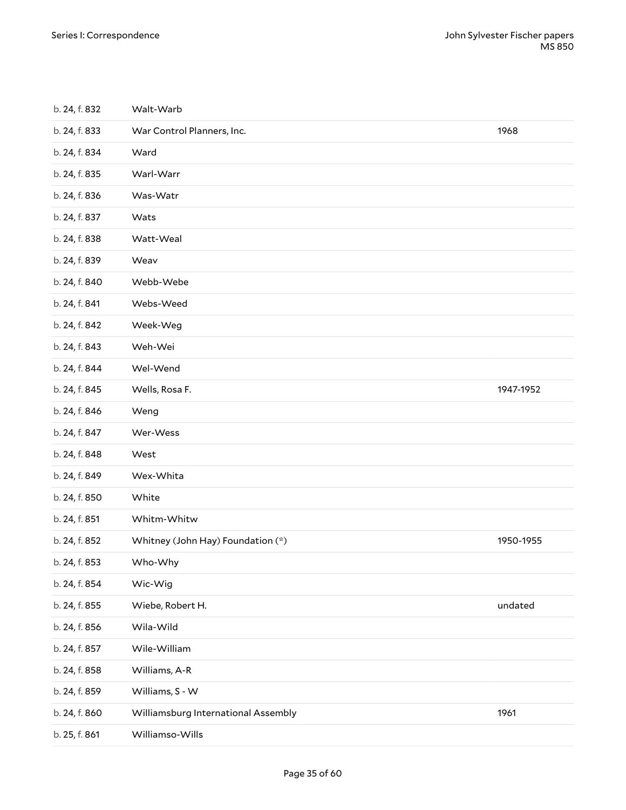<span id="page-34-3"></span><span id="page-34-2"></span><span id="page-34-1"></span><span id="page-34-0"></span>

| b. 24, f. 832 | Walt-Warb                           |           |
|---------------|-------------------------------------|-----------|
| b. 24, f. 833 | War Control Planners, Inc.          | 1968      |
| b. 24, f. 834 | Ward                                |           |
| b. 24, f. 835 | Warl-Warr                           |           |
| b. 24, f. 836 | Was-Watr                            |           |
| b. 24, f. 837 | Wats                                |           |
| b. 24, f. 838 | Watt-Weal                           |           |
| b. 24, f. 839 | Weav                                |           |
| b. 24, f. 840 | Webb-Webe                           |           |
| b. 24, f. 841 | Webs-Weed                           |           |
| b. 24, f. 842 | Week-Weg                            |           |
| b. 24, f. 843 | Weh-Wei                             |           |
| b. 24, f. 844 | Wel-Wend                            |           |
| b. 24, f. 845 | Wells, Rosa F.                      | 1947-1952 |
| b. 24, f. 846 | Weng                                |           |
| b. 24, f. 847 | Wer-Wess                            |           |
| b. 24, f. 848 | West                                |           |
| b. 24, f. 849 | Wex-Whita                           |           |
| b. 24, f. 850 | White                               |           |
| b. 24, f. 851 | Whitm-Whitw                         |           |
| b. 24, f. 852 | Whitney (John Hay) Foundation (*)   | 1950-1955 |
| b. 24, f. 853 | Who-Why                             |           |
| b. 24, f. 854 | Wic-Wig                             |           |
| b. 24, f. 855 | Wiebe, Robert H.                    | undated   |
| b. 24, f. 856 | Wila-Wild                           |           |
| b. 24, f. 857 | Wile-William                        |           |
| b. 24, f. 858 | Williams, A-R                       |           |
| b. 24, f. 859 | Williams, S - W                     |           |
| b. 24, f. 860 | Williamsburg International Assembly | 1961      |
| b. 25, f. 861 | Williamso-Wills                     |           |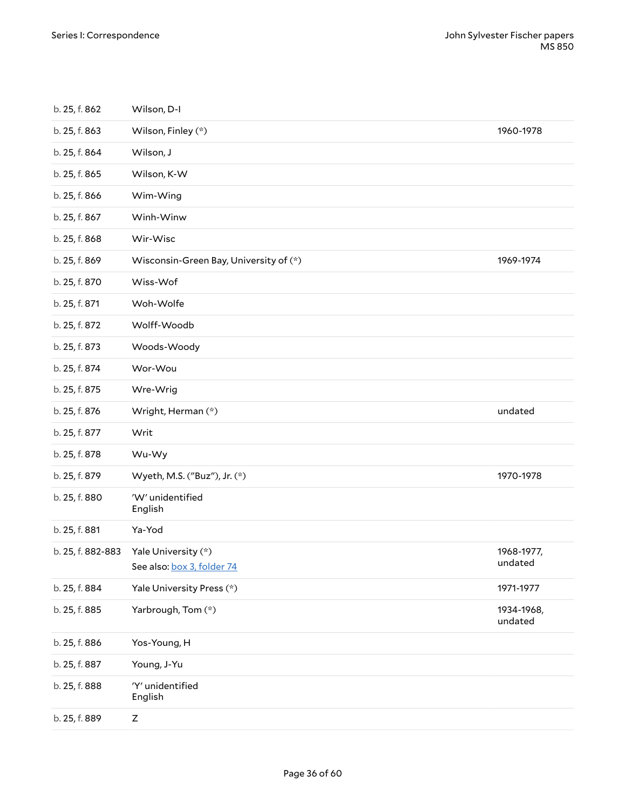<span id="page-35-3"></span><span id="page-35-2"></span><span id="page-35-1"></span><span id="page-35-0"></span>

| b. 25, f. 862     | Wilson, D-I                                       |                       |
|-------------------|---------------------------------------------------|-----------------------|
| b. 25, f. 863     | Wilson, Finley (*)                                | 1960-1978             |
| b. 25, f. 864     | Wilson, J                                         |                       |
| b. 25, f. 865     | Wilson, K-W                                       |                       |
| b. 25, f. 866     | Wim-Wing                                          |                       |
| b. 25, f. 867     | Winh-Winw                                         |                       |
| b. 25, f. 868     | Wir-Wisc                                          |                       |
| b. 25, f. 869     | Wisconsin-Green Bay, University of (*)            | 1969-1974             |
| b. 25, f. 870     | Wiss-Wof                                          |                       |
| b. 25, f. 871     | Woh-Wolfe                                         |                       |
| b. 25, f. 872     | Wolff-Woodb                                       |                       |
| b. 25, f. 873     | Woods-Woody                                       |                       |
| b. 25, f. 874     | Wor-Wou                                           |                       |
| b. 25, f. 875     | Wre-Wrig                                          |                       |
| b. 25, f. 876     | Wright, Herman (*)                                | undated               |
| b. 25, f. 877     | Writ                                              |                       |
| b. 25, f. 878     | Wu-Wy                                             |                       |
| b. 25, f. 879     | Wyeth, M.S. ("Buz"), Jr. (*)                      | 1970-1978             |
| b. 25, f. 880     | 'W' unidentified<br>English                       |                       |
| b. 25, f. 881     | Ya-Yod                                            |                       |
| b. 25, f. 882-883 | Yale University (*)<br>See also: box 3, folder 74 | 1968-1977,<br>undated |
| b. 25, f. 884     | Yale University Press (*)                         | 1971-1977             |
| b. 25, f. 885     | Yarbrough, Tom (*)                                | 1934-1968,<br>undated |
| b. 25, f. 886     | Yos-Young, H                                      |                       |
| b. 25, f. 887     | Young, J-Yu                                       |                       |
| b. 25, f. 888     | 'Y' unidentified<br>English                       |                       |
| b. 25, f. 889     | $\mathsf Z$                                       |                       |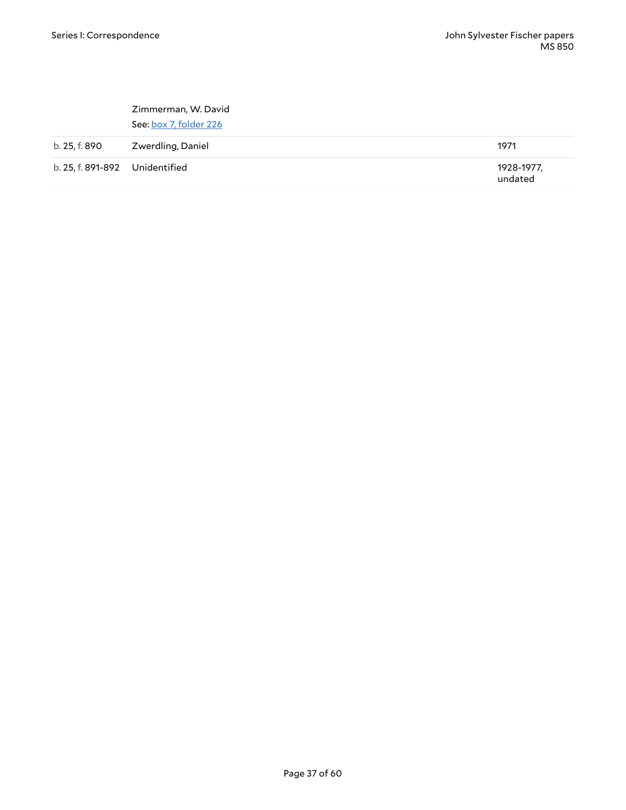|                                | Zimmerman, W. David<br>See: box 7, folder 226 |                       |
|--------------------------------|-----------------------------------------------|-----------------------|
| b. 25, f. 890                  | Zwerdling, Daniel                             | 1971                  |
| b. 25, f. 891-892 Unidentified |                                               | 1928-1977,<br>undated |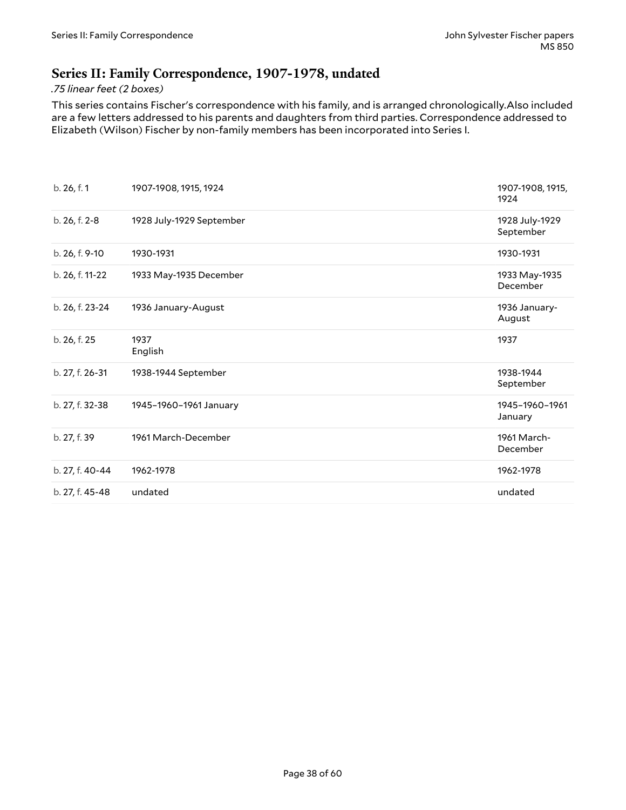### <span id="page-37-0"></span>**Series II: Family Correspondence, 1907-1978, undated**

#### *.75 linear feet (2 boxes)*

This series contains Fischer's correspondence with his family, and is arranged chronologically.Also included are a few letters addressed to his parents and daughters from third parties. Correspondence addressed to Elizabeth (Wilson) Fischer by non-family members has been incorporated into Series I.

<span id="page-37-1"></span>

| b. 26, f. 1     | 1907-1908, 1915, 1924    | 1907-1908, 1915,<br>1924    |
|-----------------|--------------------------|-----------------------------|
| b. 26, f. 2-8   | 1928 July-1929 September | 1928 July-1929<br>September |
| b. 26, f. 9-10  | 1930-1931                | 1930-1931                   |
| b. 26, f. 11-22 | 1933 May-1935 December   | 1933 May-1935<br>December   |
| b. 26, f. 23-24 | 1936 January-August      | 1936 January-<br>August     |
| b. 26, f. 25    | 1937<br>English          | 1937                        |
| b. 27, f. 26-31 | 1938-1944 September      | 1938-1944<br>September      |
| b. 27, f. 32-38 | 1945-1960-1961 January   | 1945-1960-1961<br>January   |
| b. 27, f. 39    | 1961 March-December      | 1961 March-<br>December     |
| b. 27, f. 40-44 | 1962-1978                | 1962-1978                   |
| b. 27, f. 45-48 | undated                  | undated                     |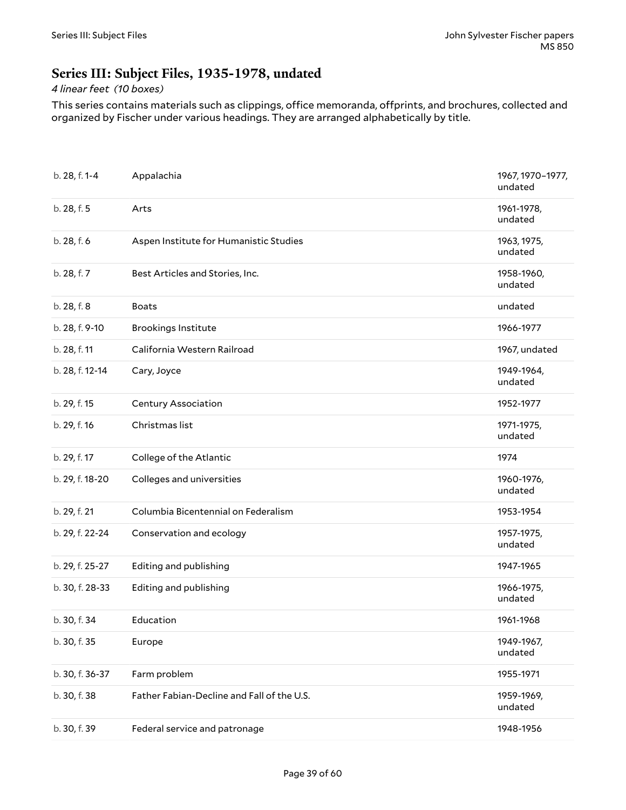### <span id="page-38-0"></span>**Series III: Subject Files, 1935-1978, undated**

#### *4 linear feet (10 boxes)*

This series contains materials such as clippings, office memoranda, offprints, and brochures, collected and organized by Fischer under various headings. They are arranged alphabetically by title.

<span id="page-38-1"></span>

| b. 28, f. 1-4   | Appalachia                                 | 1967, 1970-1977,<br>undated |
|-----------------|--------------------------------------------|-----------------------------|
| b. 28, f. 5     | Arts                                       | 1961-1978,<br>undated       |
| b. 28, f. 6     | Aspen Institute for Humanistic Studies     | 1963, 1975,<br>undated      |
| b. 28, f. 7     | Best Articles and Stories, Inc.            | 1958-1960,<br>undated       |
| b. 28, f. 8     | <b>Boats</b>                               | undated                     |
| b. 28, f. 9-10  | <b>Brookings Institute</b>                 | 1966-1977                   |
| b. 28, f. 11    | California Western Railroad                | 1967, undated               |
| b. 28, f. 12-14 | Cary, Joyce                                | 1949-1964,<br>undated       |
| b. 29, f. 15    | <b>Century Association</b>                 | 1952-1977                   |
| b. 29, f. 16    | Christmas list                             | 1971-1975,<br>undated       |
| b. 29, f. 17    | College of the Atlantic                    | 1974                        |
| b. 29, f. 18-20 | Colleges and universities                  | 1960-1976,<br>undated       |
| b. 29, f. 21    | Columbia Bicentennial on Federalism        | 1953-1954                   |
| b. 29, f. 22-24 | Conservation and ecology                   | 1957-1975,<br>undated       |
| b. 29, f. 25-27 | Editing and publishing                     | 1947-1965                   |
| b. 30, f. 28-33 | Editing and publishing                     | 1966-1975,<br>undated       |
| b. 30, f. 34    | Education                                  | 1961-1968                   |
| b. 30, f. 35    | Europe                                     | 1949-1967,<br>undated       |
| b. 30, f. 36-37 | Farm problem                               | 1955-1971                   |
| b. 30, f. 38    | Father Fabian-Decline and Fall of the U.S. | 1959-1969,<br>undated       |
| b. 30, f. 39    | Federal service and patronage              | 1948-1956                   |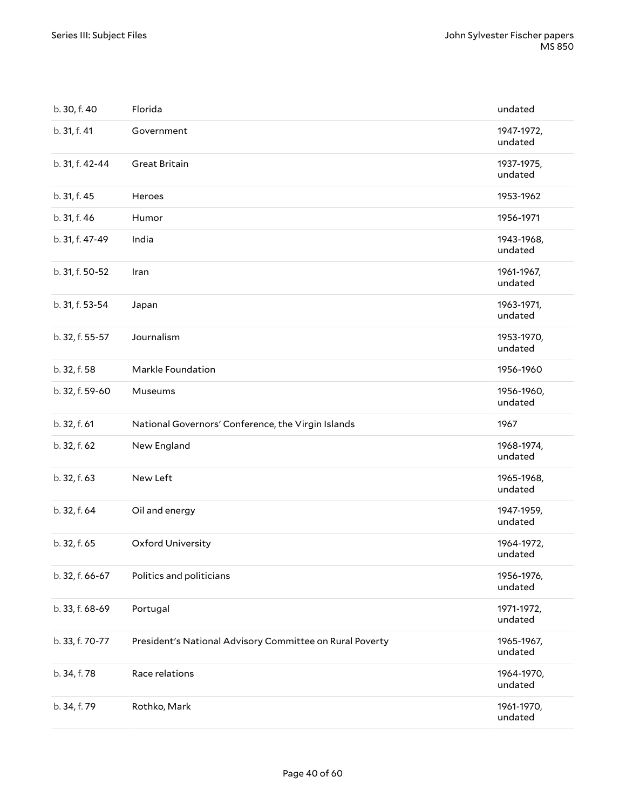| b. 30, f. 40    | Florida                                                  | undated               |
|-----------------|----------------------------------------------------------|-----------------------|
| b. 31, f. 41    | Government                                               | 1947-1972,<br>undated |
| b. 31, f. 42-44 | Great Britain                                            | 1937-1975,<br>undated |
| b. 31, f. 45    | Heroes                                                   | 1953-1962             |
| b. 31, f. 46    | Humor                                                    | 1956-1971             |
| b. 31, f. 47-49 | India                                                    | 1943-1968,<br>undated |
| b. 31, f. 50-52 | Iran                                                     | 1961-1967,<br>undated |
| b. 31, f. 53-54 | Japan                                                    | 1963-1971,<br>undated |
| b. 32, f. 55-57 | Journalism                                               | 1953-1970,<br>undated |
| b. 32, f. 58    | Markle Foundation                                        | 1956-1960             |
| b. 32, f. 59-60 | Museums                                                  | 1956-1960,<br>undated |
|                 |                                                          |                       |
| b. 32, f. 61    | National Governors' Conference, the Virgin Islands       | 1967                  |
| b. 32, f. 62    | New England                                              | 1968-1974,<br>undated |
| b. 32, f. 63    | New Left                                                 | 1965-1968,<br>undated |
| b. 32, f. 64    | Oil and energy                                           | 1947-1959,<br>undated |
| b. 32, f. 65    | Oxford University                                        | 1964-1972,<br>undated |
| b. 32, f. 66-67 | Politics and politicians                                 | 1956-1976,<br>undated |
| b. 33, f. 68-69 | Portugal                                                 | 1971-1972,<br>undated |
| b. 33, f. 70-77 | President's National Advisory Committee on Rural Poverty | 1965-1967,<br>undated |
| b. 34, f. 78    | Race relations                                           | 1964-1970,<br>undated |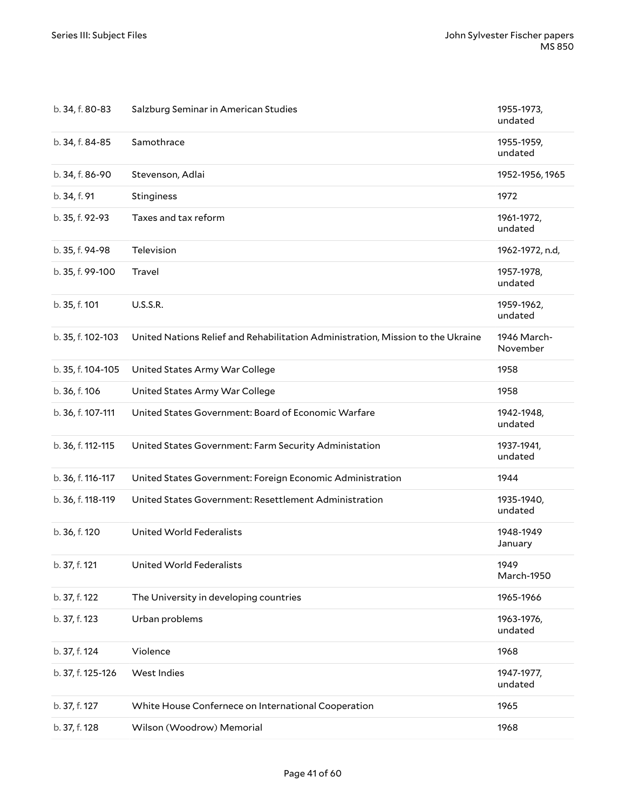| b. 34, f. 80-83   | Salzburg Seminar in American Studies                                            | 1955-1973,<br>undated   |
|-------------------|---------------------------------------------------------------------------------|-------------------------|
| b. 34, f. 84-85   | Samothrace                                                                      | 1955-1959,<br>undated   |
| b. 34, f. 86-90   | Stevenson, Adlai                                                                | 1952-1956, 1965         |
| b. 34, f. 91      | Stinginess                                                                      | 1972                    |
| b. 35, f. 92-93   | Taxes and tax reform                                                            | 1961-1972,<br>undated   |
| b. 35, f. 94-98   | Television                                                                      | 1962-1972, n.d,         |
| b. 35, f. 99-100  | Travel                                                                          | 1957-1978,<br>undated   |
| b. 35, f. 101     | <b>U.S.S.R.</b>                                                                 | 1959-1962,<br>undated   |
| b. 35, f. 102-103 | United Nations Relief and Rehabilitation Administration, Mission to the Ukraine | 1946 March-<br>November |
| b. 35, f. 104-105 | United States Army War College                                                  | 1958                    |
| b. 36, f. 106     | United States Army War College                                                  | 1958                    |
| b. 36, f. 107-111 | United States Government: Board of Economic Warfare                             | 1942-1948,<br>undated   |
| b. 36, f. 112-115 | United States Government: Farm Security Administation                           | 1937-1941,<br>undated   |
| b. 36, f. 116-117 | United States Government: Foreign Economic Administration                       | 1944                    |
| b. 36, f. 118-119 | United States Government: Resettlement Administration                           | 1935-1940,<br>undated   |
| b. 36, f. 120     | <b>United World Federalists</b>                                                 | 1948-1949<br>January    |
| b. 37, f. 121     | United World Federalists                                                        | 1949<br>March-1950      |
| b. 37, f. 122     | The University in developing countries                                          | 1965-1966               |
| b. 37, f. 123     | Urban problems                                                                  | 1963-1976,<br>undated   |
| b. 37, f. 124     | Violence                                                                        | 1968                    |
| b. 37, f. 125-126 | West Indies                                                                     | 1947-1977,<br>undated   |
| b. 37, f. 127     | White House Confernece on International Cooperation                             | 1965                    |
| b. 37, f. 128     | Wilson (Woodrow) Memorial                                                       | 1968                    |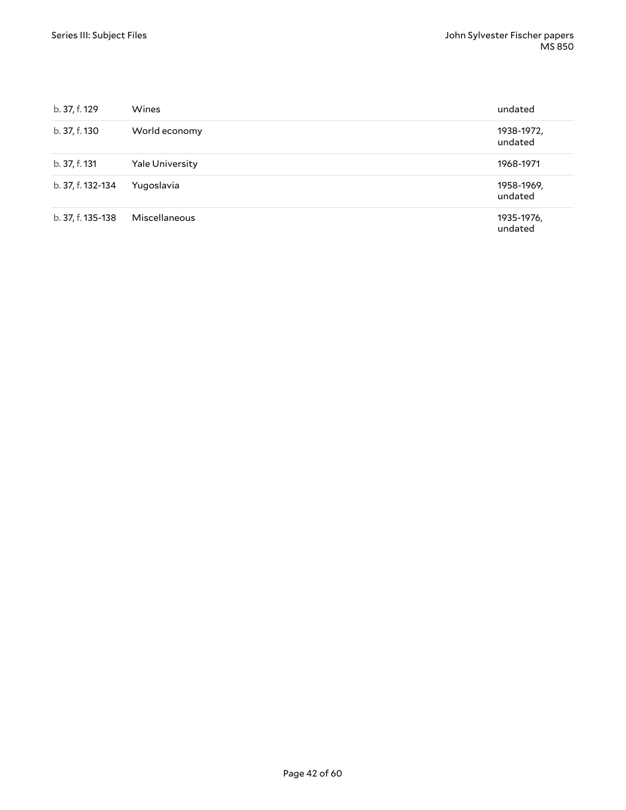| b. 37, f. 129     | <b>Wines</b>           | undated               |
|-------------------|------------------------|-----------------------|
| b. 37, f. 130     | World economy          | 1938-1972,<br>undated |
| b. 37, f. 131     | <b>Yale University</b> | 1968-1971             |
| b. 37, f. 132-134 | Yugoslavia             | 1958-1969,<br>undated |
| b. 37, f. 135-138 | Miscellaneous          | 1935-1976,<br>undated |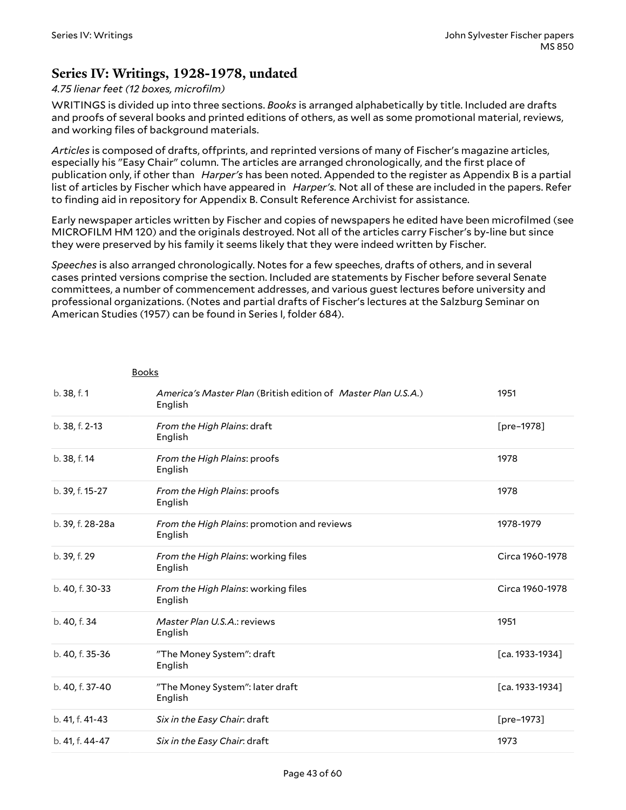### <span id="page-42-0"></span>**Series IV: Writings, 1928-1978, undated**

#### *4.75 lienar feet (12 boxes, microfilm)*

Books

WRITINGS is divided up into three sections. *Books* is arranged alphabetically by title. Included are drafts and proofs of several books and printed editions of others, as well as some promotional material, reviews, and working files of background materials.

Articles is composed of drafts, offprints, and reprinted versions of many of Fischer's magazine articles, especially his "Easy Chair" column. The articles are arranged chronologically, and the first place of publication only, if other than *Harper's* has been noted. Appended to the register as Appendix B is a partial list of articles by Fischer which have appeared in *Harper's.* Not all of these are included in the papers. Refer to finding aid in repository for Appendix B. Consult Reference Archivist for assistance.

Early newspaper articles written by Fischer and copies of newspapers he edited have been microfilmed (see MICROFILM HM 120) and the originals destroyed. Not all of the articles carry Fischer's by-line but since they were preserved by his family it seems likely that they were indeed written by Fischer.

*Speeches* is also arranged chronologically. Notes for a few speeches, drafts of others, and in several cases printed versions comprise the section. Included are statements by Fischer before several Senate committees, a number of commencement addresses, and various guest lectures before university and professional organizations. (Notes and partial drafts of Fischer's lectures at the Salzburg Seminar on American Studies (1957) can be found in Series I, folder 684).

| b. 38, f. 1      | America's Master Plan (British edition of Master Plan U.S.A.)<br>English | 1951            |
|------------------|--------------------------------------------------------------------------|-----------------|
| b. 38, f. 2-13   | From the High Plains: draft<br>English                                   | [pre-1978]      |
| b. 38, f. 14     | From the High Plains: proofs<br>English                                  | 1978            |
| b. 39, f. 15-27  | From the High Plains: proofs<br>English                                  | 1978            |
| b. 39, f. 28-28a | From the High Plains: promotion and reviews<br>English                   | 1978-1979       |
| b. 39, f. 29     | From the High Plains: working files<br>English                           | Circa 1960-1978 |
| b. 40, f. 30-33  | From the High Plains: working files<br>English                           | Circa 1960-1978 |
| b. 40, f. 34     | Master Plan U.S.A.: reviews<br>English                                   | 1951            |
| b. 40, f. 35-36  | "The Money System": draft<br>English                                     | [ca. 1933-1934] |
| b. 40, f. 37-40  | "The Money System": later draft<br>English                               | [ca. 1933-1934] |
| b. 41, f. 41-43  | Six in the Easy Chair: draft                                             | [pre-1973]      |
| b. 41, f. 44-47  | Six in the Easy Chair: draft                                             | 1973            |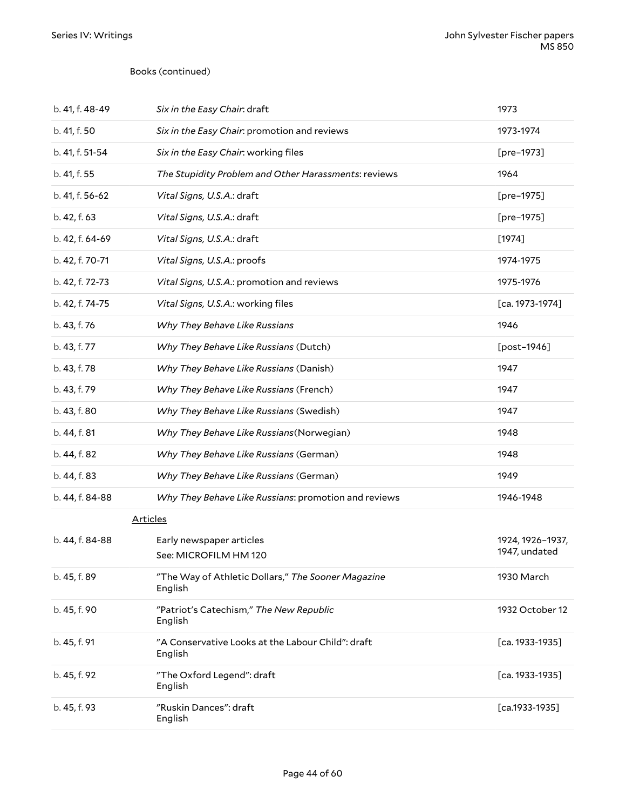#### Books (continued)

| b. 41, f. 48-49 | Six in the Easy Chair: draft                                  | 1973                              |
|-----------------|---------------------------------------------------------------|-----------------------------------|
| b. 41, f. 50    | Six in the Easy Chair: promotion and reviews                  | 1973-1974                         |
| b. 41, f. 51-54 | Six in the Easy Chair: working files                          | [pre-1973]                        |
| b. 41, f. 55    | The Stupidity Problem and Other Harassments: reviews          | 1964                              |
| b. 41, f. 56-62 | Vital Signs, U.S.A.: draft                                    | [pre-1975]                        |
| b. 42, f. 63    | Vital Signs, U.S.A.: draft                                    | [pre-1975]                        |
| b. 42, f. 64-69 | Vital Signs, U.S.A.: draft                                    | $[1974]$                          |
| b. 42, f. 70-71 | Vital Signs, U.S.A.: proofs                                   | 1974-1975                         |
| b. 42, f. 72-73 | Vital Signs, U.S.A.: promotion and reviews                    | 1975-1976                         |
| b. 42, f. 74-75 | Vital Signs, U.S.A.: working files                            | $[ca. 1973-1974]$                 |
| b. 43, f. 76    | Why They Behave Like Russians                                 | 1946                              |
| b. 43, f. 77    | Why They Behave Like Russians (Dutch)                         | [post-1946]                       |
| b. 43, f. 78    | Why They Behave Like Russians (Danish)                        | 1947                              |
| b. 43, f. 79    | Why They Behave Like Russians (French)                        | 1947                              |
| b. 43, f. 80    | Why They Behave Like Russians (Swedish)                       | 1947                              |
| b. 44, f. 81    | Why They Behave Like Russians (Norwegian)                     | 1948                              |
| b. 44, f. 82    | Why They Behave Like Russians (German)                        | 1948                              |
| b. 44, f. 83    | Why They Behave Like Russians (German)                        | 1949                              |
| b. 44, f. 84-88 | Why They Behave Like Russians: promotion and reviews          | 1946-1948                         |
| <b>Articles</b> |                                                               |                                   |
| b. 44, f. 84-88 | Early newspaper articles<br>See: MICROFILM HM 120             | 1924, 1926-1937,<br>1947, undated |
| b. 45, f. 89    | "The Way of Athletic Dollars," The Sooner Magazine<br>English | 1930 March                        |
| b. 45, f. 90    | "Patriot's Catechism," The New Republic<br>English            | 1932 October 12                   |
| b. 45, f. 91    | "A Conservative Looks at the Labour Child": draft<br>English  | [ca. 1933-1935]                   |
| b. 45, f. 92    | "The Oxford Legend": draft<br>English                         | $[ca. 1933-1935]$                 |
| b. 45, f. 93    | "Ruskin Dances": draft<br>English                             | $[ca.1933-1935]$                  |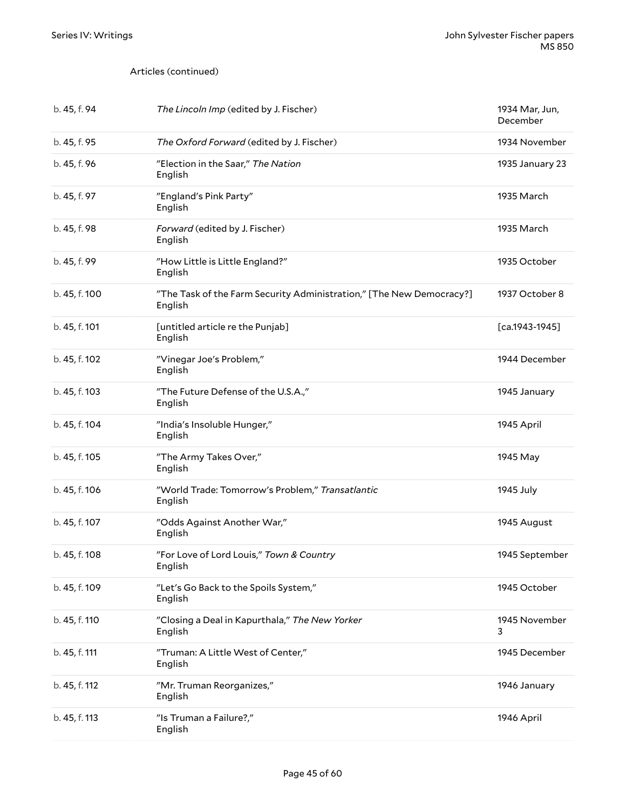| b. 45, f. 94  | The Lincoln Imp (edited by J. Fischer)                                          | 1934 Mar, Jun,<br>December |
|---------------|---------------------------------------------------------------------------------|----------------------------|
| b. 45, f. 95  | The Oxford Forward (edited by J. Fischer)                                       | 1934 November              |
| b. 45, f. 96  | "Election in the Saar," The Nation<br>English                                   | 1935 January 23            |
| b. 45, f. 97  | "England's Pink Party"<br>English                                               | 1935 March                 |
| b. 45, f. 98  | Forward (edited by J. Fischer)<br>English                                       | 1935 March                 |
| b. 45, f. 99  | "How Little is Little England?"<br>English                                      | 1935 October               |
| b. 45, f. 100 | "The Task of the Farm Security Administration," [The New Democracy?]<br>English | 1937 October 8             |
| b. 45, f. 101 | [untitled article re the Punjab]<br>English                                     | $[ca.1943-1945]$           |
| b. 45, f. 102 | "Vinegar Joe's Problem,"<br>English                                             | 1944 December              |
| b. 45, f. 103 | "The Future Defense of the U.S.A.,"<br>English                                  | 1945 January               |
| b. 45, f. 104 | "India's Insoluble Hunger,"<br>English                                          | 1945 April                 |
| b. 45, f. 105 | "The Army Takes Over,"<br>English                                               | 1945 May                   |
| b. 45, f. 106 | "World Trade: Tomorrow's Problem," Transatlantic<br>English                     | 1945 July                  |
| b. 45, f. 107 | "Odds Against Another War,"<br>English                                          | 1945 August                |
| b. 45, f. 108 | "For Love of Lord Louis," Town & Country<br>English                             | 1945 September             |
| b. 45, f. 109 | "Let's Go Back to the Spoils System,"<br>English                                | 1945 October               |
| b. 45, f. 110 | "Closing a Deal in Kapurthala," The New Yorker<br>English                       | 1945 November<br>3         |
| b. 45, f. 111 | "Truman: A Little West of Center,"<br>English                                   | 1945 December              |
| b. 45, f. 112 | "Mr. Truman Reorganizes,"<br>English                                            | 1946 January               |
| b. 45, f. 113 | "Is Truman a Failure?,"<br>English                                              | 1946 April                 |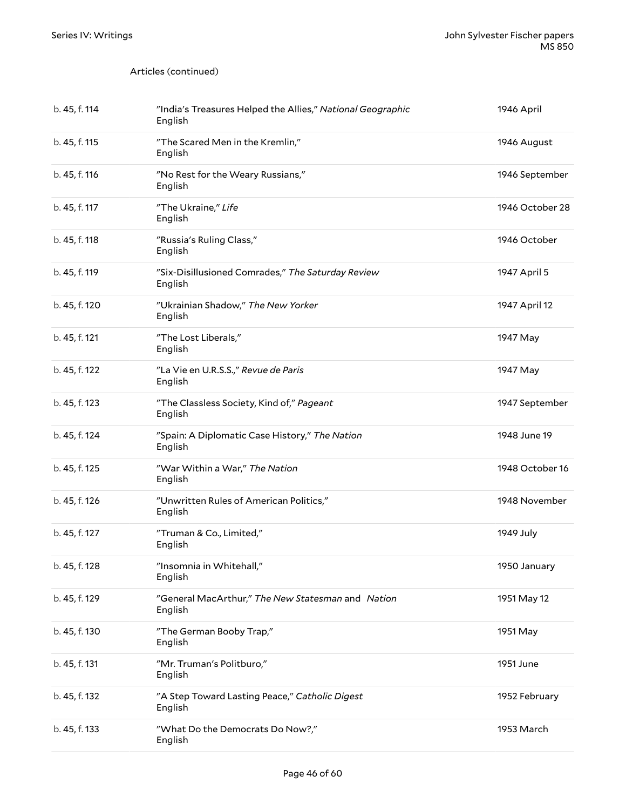| b. 45, f. 114 | "India's Treasures Helped the Allies," National Geographic<br>English | 1946 April      |
|---------------|-----------------------------------------------------------------------|-----------------|
| b. 45, f. 115 | "The Scared Men in the Kremlin,"<br>English                           | 1946 August     |
| b. 45, f. 116 | "No Rest for the Weary Russians,"<br>English                          | 1946 September  |
| b. 45, f. 117 | "The Ukraine," Life<br>English                                        | 1946 October 28 |
| b. 45, f. 118 | "Russia's Ruling Class,"<br>English                                   | 1946 October    |
| b. 45, f. 119 | "Six-Disillusioned Comrades," The Saturday Review<br>English          | 1947 April 5    |
| b. 45, f. 120 | "Ukrainian Shadow," The New Yorker<br>English                         | 1947 April 12   |
| b. 45, f. 121 | "The Lost Liberals,"<br>English                                       | 1947 May        |
| b. 45, f. 122 | "La Vie en U.R.S.S.," Revue de Paris<br>English                       | 1947 May        |
| b. 45, f. 123 | "The Classless Society, Kind of," Pageant<br>English                  | 1947 September  |
| b. 45, f. 124 | "Spain: A Diplomatic Case History," The Nation<br>English             | 1948 June 19    |
| b. 45, f. 125 | "War Within a War," The Nation<br>English                             | 1948 October 16 |
| b. 45, f. 126 | "Unwritten Rules of American Politics,"<br>English                    | 1948 November   |
| b. 45, f. 127 | "Truman & Co., Limited,"<br>English                                   | 1949 July       |
| b. 45, f. 128 | "Insomnia in Whitehall,"<br>English                                   | 1950 January    |
| b. 45, f. 129 | "General MacArthur," The New Statesman and Nation<br>English          | 1951 May 12     |
| b. 45, f. 130 | "The German Booby Trap,"<br>English                                   | 1951 May        |
| b. 45, f. 131 | "Mr. Truman's Politburo,"<br>English                                  | 1951 June       |
| b. 45, f. 132 | "A Step Toward Lasting Peace," Catholic Digest<br>English             | 1952 February   |
| b. 45, f. 133 | "What Do the Democrats Do Now?,"<br>English                           | 1953 March      |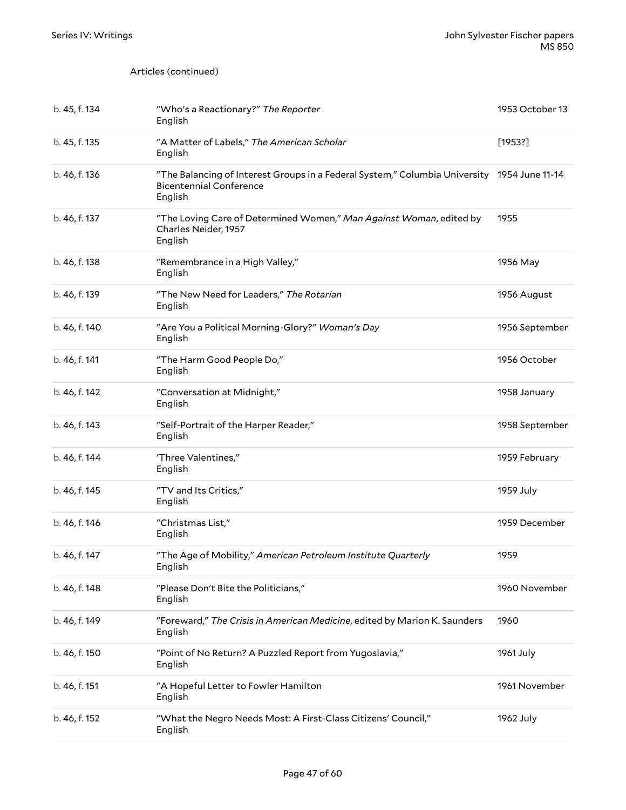| b. 45, f. 134 | "Who's a Reactionary?" The Reporter<br>English                                                                                           | 1953 October 13 |
|---------------|------------------------------------------------------------------------------------------------------------------------------------------|-----------------|
| b. 45, f. 135 | "A Matter of Labels," The American Scholar<br>English                                                                                    | [1953?]         |
| b. 46, f. 136 | "The Balancing of Interest Groups in a Federal System," Columbia University 1954 June 11-14<br><b>Bicentennial Conference</b><br>English |                 |
| b. 46, f. 137 | "The Loving Care of Determined Women," Man Against Woman, edited by<br>Charles Neider, 1957<br>English                                   | 1955            |
| b. 46, f. 138 | "Remembrance in a High Valley,"<br>English                                                                                               | 1956 May        |
| b. 46, f. 139 | "The New Need for Leaders," The Rotarian<br>English                                                                                      | 1956 August     |
| b. 46, f. 140 | "Are You a Political Morning-Glory?" Woman's Day<br>English                                                                              | 1956 September  |
| b. 46, f. 141 | "The Harm Good People Do,"<br>English                                                                                                    | 1956 October    |
| b. 46, f. 142 | "Conversation at Midnight,"<br>English                                                                                                   | 1958 January    |
| b. 46, f. 143 | "Self-Portrait of the Harper Reader,"<br>English                                                                                         | 1958 September  |
| b. 46, f. 144 | 'Three Valentines,"<br>English                                                                                                           | 1959 February   |
| b. 46, f. 145 | "TV and Its Critics,"<br>English                                                                                                         | 1959 July       |
| b. 46, f. 146 | "Christmas List,"<br>English                                                                                                             | 1959 December   |
| b. 46, f. 147 | "The Age of Mobility," American Petroleum Institute Quarterly<br>English                                                                 | 1959            |
| b. 46, f. 148 | "Please Don't Bite the Politicians,"<br>English                                                                                          | 1960 November   |
| b. 46, f. 149 | "Foreward," The Crisis in American Medicine, edited by Marion K. Saunders<br>English                                                     | 1960            |
| b. 46, f. 150 | "Point of No Return? A Puzzled Report from Yugoslavia,"<br>English                                                                       | 1961 July       |
| b. 46, f. 151 | "A Hopeful Letter to Fowler Hamilton<br>English                                                                                          | 1961 November   |
| b. 46, f. 152 | "What the Negro Needs Most: A First-Class Citizens' Council,"<br>English                                                                 | 1962 July       |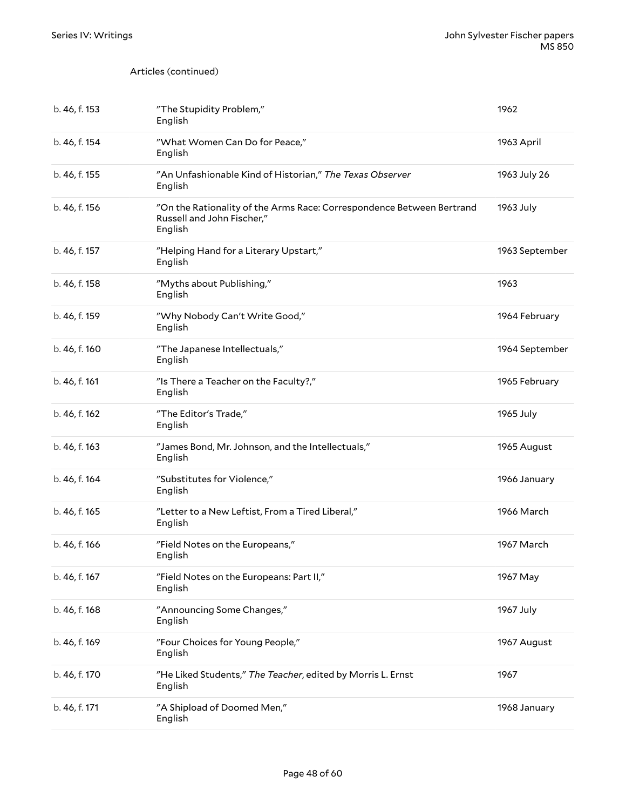| b. 46, f. 153 | "The Stupidity Problem,"<br>English                                                                            | 1962           |
|---------------|----------------------------------------------------------------------------------------------------------------|----------------|
| b. 46, f. 154 | "What Women Can Do for Peace,"<br>English                                                                      | 1963 April     |
| b. 46, f. 155 | "An Unfashionable Kind of Historian," The Texas Observer<br>English                                            | 1963 July 26   |
| b. 46, f. 156 | "On the Rationality of the Arms Race: Correspondence Between Bertrand<br>Russell and John Fischer,"<br>English | 1963 July      |
| b. 46, f. 157 | "Helping Hand for a Literary Upstart,"<br>English                                                              | 1963 September |
| b. 46, f. 158 | "Myths about Publishing,"<br>English                                                                           | 1963           |
| b. 46, f. 159 | "Why Nobody Can't Write Good,"<br>English                                                                      | 1964 February  |
| b. 46, f. 160 | "The Japanese Intellectuals,"<br>English                                                                       | 1964 September |
| b. 46, f. 161 | "Is There a Teacher on the Faculty?,"<br>English                                                               | 1965 February  |
| b. 46, f. 162 | "The Editor's Trade,"<br>English                                                                               | 1965 July      |
| b. 46, f. 163 | "James Bond, Mr. Johnson, and the Intellectuals,"<br>English                                                   | 1965 August    |
| b. 46, f. 164 | "Substitutes for Violence,"<br>English                                                                         | 1966 January   |
| b. 46, f. 165 | "Letter to a New Leftist, From a Tired Liberal,"<br>English                                                    | 1966 March     |
| b. 46, f. 166 | "Field Notes on the Europeans,"<br>English                                                                     | 1967 March     |
| b. 46, f. 167 | "Field Notes on the Europeans: Part II,"<br>English                                                            | 1967 May       |
| b. 46, f. 168 | "Announcing Some Changes,"<br>English                                                                          | 1967 July      |
| b. 46, f. 169 | "Four Choices for Young People,"<br>English                                                                    | 1967 August    |
| b. 46, f. 170 | "He Liked Students," The Teacher, edited by Morris L. Ernst<br>English                                         | 1967           |
| b. 46, f. 171 | "A Shipload of Doomed Men,"<br>English                                                                         | 1968 January   |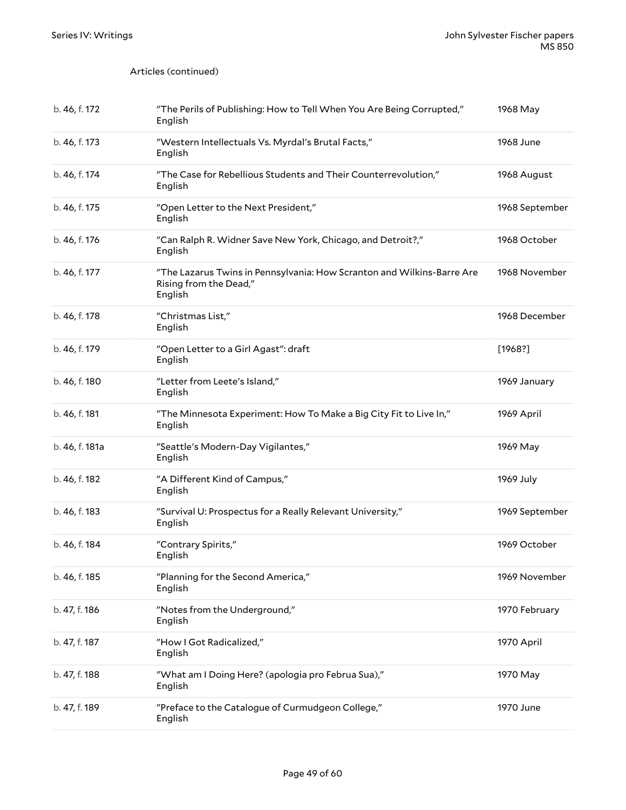| b. 46, f. 172  | "The Perils of Publishing: How to Tell When You Are Being Corrupted,"<br>English                            | 1968 May       |
|----------------|-------------------------------------------------------------------------------------------------------------|----------------|
| b. 46, f. 173  | "Western Intellectuals Vs. Myrdal's Brutal Facts,"<br>English                                               | 1968 June      |
| b. 46, f. 174  | "The Case for Rebellious Students and Their Counterrevolution,"<br>English                                  | 1968 August    |
| b. 46, f. 175  | "Open Letter to the Next President,"<br>English                                                             | 1968 September |
| b. 46, f. 176  | "Can Ralph R. Widner Save New York, Chicago, and Detroit?,"<br>English                                      | 1968 October   |
| b. 46, f. 177  | "The Lazarus Twins in Pennsylvania: How Scranton and Wilkins-Barre Are<br>Rising from the Dead,"<br>English | 1968 November  |
| b. 46, f. 178  | "Christmas List,"<br>English                                                                                | 1968 December  |
| b. 46, f. 179  | "Open Letter to a Girl Agast": draft<br>English                                                             | [1968!]        |
| b. 46, f. 180  | "Letter from Leete's Island,"<br>English                                                                    | 1969 January   |
| b. 46, f. 181  | "The Minnesota Experiment: How To Make a Big City Fit to Live In,"<br>English                               | 1969 April     |
| b. 46, f. 181a | "Seattle's Modern-Day Vigilantes,"<br>English                                                               | 1969 May       |
| b. 46, f. 182  | "A Different Kind of Campus,"<br>English                                                                    | 1969 July      |
| b. 46, f. 183  | "Survival U: Prospectus for a Really Relevant University,"<br>English                                       | 1969 September |
| b. 46, f. 184  | "Contrary Spirits,"<br>English                                                                              | 1969 October   |
| b. 46, f. 185  | "Planning for the Second America,"<br>English                                                               | 1969 November  |
| b. 47, f. 186  | "Notes from the Underground,"<br>English                                                                    | 1970 February  |
| b. 47, f. 187  | "How I Got Radicalized,"<br>English                                                                         | 1970 April     |
| b. 47, f. 188  | "What am I Doing Here? (apologia pro Februa Sua),"<br>English                                               | 1970 May       |
| b. 47, f. 189  | "Preface to the Catalogue of Curmudgeon College,"<br>English                                                | 1970 June      |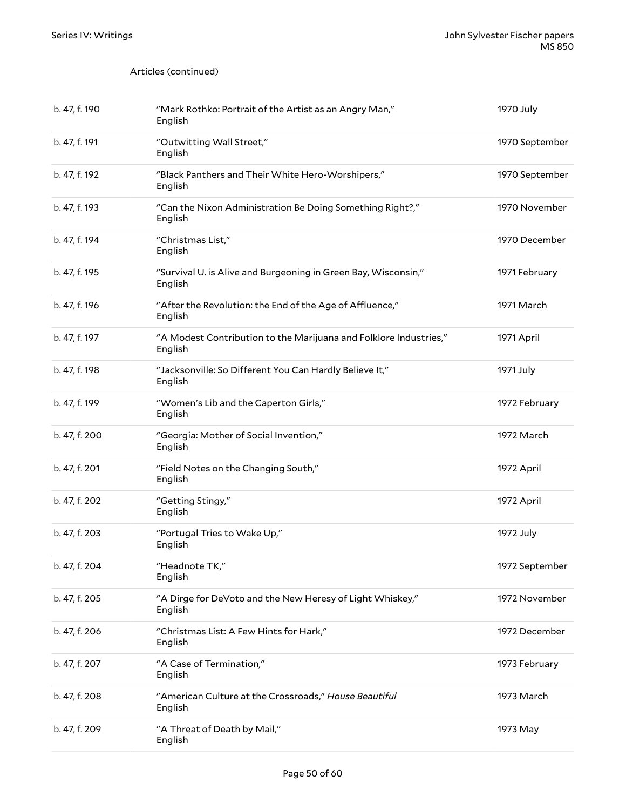| b. 47, f. 190 | "Mark Rothko: Portrait of the Artist as an Angry Man,"<br>English            | 1970 July      |
|---------------|------------------------------------------------------------------------------|----------------|
| b. 47, f. 191 | "Outwitting Wall Street,"<br>English                                         | 1970 September |
| b. 47, f. 192 | "Black Panthers and Their White Hero-Worshipers,"<br>English                 | 1970 September |
| b. 47, f. 193 | "Can the Nixon Administration Be Doing Something Right?,"<br>English         | 1970 November  |
| b. 47, f. 194 | "Christmas List,"<br>English                                                 | 1970 December  |
| b. 47, f. 195 | "Survival U. is Alive and Burgeoning in Green Bay, Wisconsin,"<br>English    | 1971 February  |
| b. 47, f. 196 | "After the Revolution: the End of the Age of Affluence,"<br>English          | 1971 March     |
| b. 47, f. 197 | "A Modest Contribution to the Marijuana and Folklore Industries,"<br>English | 1971 April     |
| b. 47, f. 198 | "Jacksonville: So Different You Can Hardly Believe It,"<br>English           | 1971 July      |
| b. 47, f. 199 | "Women's Lib and the Caperton Girls,"<br>English                             | 1972 February  |
| b. 47, f. 200 | "Georgia: Mother of Social Invention,"<br>English                            | 1972 March     |
| b. 47, f. 201 | "Field Notes on the Changing South,"<br>English                              | 1972 April     |
| b. 47, f. 202 | "Getting Stingy,"<br>English                                                 | 1972 April     |
| b. 47, f. 203 | "Portugal Tries to Wake Up,"<br>English                                      | 1972 July      |
| b. 47, f. 204 | "Headnote TK,"<br>English                                                    | 1972 September |
| b. 47, f. 205 | "A Dirge for DeVoto and the New Heresy of Light Whiskey,"<br>English         | 1972 November  |
| b. 47, f. 206 | "Christmas List: A Few Hints for Hark,"<br>English                           | 1972 December  |
| b. 47, f. 207 | "A Case of Termination,"<br>English                                          | 1973 February  |
| b. 47, f. 208 | "American Culture at the Crossroads," House Beautiful<br>English             | 1973 March     |
| b. 47, f. 209 | "A Threat of Death by Mail,"<br>English                                      | 1973 May       |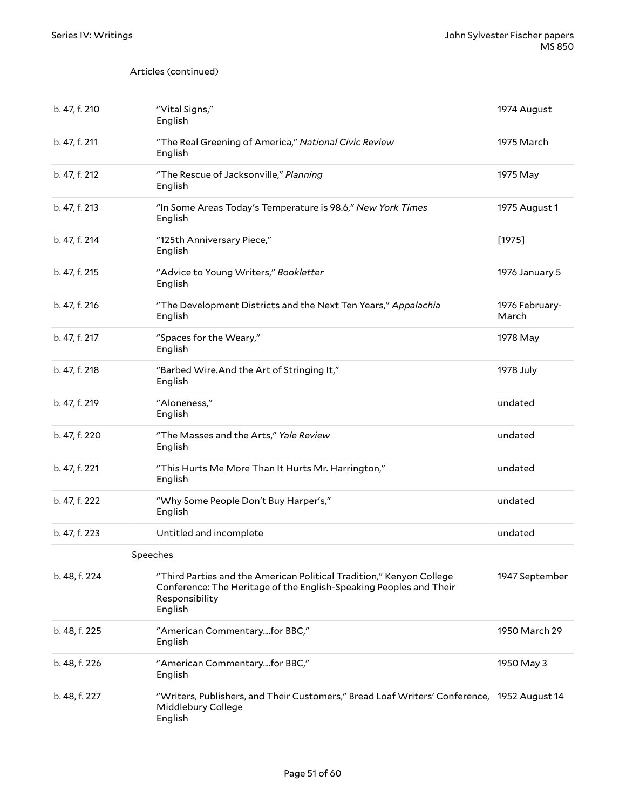| b. 47, f. 210 | "Vital Signs,"<br>English                                                                                                                                               | 1974 August             |
|---------------|-------------------------------------------------------------------------------------------------------------------------------------------------------------------------|-------------------------|
| b. 47, f. 211 | "The Real Greening of America," National Civic Review<br>English                                                                                                        | 1975 March              |
| b. 47, f. 212 | "The Rescue of Jacksonville," Planning<br>English                                                                                                                       | 1975 May                |
| b. 47, f. 213 | "In Some Areas Today's Temperature is 98.6," New York Times<br>English                                                                                                  | 1975 August 1           |
| b. 47, f. 214 | "125th Anniversary Piece,"<br>English                                                                                                                                   | $[1975]$                |
| b. 47, f. 215 | "Advice to Young Writers," Bookletter<br>English                                                                                                                        | 1976 January 5          |
| b. 47, f. 216 | "The Development Districts and the Next Ten Years," Appalachia<br>English                                                                                               | 1976 February-<br>March |
| b. 47, f. 217 | "Spaces for the Weary,"<br>English                                                                                                                                      | 1978 May                |
| b. 47, f. 218 | "Barbed Wire.And the Art of Stringing It,"<br>English                                                                                                                   | 1978 July               |
| b. 47, f. 219 | "Aloneness,"<br>English                                                                                                                                                 | undated                 |
| b. 47, f. 220 | "The Masses and the Arts," Yale Review<br>English                                                                                                                       | undated                 |
| b. 47, f. 221 | "This Hurts Me More Than It Hurts Mr. Harrington,"<br>English                                                                                                           | undated                 |
| b. 47, f. 222 | "Why Some People Don't Buy Harper's,"<br>English                                                                                                                        | undated                 |
| b. 47, f. 223 | Untitled and incomplete                                                                                                                                                 | undated                 |
|               | Speeches                                                                                                                                                                |                         |
| b. 48, f. 224 | "Third Parties and the American Political Tradition," Kenyon College<br>Conference: The Heritage of the English-Speaking Peoples and Their<br>Responsibility<br>English | 1947 September          |
| b. 48, f. 225 | "American Commentaryfor BBC,"<br>English                                                                                                                                | 1950 March 29           |
| b. 48, f. 226 | "American Commentaryfor BBC,"<br>English                                                                                                                                | 1950 May 3              |
| b. 48, f. 227 | "Writers, Publishers, and Their Customers," Bread Loaf Writers' Conference, 1952 August 14<br>Middlebury College<br>English                                             |                         |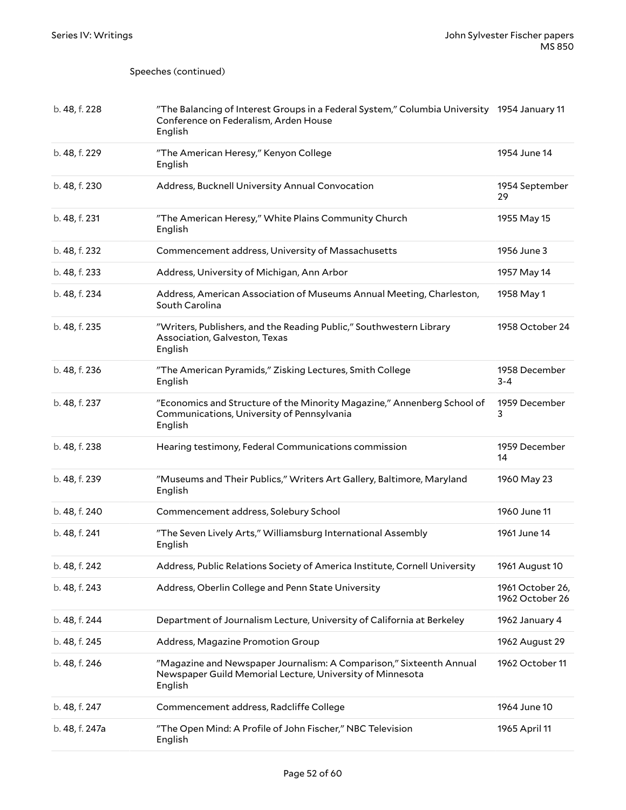Speeches (continued)

| b. 48, f. 228 | "The Balancing of Interest Groups in a Federal System," Columbia University 1954 January 11<br>Conference on Federalism, Arden House<br>English |                                     |
|---------------|-------------------------------------------------------------------------------------------------------------------------------------------------|-------------------------------------|
| b. 48, f. 229 | "The American Heresy," Kenyon College<br>English                                                                                                | 1954 June 14                        |
| b. 48, f. 230 | Address, Bucknell University Annual Convocation                                                                                                 | 1954 September<br>29                |
| b. 48, f. 231 | "The American Heresy," White Plains Community Church<br>English                                                                                 | 1955 May 15                         |
| b. 48, f. 232 | Commencement address, University of Massachusetts                                                                                               | 1956 June 3                         |
| b. 48, f. 233 | Address, University of Michigan, Ann Arbor                                                                                                      | 1957 May 14                         |
| b. 48, f. 234 | Address, American Association of Museums Annual Meeting, Charleston,<br>South Carolina                                                          | 1958 May 1                          |
| b. 48, f. 235 | "Writers, Publishers, and the Reading Public," Southwestern Library<br>Association, Galveston, Texas<br>English                                 | 1958 October 24                     |
| b. 48, f. 236 | "The American Pyramids," Zisking Lectures, Smith College<br>English                                                                             | 1958 December<br>$3 - 4$            |
| b. 48, f. 237 | "Economics and Structure of the Minority Magazine," Annenberg School of<br>Communications, University of Pennsylvania<br>English                | 1959 December<br>3                  |
| b. 48, f. 238 | Hearing testimony, Federal Communications commission                                                                                            | 1959 December<br>14                 |
| b. 48, f. 239 | "Museums and Their Publics," Writers Art Gallery, Baltimore, Maryland                                                                           | 1960 May 23                         |
|               | English                                                                                                                                         |                                     |
| b. 48, f. 240 | Commencement address, Solebury School                                                                                                           | 1960 June 11                        |
| b. 48, f. 241 | "The Seven Lively Arts," Williamsburg International Assembly<br>English                                                                         | 1961 June 14                        |
| b. 48, f. 242 | Address, Public Relations Society of America Institute, Cornell University                                                                      | 1961 August 10                      |
| b. 48, f. 243 | Address, Oberlin College and Penn State University                                                                                              | 1961 October 26,<br>1962 October 26 |
| b. 48, f. 244 | Department of Journalism Lecture, University of California at Berkeley                                                                          | 1962 January 4                      |
| b. 48, f. 245 | Address, Magazine Promotion Group                                                                                                               | 1962 August 29                      |
| b. 48, f. 246 | "Magazine and Newspaper Journalism: A Comparison," Sixteenth Annual<br>Newspaper Guild Memorial Lecture, University of Minnesota<br>English     | 1962 October 11                     |
| b. 48, f. 247 | Commencement address, Radcliffe College                                                                                                         | 1964 June 10                        |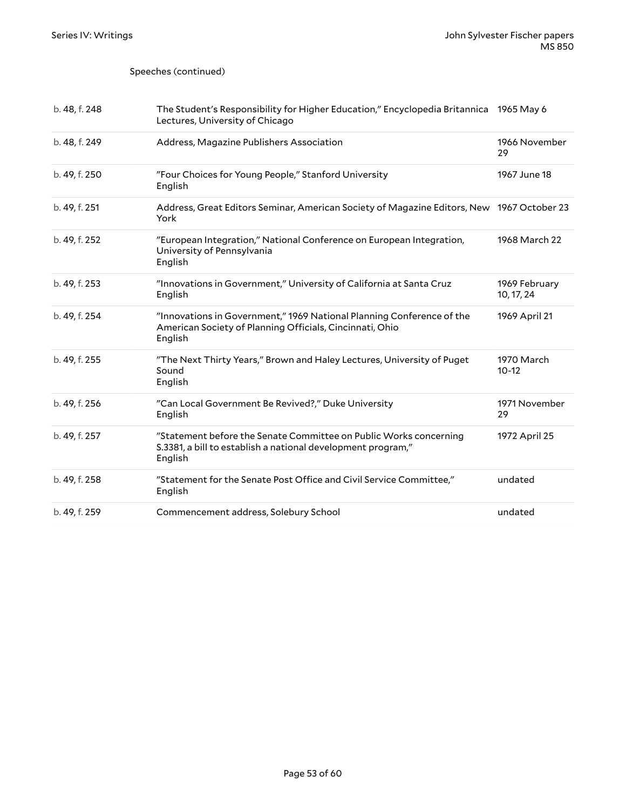#### Speeches (continued)

| b. 48, f. 248 | The Student's Responsibility for Higher Education," Encyclopedia Britannica 1965 May 6<br>Lectures, University of Chicago                    |                             |
|---------------|----------------------------------------------------------------------------------------------------------------------------------------------|-----------------------------|
| b. 48, f. 249 | Address, Magazine Publishers Association                                                                                                     | 1966 November<br>29         |
| b. 49, f. 250 | "Four Choices for Young People," Stanford University<br>English                                                                              | 1967 June 18                |
| b. 49, f. 251 | Address, Great Editors Seminar, American Society of Magazine Editors, New 1967 October 23<br>York                                            |                             |
| b. 49, f. 252 | "European Integration," National Conference on European Integration,<br>University of Pennsylvania<br>English                                | 1968 March 22               |
| b. 49, f. 253 | "Innovations in Government," University of California at Santa Cruz<br>English                                                               | 1969 February<br>10, 17, 24 |
| b. 49, f. 254 | "Innovations in Government," 1969 National Planning Conference of the<br>American Society of Planning Officials, Cincinnati, Ohio<br>English | 1969 April 21               |
| b. 49, f. 255 | "The Next Thirty Years," Brown and Haley Lectures, University of Puget<br>Sound<br>English                                                   | 1970 March<br>$10-12$       |
| b. 49, f. 256 | "Can Local Government Be Revived?," Duke University<br>English                                                                               | 1971 November<br>29         |
| b. 49, f. 257 | "Statement before the Senate Committee on Public Works concerning<br>S.3381, a bill to establish a national development program,"<br>English | 1972 April 25               |
| b. 49, f. 258 | "Statement for the Senate Post Office and Civil Service Committee,"<br>English                                                               | undated                     |
| b. 49, f. 259 | Commencement address, Solebury School                                                                                                        | undated                     |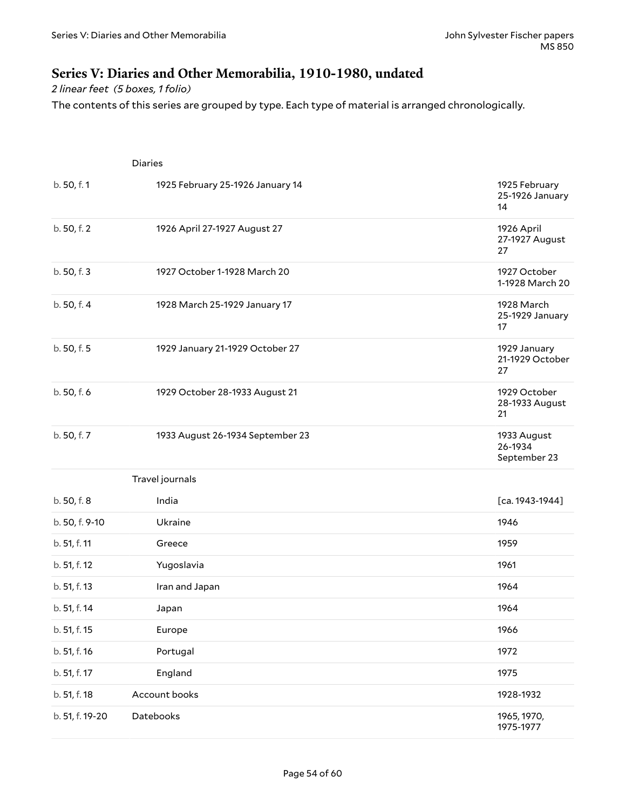### <span id="page-53-0"></span>**Series V: Diaries and Other Memorabilia, 1910-1980, undated**

*2 linear feet (5 boxes, 1 folio)*

The contents of this series are grouped by type. Each type of material is arranged chronologically.

|                 | <b>Diaries</b>                   |                                        |
|-----------------|----------------------------------|----------------------------------------|
| b. 50, f. 1     | 1925 February 25-1926 January 14 | 1925 February<br>25-1926 January<br>14 |
| b. 50, f. 2     | 1926 April 27-1927 August 27     | 1926 April<br>27-1927 August<br>27     |
| b. 50, f. 3     | 1927 October 1-1928 March 20     | 1927 October<br>1-1928 March 20        |
| b. 50, f. 4     | 1928 March 25-1929 January 17    | 1928 March<br>25-1929 January<br>17    |
| b. 50, f. 5     | 1929 January 21-1929 October 27  | 1929 January<br>21-1929 October<br>27  |
| b. 50, f. 6     | 1929 October 28-1933 August 21   | 1929 October<br>28-1933 August<br>21   |
| b. 50, f. 7     | 1933 August 26-1934 September 23 | 1933 August<br>26-1934<br>September 23 |
|                 | Travel journals                  |                                        |
| b. 50, f. 8     | India                            | $[ca. 1943-1944]$                      |
| b. 50, f. 9-10  | Ukraine                          | 1946                                   |
| b. 51, f. 11    | Greece                           | 1959                                   |
| b. 51, f. 12    | Yugoslavia                       | 1961                                   |
| b. 51, f. 13    | Iran and Japan                   | 1964                                   |
| b. 51, f. 14    | Japan                            | 1964                                   |
| b. 51, f. 15    | Europe                           | 1966                                   |
| b. 51, f. 16    | Portugal                         | 1972                                   |
| b. 51, f. 17    | England                          | 1975                                   |
| b. 51, f. 18    | Account books                    | 1928-1932                              |
| b. 51, f. 19-20 | Datebooks                        | 1965, 1970,<br>1975-1977               |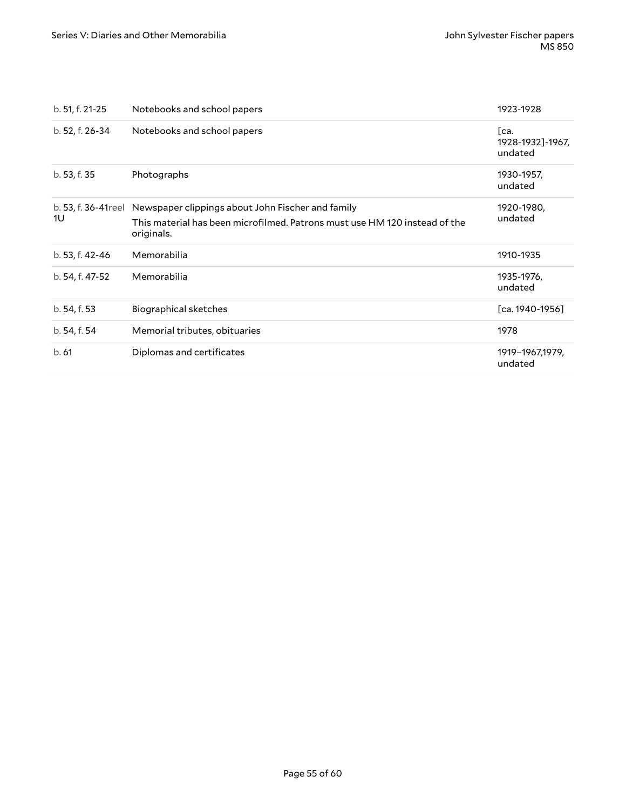| b. 51, f. 21-25 | Notebooks and school papers                                                                                                                                        | 1923-1928                           |
|-----------------|--------------------------------------------------------------------------------------------------------------------------------------------------------------------|-------------------------------------|
| b. 52, f. 26-34 | Notebooks and school papers                                                                                                                                        | Гca.<br>1928-1932]-1967,<br>undated |
| b. 53, f. 35    | Photographs                                                                                                                                                        | 1930-1957,<br>undated               |
| 1U              | b. 53, f. 36-41 reel Newspaper clippings about John Fischer and family<br>This material has been microfilmed. Patrons must use HM 120 instead of the<br>originals. | 1920-1980,<br>undated               |
| b. 53, f. 42-46 | Memorabilia                                                                                                                                                        | 1910-1935                           |
| b. 54, f. 47-52 | Memorabilia                                                                                                                                                        | 1935-1976,<br>undated               |
| b. 54, f. 53    | Biographical sketches                                                                                                                                              | [ca. 1940-1956]                     |
| b. 54, f. 54    | Memorial tributes, obituaries                                                                                                                                      | 1978                                |
| b.61            | Diplomas and certificates                                                                                                                                          | 1919-1967,1979,<br>undated          |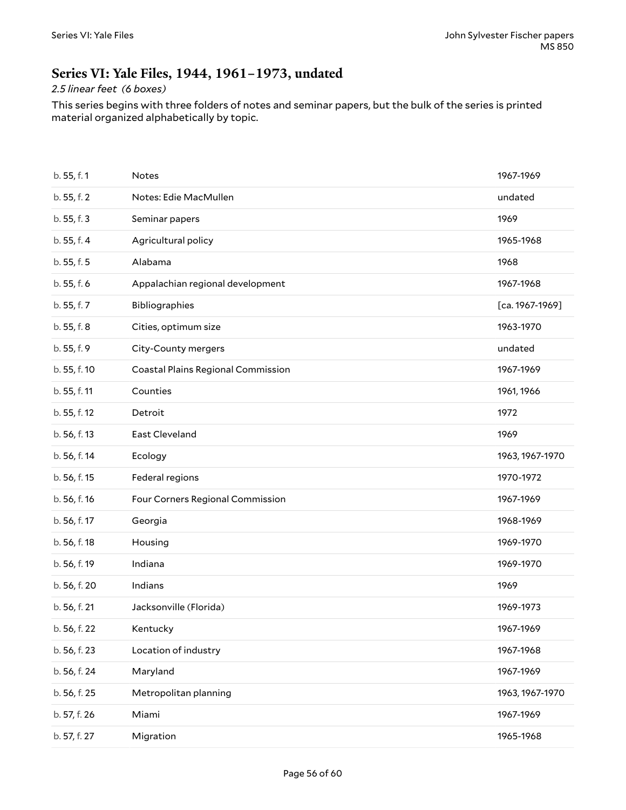### <span id="page-55-0"></span>**Series VI: Yale Files, 1944, 1961–1973, undated**

#### *2.5 linear feet (6 boxes)*

This series begins with three folders of notes and seminar papers, but the bulk of the series is printed material organized alphabetically by topic.

| b. 55, f. 1  | Notes                              | 1967-1969       |
|--------------|------------------------------------|-----------------|
| b. 55, f. 2  | Notes: Edie MacMullen              | undated         |
| b. 55, f. 3  | Seminar papers                     | 1969            |
| b. 55, f. 4  | Agricultural policy                | 1965-1968       |
| b. 55, f. 5  | Alabama                            | 1968            |
| b. 55, f. 6  | Appalachian regional development   | 1967-1968       |
| b. 55, f. 7  | Bibliographies                     | [ca. 1967-1969] |
| b. 55, f. 8  | Cities, optimum size               | 1963-1970       |
| b. 55, f. 9  | City-County mergers                | undated         |
| b. 55, f. 10 | Coastal Plains Regional Commission | 1967-1969       |
| b. 55, f. 11 | Counties                           | 1961, 1966      |
| b. 55, f. 12 | Detroit                            | 1972            |
| b. 56, f. 13 | East Cleveland                     | 1969            |
| b. 56, f. 14 | Ecology                            | 1963, 1967-1970 |
| b. 56, f. 15 | Federal regions                    | 1970-1972       |
| b. 56, f. 16 | Four Corners Regional Commission   | 1967-1969       |
| b. 56, f. 17 | Georgia                            | 1968-1969       |
| b. 56, f. 18 | Housing                            | 1969-1970       |
| b. 56, f. 19 | Indiana                            | 1969-1970       |
| b. 56, f. 20 | Indians                            | 1969            |
| b. 56, f. 21 | Jacksonville (Florida)             | 1969-1973       |
| b. 56, f. 22 | Kentucky                           | 1967-1969       |
| b. 56, f. 23 | Location of industry               | 1967-1968       |
| b. 56, f. 24 | Maryland                           | 1967-1969       |
| b. 56, f. 25 | Metropolitan planning              | 1963, 1967-1970 |
| b. 57, f. 26 | Miami                              | 1967-1969       |
| b. 57, f. 27 | Migration                          | 1965-1968       |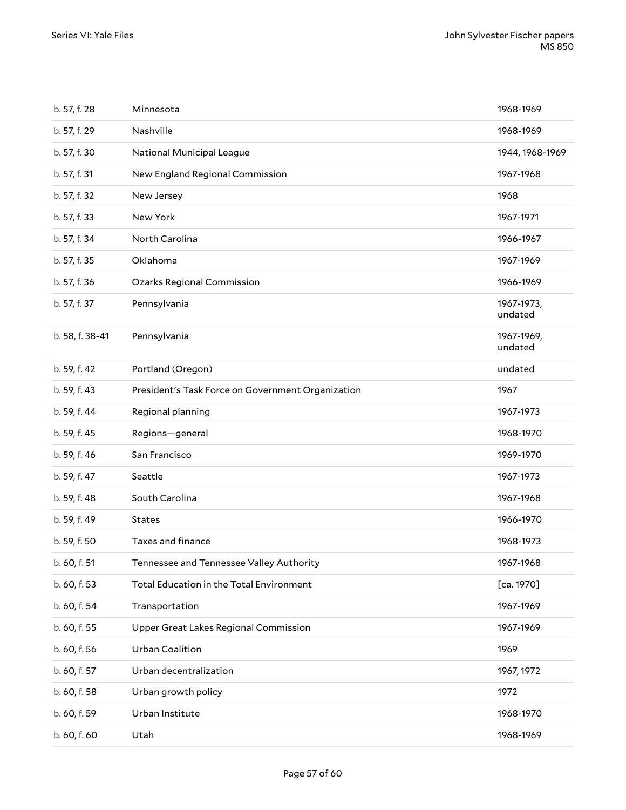| b. 57, f. 28    | Minnesota                                         | 1968-1969             |
|-----------------|---------------------------------------------------|-----------------------|
| b. 57, f. 29    | Nashville                                         | 1968-1969             |
| b. 57, f. 30    | National Municipal League                         | 1944, 1968-1969       |
| b. 57, f. 31    | New England Regional Commission                   | 1967-1968             |
| b. 57, f. 32    | New Jersey                                        | 1968                  |
| b. 57, f. 33    | New York                                          | 1967-1971             |
| b. 57, f. 34    | North Carolina                                    | 1966-1967             |
| b. 57, f. 35    | Oklahoma                                          | 1967-1969             |
| b. 57, f. 36    | <b>Ozarks Regional Commission</b>                 | 1966-1969             |
| b. 57, f. 37    | Pennsylvania                                      | 1967-1973,<br>undated |
| b. 58, f. 38-41 | Pennsylvania                                      | 1967-1969,<br>undated |
| b. 59, f. 42    | Portland (Oregon)                                 | undated               |
| b. 59, f. 43    | President's Task Force on Government Organization | 1967                  |
| b. 59, f. 44    | Regional planning                                 | 1967-1973             |
| b. 59, f. 45    | Regions-general                                   | 1968-1970             |
| b. 59, f. 46    | San Francisco                                     | 1969-1970             |
| b. 59, f. 47    | Seattle                                           | 1967-1973             |
| b. 59, f. 48    | South Carolina                                    | 1967-1968             |
| b. 59, f. 49    | <b>States</b>                                     | 1966-1970             |
| b. 59, f. 50    | Taxes and finance                                 | 1968-1973             |
| b. 60, f. 51    | Tennessee and Tennessee Valley Authority          | 1967-1968             |
| b. 60, f. 53    | Total Education in the Total Environment          | [ca. 1970]            |
| b. 60, f. 54    | Transportation                                    | 1967-1969             |
| b. 60, f. 55    | Upper Great Lakes Regional Commission             | 1967-1969             |
| b. 60, f. 56    | Urban Coalition                                   | 1969                  |
| b. 60, f. 57    | Urban decentralization                            | 1967, 1972            |
| b. 60, f. 58    | Urban growth policy                               | 1972                  |
| b. 60, f. 59    | Urban Institute                                   | 1968-1970             |
| b. 60, f. 60    | Utah                                              | 1968-1969             |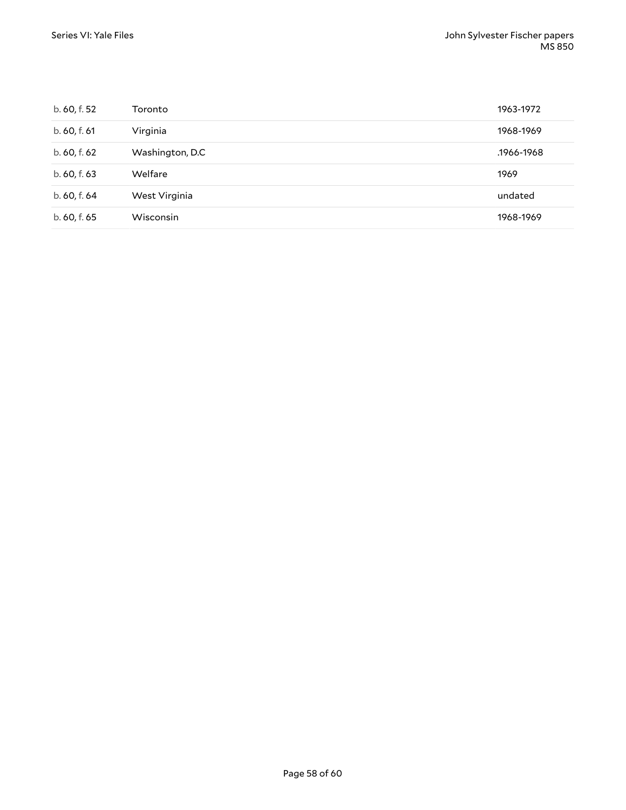| b. 60, f. 52 | Toronto          | 1963-1972  |
|--------------|------------------|------------|
| b. 60, f. 61 | Virginia         | 1968-1969  |
| b. 60, f. 62 | Washington, D.C. | .1966-1968 |
| b. 60, f. 63 | Welfare          | 1969       |
| b. 60, f. 64 | West Virginia    | undated    |
| b. 60, f. 65 | Wisconsin        | 1968-1969  |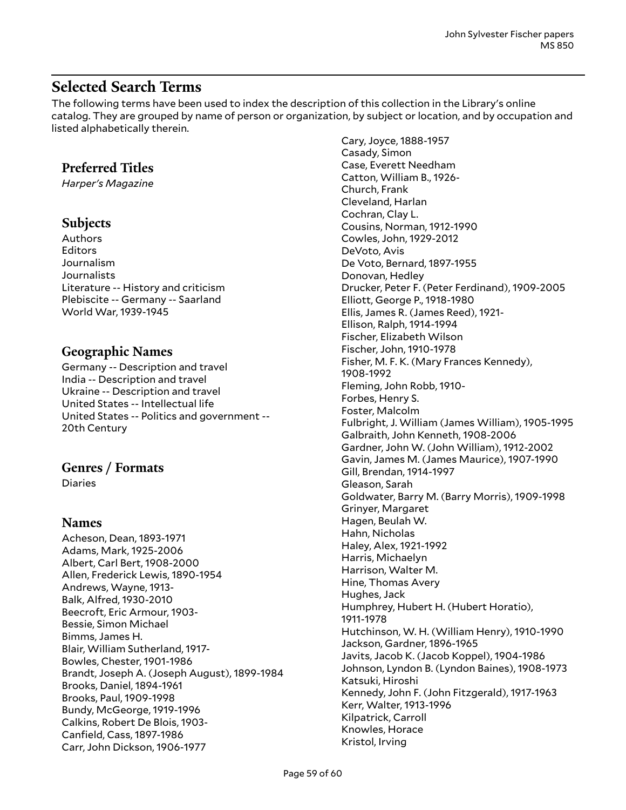# <span id="page-58-0"></span>**Selected Search Terms**

The following terms have been used to index the description of this collection in the Library's online catalog. They are grouped by name of person or organization, by subject or location, and by occupation and listed alphabetically therein.

### **Preferred Titles**

*Harper's Magazine*

#### **Subjects**

Authors Editors Journalism Journalists Literature -- History and criticism Plebiscite -- Germany -- Saarland World War, 1939-1945

### **Geographic Names**

Germany -- Description and travel India -- Description and travel Ukraine -- Description and travel United States -- Intellectual life United States -- Politics and government -- 20th Century

### **Genres / Formats**

Diaries

#### **Names**

Acheson, Dean, 1893-1971 Adams, Mark, 1925-2006 Albert, Carl Bert, 1908-2000 Allen, Frederick Lewis, 1890-1954 Andrews, Wayne, 1913- Balk, Alfred, 1930-2010 Beecroft, Eric Armour, 1903- Bessie, Simon Michael Bimms, James H. Blair, William Sutherland, 1917- Bowles, Chester, 1901-1986 Brandt, Joseph A. (Joseph August), 1899-1984 Brooks, Daniel, 1894-1961 Brooks, Paul, 1909-1998 Bundy, McGeorge, 1919-1996 Calkins, Robert De Blois, 1903- Canfield, Cass, 1897-1986 Carr, John Dickson, 1906-1977

Cary, Joyce, 1888-1957 Casady, Simon Case, Everett Needham Catton, William B., 1926- Church, Frank Cleveland, Harlan Cochran, Clay L. Cousins, Norman, 1912-1990 Cowles, John, 1929-2012 DeVoto, Avis De Voto, Bernard, 1897-1955 Donovan, Hedley Drucker, Peter F. (Peter Ferdinand), 1909-2005 Elliott, George P., 1918-1980 Ellis, James R. (James Reed), 1921- Ellison, Ralph, 1914-1994 Fischer, Elizabeth Wilson Fischer, John, 1910-1978 Fisher, M. F. K. (Mary Frances Kennedy), 1908-1992 Fleming, John Robb, 1910- Forbes, Henry S. Foster, Malcolm Fulbright, J. William (James William), 1905-1995 Galbraith, John Kenneth, 1908-2006 Gardner, John W. (John William), 1912-2002 Gavin, James M. (James Maurice), 1907-1990 Gill, Brendan, 1914-1997 Gleason, Sarah Goldwater, Barry M. (Barry Morris), 1909-1998 Grinyer, Margaret Hagen, Beulah W. Hahn, Nicholas Haley, Alex, 1921-1992 Harris, Michaelyn Harrison, Walter M. Hine, Thomas Avery Hughes, Jack Humphrey, Hubert H. (Hubert Horatio), 1911-1978 Hutchinson, W. H. (William Henry), 1910-1990 Jackson, Gardner, 1896-1965 Javits, Jacob K. (Jacob Koppel), 1904-1986 Johnson, Lyndon B. (Lyndon Baines), 1908-1973 Katsuki, Hiroshi Kennedy, John F. (John Fitzgerald), 1917-1963 Kerr, Walter, 1913-1996 Kilpatrick, Carroll Knowles, Horace Kristol, Irving